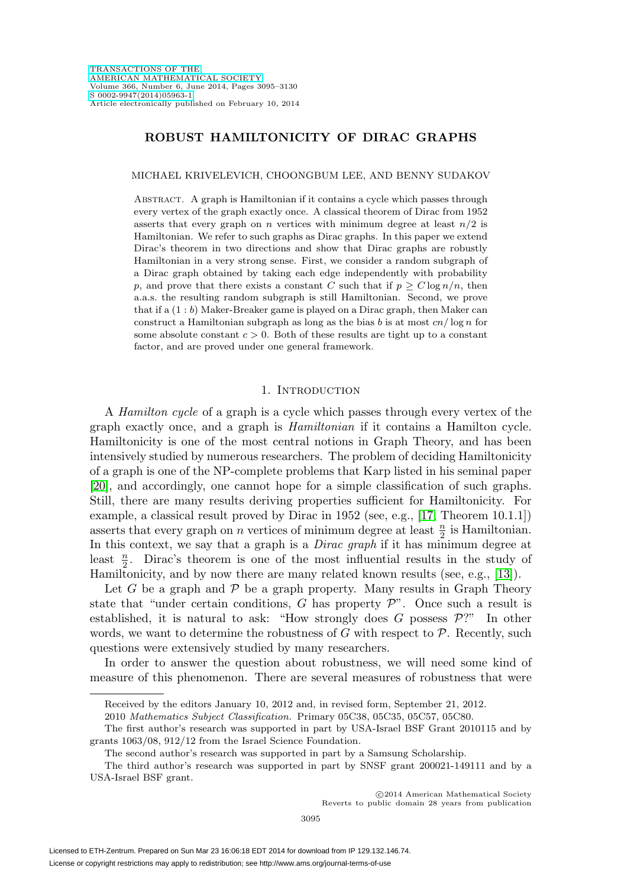# **ROBUST HAMILTONICITY OF DIRAC GRAPHS**

MICHAEL KRIVELEVICH, CHOONGBUM LEE, AND BENNY SUDAKOV

Abstract. A graph is Hamiltonian if it contains a cycle which passes through every vertex of the graph exactly once. A classical theorem of Dirac from 1952 asserts that every graph on n vertices with minimum degree at least  $n/2$  is Hamiltonian. We refer to such graphs as Dirac graphs. In this paper we extend Dirac's theorem in two directions and show that Dirac graphs are robustly Hamiltonian in a very strong sense. First, we consider a random subgraph of a Dirac graph obtained by taking each edge independently with probability p, and prove that there exists a constant C such that if  $p \geq C \log n/n$ , then a.a.s. the resulting random subgraph is still Hamiltonian. Second, we prove that if a (1 : b) Maker-Breaker game is played on a Dirac graph, then Maker can construct a Hamiltonian subgraph as long as the bias b is at most  $cn/\log n$  for some absolute constant  $c > 0$ . Both of these results are tight up to a constant factor, and are proved under one general framework.

## 1. INTRODUCTION

A Hamilton cycle of a graph is a cycle which passes through every vertex of the graph exactly once, and a graph is Hamiltonian if it contains a Hamilton cycle. Hamiltonicity is one of the most central notions in Graph Theory, and has been intensively studied by numerous researchers. The problem of deciding Hamiltonicity of a graph is one of the NP-complete problems that Karp listed in his seminal paper [\[20\]](#page-34-0), and accordingly, one cannot hope for a simple classification of such graphs. Still, there are many results deriving properties sufficient for Hamiltonicity. For example, a classical result proved by Dirac in 1952 (see, e.g., [\[17,](#page-34-1) Theorem 10.1.1]) asserts that every graph on n vertices of minimum degree at least  $\frac{n}{2}$  is Hamiltonian. In this context, we say that a graph is a *Dirac graph* if it has minimum degree at least  $\frac{n}{2}$ . Dirac's theorem is one of the most influential results in the study of Hamiltonicity, and by now there are many related known results (see, e.g., [\[13\]](#page-34-2)).

Let G be a graph and  $P$  be a graph property. Many results in Graph Theory state that "under certain conditions,  $G$  has property  $\mathcal{P}$ ". Once such a result is established, it is natural to ask: "How strongly does  $G$  possess  $\mathcal{P}$ ?" In other words, we want to determine the robustness of  $G$  with respect to  $P$ . Recently, such questions were extensively studied by many researchers.

In order to answer the question about robustness, we will need some kind of measure of this phenomenon. There are several measures of robustness that were

-c 2014 American Mathematical Society Reverts to public domain 28 years from publication

Received by the editors January 10, 2012 and, in revised form, September 21, 2012.

<sup>2010</sup> Mathematics Subject Classification. Primary 05C38, 05C35, 05C57, 05C80.

The first author's research was supported in part by USA-Israel BSF Grant 2010115 and by grants 1063/08, 912/12 from the Israel Science Foundation.

The second author's research was supported in part by a Samsung Scholarship.

The third author's research was supported in part by SNSF grant 200021-149111 and by a USA-Israel BSF grant.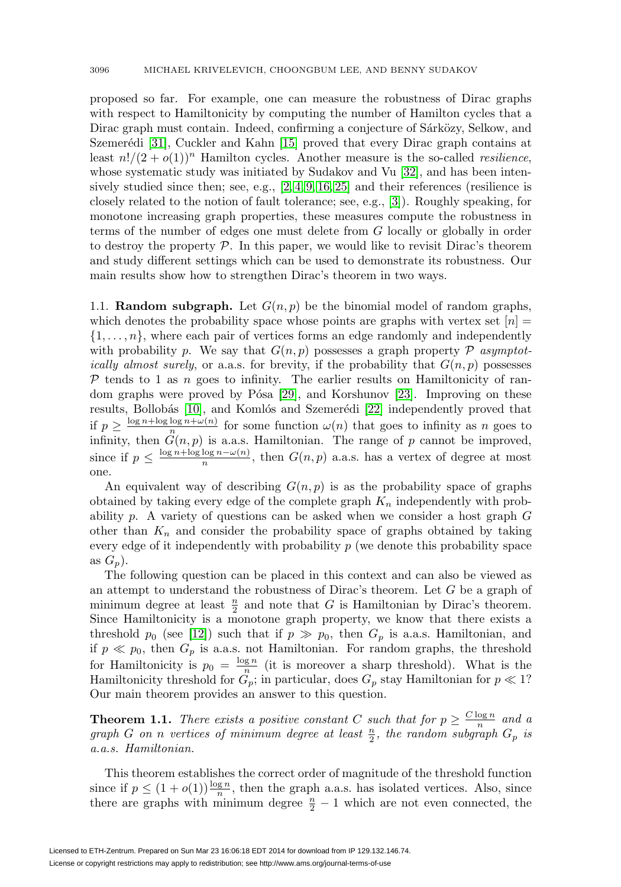proposed so far. For example, one can measure the robustness of Dirac graphs with respect to Hamiltonicity by computing the number of Hamilton cycles that a Dirac graph must contain. Indeed, confirming a conjecture of Sárközy, Selkow, and Szemerédi  $[31]$ , Cuckler and Kahn  $[15]$  proved that every Dirac graph contains at least  $n!/(2+o(1))^n$  Hamilton cycles. Another measure is the so-called *resilience*, whose systematic study was initiated by Sudakov and Vu [\[32\]](#page-35-1), and has been intensively studied since then; see, e.g.,  $[2, 4, 9, 16, 25]$  $[2, 4, 9, 16, 25]$  $[2, 4, 9, 16, 25]$  $[2, 4, 9, 16, 25]$  $[2, 4, 9, 16, 25]$  and their references (resilience is closely related to the notion of fault tolerance; see, e.g., [\[3\]](#page-34-7)). Roughly speaking, for monotone increasing graph properties, these measures compute the robustness in terms of the number of edges one must delete from G locally or globally in order to destroy the property  $P$ . In this paper, we would like to revisit Dirac's theorem and study different settings which can be used to demonstrate its robustness. Our main results show how to strengthen Dirac's theorem in two ways.

1.1. **Random subgraph.** Let  $G(n, p)$  be the binomial model of random graphs, which denotes the probability space whose points are graphs with vertex set  $[n] =$  $\{1,\ldots,n\}$ , where each pair of vertices forms an edge randomly and independently with probability p. We say that  $G(n, p)$  possesses a graph property P asymptot*ically almost surely*, or a.a.s. for brevity, if the probability that  $G(n, p)$  possesses  $\mathcal P$  tends to 1 as n goes to infinity. The earlier results on Hamiltonicity of random graphs were proved by Pósa  $[29]$ , and Korshunov  $[23]$ . Improving on these results, Bollobás [\[10\]](#page-34-9), and Komlós and Szemerédi [\[22\]](#page-34-10) independently proved that if  $p \geq \frac{\log n + \log \log n + \omega(n)}{n}$  for some function  $\omega(n)$  that goes to infinity as n goes to infinity, then  $G(n, p)$  is a.a.s. Hamiltonian. The range of p cannot be improved, since if  $p \leq \frac{\log n + \log \log n - \omega(n)}{n}$ , then  $G(n, p)$  a.a.s. has a vertex of degree at most one.

An equivalent way of describing  $G(n, p)$  is as the probability space of graphs obtained by taking every edge of the complete graph  $K_n$  independently with probability  $p$ . A variety of questions can be asked when we consider a host graph  $G$ other than  $K_n$  and consider the probability space of graphs obtained by taking every edge of it independently with probability  $p$  (we denote this probability space as  $G_p$ ).

The following question can be placed in this context and can also be viewed as an attempt to understand the robustness of Dirac's theorem. Let G be a graph of minimum degree at least  $\frac{n}{2}$  and note that G is Hamiltonian by Dirac's theorem. Since Hamiltonicity is a monotone graph property, we know that there exists a threshold  $p_0$  (see [\[12\]](#page-34-11)) such that if  $p \gg p_0$ , then  $G_p$  is a.a.s. Hamiltonian, and if  $p \ll p_0$ , then  $G_p$  is a.a.s. not Hamiltonian. For random graphs, the threshold for Hamiltonicity is  $p_0 = \frac{\log n}{n}$  (it is moreover a sharp threshold). What is the Hamiltonicity threshold for  $G_p$ ; in particular, does  $G_p$  stay Hamiltonian for  $p \ll 1$ ? Our main theorem provides an answer to this question.

<span id="page-1-0"></span>**Theorem 1.1.** There exists a positive constant C such that for  $p \geq \frac{C \log n}{n}$  and a graph G on n vertices of minimum degree at least  $\frac{n}{2}$ , the random subgraph  $G_p$  is a.a.s. Hamiltonian.

This theorem establishes the correct order of magnitude of the threshold function since if  $p \leq (1 + o(1))\frac{\log n}{n}$ , then the graph a.a.s. has isolated vertices. Also, since there are graphs with minimum degree  $\frac{n}{2} - 1$  which are not even connected, the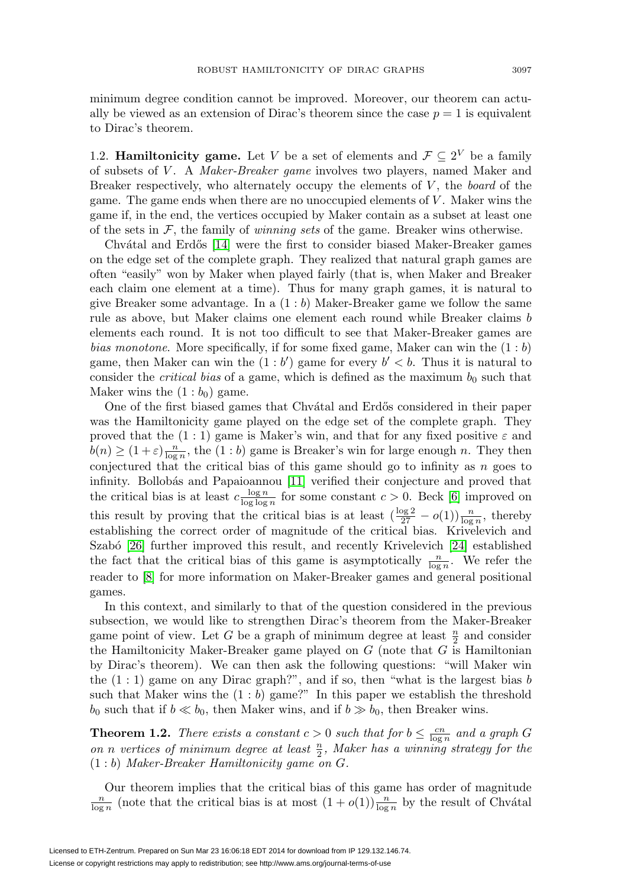minimum degree condition cannot be improved. Moreover, our theorem can actually be viewed as an extension of Dirac's theorem since the case  $p = 1$  is equivalent to Dirac's theorem.

1.2. **Hamiltonicity game.** Let V be a set of elements and  $\mathcal{F} \subseteq 2^V$  be a family of subsets of V . A Maker-Breaker game involves two players, named Maker and Breaker respectively, who alternately occupy the elements of  $V$ , the *board* of the game. The game ends when there are no unoccupied elements of  $V$ . Maker wins the game if, in the end, the vertices occupied by Maker contain as a subset at least one of the sets in  $\mathcal{F}$ , the family of *winning sets* of the game. Breaker wins otherwise.

Chvátal and Erdős [\[14\]](#page-34-12) were the first to consider biased Maker-Breaker games on the edge set of the complete graph. They realized that natural graph games are often "easily" won by Maker when played fairly (that is, when Maker and Breaker each claim one element at a time). Thus for many graph games, it is natural to give Breaker some advantage. In a  $(1:b)$  Maker-Breaker game we follow the same rule as above, but Maker claims one element each round while Breaker claims b elements each round. It is not too difficult to see that Maker-Breaker games are bias monotone. More specifically, if for some fixed game, Maker can win the  $(1:b)$ game, then Maker can win the  $(1 : b')$  game for every  $b' < b$ . Thus it is natural to consider the *critical bias* of a game, which is defined as the maximum  $b_0$  such that Maker wins the  $(1:b<sub>0</sub>)$  game.

One of the first biased games that Chvatal and Erdős considered in their paper was the Hamiltonicity game played on the edge set of the complete graph. They proved that the  $(1:1)$  game is Maker's win, and that for any fixed positive  $\varepsilon$  and  $b(n) \geq (1+\varepsilon) \frac{n}{\log n}$ , the  $(1:b)$  game is Breaker's win for large enough n. They then conjectured that the critical bias of this game should go to infinity as n goes to infinity. Bollobás and Papaioannou [\[11\]](#page-34-13) verified their conjecture and proved that the critical bias is at least  $c \frac{\log n}{\log \log n}$  for some constant  $c > 0$ . Beck [\[6\]](#page-34-14) improved on this result by proving that the critical bias is at least  $\left(\frac{\log 2}{27} - o(1)\right) \frac{n}{\log n}$ , thereby establishing the correct order of magnitude of the critical bias. Krivelevich and Szabó [\[26\]](#page-35-4) further improved this result, and recently Krivelevich [\[24\]](#page-34-15) established the fact that the critical bias of this game is asymptotically  $\frac{n}{\log n}$ . We refer the reader to [\[8\]](#page-34-16) for more information on Maker-Breaker games and general positional games.

In this context, and similarly to that of the question considered in the previous subsection, we would like to strengthen Dirac's theorem from the Maker-Breaker game point of view. Let G be a graph of minimum degree at least  $\frac{n}{2}$  and consider the Hamiltonicity Maker-Breaker game played on  $G$  (note that  $G$  is Hamiltonian by Dirac's theorem). We can then ask the following questions: "will Maker win the  $(1:1)$  game on any Dirac graph?", and if so, then "what is the largest bias  $b$ such that Maker wins the  $(1 : b)$  game?" In this paper we establish the threshold  $b_0$  such that if  $b \ll b_0$ , then Maker wins, and if  $b \gg b_0$ , then Breaker wins.

<span id="page-2-0"></span>**Theorem 1.2.** There exists a constant  $c > 0$  such that for  $b \leq \frac{cn}{\log n}$  and a graph G on n vertices of minimum degree at least  $\frac{n}{2}$ , Maker has a winning strategy for the (1 : b) Maker-Breaker Hamiltonicity game on G.

Our theorem implies that the critical bias of this game has order of magnitude  $\frac{n}{\log n}$  (note that the critical bias is at most  $(1+o(1))\frac{n}{\log n}$  by the result of Chvátal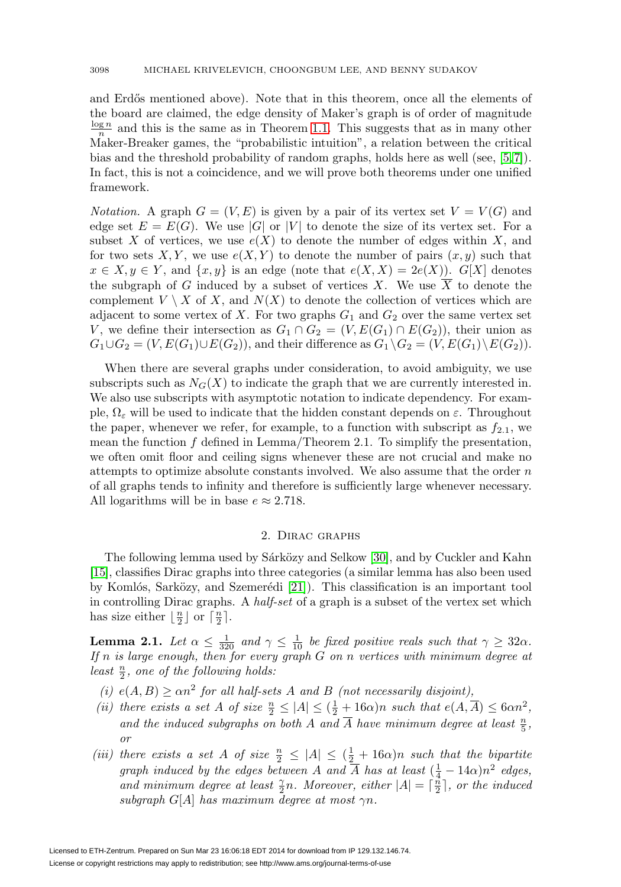and Erdős mentioned above). Note that in this theorem, once all the elements of the board are claimed, the edge density of Maker's graph is of order of magnitude  $\frac{\log n}{n}$  and this is the same as in Theorem [1.1.](#page-1-0) This suggests that as in many other Maker-Breaker games, the "probabilistic intuition", a relation between the critical bias and the threshold probability of random graphs, holds here as well (see, [\[5,](#page-34-17) [7\]](#page-34-18)). In fact, this is not a coincidence, and we will prove both theorems under one unified framework.

*Notation.* A graph  $G = (V, E)$  is given by a pair of its vertex set  $V = V(G)$  and edge set  $E = E(G)$ . We use |G| or |V| to denote the size of its vertex set. For a subset X of vertices, we use  $e(X)$  to denote the number of edges within X, and for two sets  $X, Y$ , we use  $e(X, Y)$  to denote the number of pairs  $(x, y)$  such that  $x \in X, y \in Y$ , and  $\{x, y\}$  is an edge (note that  $e(X, X) = 2e(X)$ ). G[X] denotes the subgraph of G induced by a subset of vertices X. We use  $\overline{X}$  to denote the complement  $V \setminus X$  of X, and  $N(X)$  to denote the collection of vertices which are adjacent to some vertex of X. For two graphs  $G_1$  and  $G_2$  over the same vertex set V, we define their intersection as  $G_1 \cap G_2 = (V, E(G_1) \cap E(G_2))$ , their union as  $G_1 \cup G_2 = (V, E(G_1) \cup E(G_2))$ , and their difference as  $G_1 \setminus G_2 = (V, E(G_1) \setminus E(G_2))$ .

When there are several graphs under consideration, to avoid ambiguity, we use subscripts such as  $N_G(X)$  to indicate the graph that we are currently interested in. We also use subscripts with asymptotic notation to indicate dependency. For example,  $\Omega_{\varepsilon}$  will be used to indicate that the hidden constant depends on  $\varepsilon$ . Throughout the paper, whenever we refer, for example, to a function with subscript as  $f_{2,1}$ , we mean the function  $f$  defined in Lemma/Theorem 2.1. To simplify the presentation, we often omit floor and ceiling signs whenever these are not crucial and make no attempts to optimize absolute constants involved. We also assume that the order  $n$ of all graphs tends to infinity and therefore is sufficiently large whenever necessary. All logarithms will be in base  $e \approx 2.718$ .

## 2. Dirac graphs

The following lemma used by Sárközy and Selkow [\[30\]](#page-35-5), and by Cuckler and Kahn [\[15\]](#page-34-3), classifies Dirac graphs into three categories (a similar lemma has also been used by Komlós, Sarközy, and Szemerédi  $[21]$ ). This classification is an important tool in controlling Dirac graphs. A half-set of a graph is a subset of the vertex set which has size either  $\lfloor \frac{n}{2} \rfloor$  or  $\lceil \frac{n}{2} \rceil$ .

<span id="page-3-0"></span>**Lemma 2.1.** Let  $\alpha \leq \frac{1}{320}$  and  $\gamma \leq \frac{1}{10}$  be fixed positive reals such that  $\gamma \geq 32\alpha$ . If  $n$  is large enough, then for every graph  $G$  on  $n$  vertices with minimum degree at least  $\frac{n}{2}$ , one of the following holds:

- (i)  $e(A, B) \ge \alpha n^2$  for all half-sets A and B (not necessarily disjoint),
- (ii) there exists a set A of size  $\frac{n}{2} \leq |A| \leq (\frac{1}{2} + 16\alpha)n$  such that  $e(A, \overline{A}) \leq 6\alpha n^2$ , and the induced subgraphs on both A and  $\overline{A}$  have minimum degree at least  $\frac{n}{5}$ , or
- (iii) there exists a set A of size  $\frac{n}{2} \leq |A| \leq (\frac{1}{2} + 16\alpha)n$  such that the bipartite graph induced by the edges between A and  $\overline{A}$  has at least  $(\frac{1}{4} - 14\alpha)n^2$  edges, and minimum degree at least  $\frac{\gamma}{2}n$ . Moreover, either  $|A| = \lceil \frac{\pi}{2} \rceil$ , or the induced subgraph G[A] has maximum degree at most  $\gamma n$ .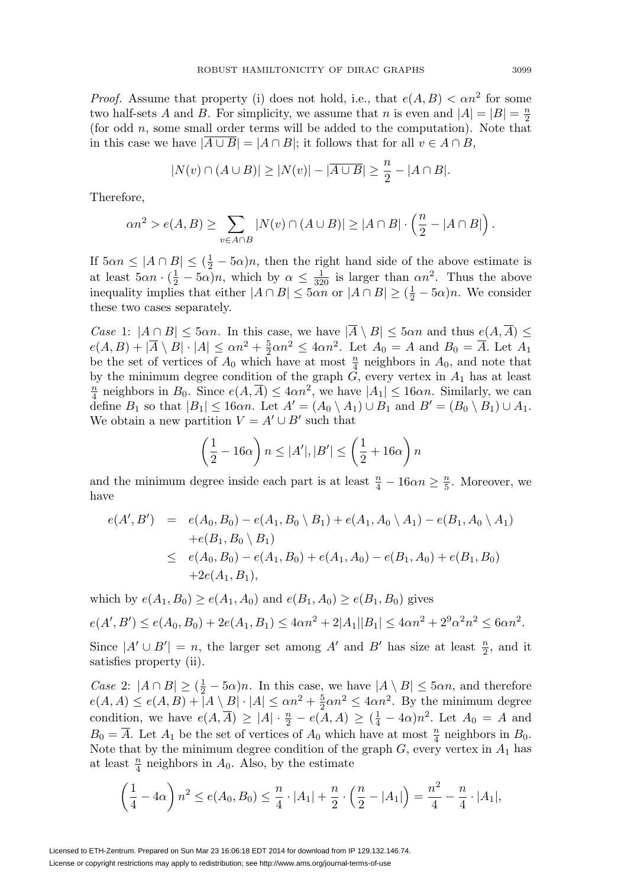*Proof.* Assume that property (i) does not hold, i.e., that  $e(A, B) < \alpha n^2$  for some two half-sets A and B. For simplicity, we assume that n is even and  $|A| = |B| = \frac{n}{2}$ (for odd  $n$ , some small order terms will be added to the computation). Note that in this case we have  $|\overline{A \cup B}| = |A \cap B|$ ; it follows that for all  $v \in A \cap B$ ,

$$
|N(v) \cap (A \cup B)| \ge |N(v)| - |\overline{A \cup B}| \ge \frac{n}{2} - |A \cap B|.
$$

Therefore,

$$
\alpha n^2 > e(A, B) \ge \sum_{v \in A \cap B} |N(v) \cap (A \cup B)| \ge |A \cap B| \cdot \left(\frac{n}{2} - |A \cap B|\right).
$$

If  $5\alpha n \leq |A \cap B| \leq (\frac{1}{2} - 5\alpha)n$ , then the right hand side of the above estimate is at least  $5\alpha n \cdot (\frac{1}{2} - 5\alpha)n$ , which by  $\alpha \leq \frac{1}{320}$  is larger than  $\alpha n^2$ . Thus the above inequality implies that either  $|A \cap B| \leq 5\alpha n$  or  $|A \cap B| \geq (\frac{1}{2} - 5\alpha)n$ . We consider these two cases separately.

Case 1:  $|A \cap B| \leq 5\alpha n$ . In this case, we have  $|\overline{A} \setminus B| \leq 5\alpha n$  and thus  $e(A, \overline{A}) \leq$  $e(A, B) + |\overline{A} \setminus B| \cdot |A| \le \alpha n^2 + \frac{5}{2} \alpha n^2 \le 4\alpha n^2$ . Let  $A_0 = A$  and  $B_0 = \overline{A}$ . Let  $A_1$ be the set of vertices of  $A_0$  which have at most  $\frac{n}{4}$  neighbors in  $A_0$ , and note that by the minimum degree condition of the graph  $G$ , every vertex in  $A_1$  has at least  $\frac{n}{4}$  neighbors in  $B_0$ . Since  $e(A, \overline{A}) \leq 4\alpha n^2$ , we have  $|A_1| \leq 16\alpha n$ . Similarly, we can define  $B_1$  so that  $|B_1| \leq 16\alpha n$ . Let  $A' = (A_0 \setminus A_1) \cup B_1$  and  $B' = (B_0 \setminus B_1) \cup A_1$ . We obtain a new partition  $V = A' \cup B'$  such that

$$
\left(\frac{1}{2} - 16\alpha\right) n \le |A'|, |B'| \le \left(\frac{1}{2} + 16\alpha\right) n
$$

and the minimum degree inside each part is at least  $\frac{n}{4} - 16\alpha n \ge \frac{n}{5}$ . Moreover, we have

$$
e(A', B') = e(A_0, B_0) - e(A_1, B_0 \setminus B_1) + e(A_1, A_0 \setminus A_1) - e(B_1, A_0 \setminus A_1)
$$
  
+
$$
e(B_1, B_0 \setminus B_1)
$$
  

$$
\leq e(A_0, B_0) - e(A_1, B_0) + e(A_1, A_0) - e(B_1, A_0) + e(B_1, B_0)
$$
  
+
$$
2e(A_1, B_1),
$$

which by  $e(A_1, B_0) \ge e(A_1, A_0)$  and  $e(B_1, A_0) \ge e(B_1, B_0)$  gives

$$
e(A',B') \le e(A_0,B_0) + 2e(A_1,B_1) \le 4\alpha n^2 + 2|A_1||B_1| \le 4\alpha n^2 + 2^9\alpha^2 n^2 \le 6\alpha n^2.
$$

Since  $|A' \cup B'| = n$ , the larger set among A' and B' has size at least  $\frac{n}{2}$ , and it satisfies property (ii).

Case 2:  $|A \cap B| \ge (\frac{1}{2} - 5\alpha)n$ . In this case, we have  $|A \setminus B| \le 5\alpha n$ , and therefore  $e(A, A) \le e(A, B) + |A \setminus B| \cdot |A| \le \alpha n^2 + \frac{5}{2} \alpha n^2 \le 4\alpha n^2$ . By the minimum degree condition, we have  $e(A, \overline{A}) \geq |A| \cdot \frac{n}{2} - e(A, A) \geq (\frac{1}{4} - 4\alpha)n^2$ . Let  $A_0 = A$  and  $B_0 = \overline{A}$ . Let  $A_1$  be the set of vertices of  $A_0$  which have at most  $\frac{n}{4}$  neighbors in  $B_0$ . Note that by the minimum degree condition of the graph  $G$ , every vertex in  $A_1$  has at least  $\frac{n}{4}$  neighbors in  $A_0$ . Also, by the estimate

$$
\left(\frac{1}{4} - 4\alpha\right) n^2 \le e(A_0, B_0) \le \frac{n}{4} \cdot |A_1| + \frac{n}{2} \cdot \left(\frac{n}{2} - |A_1|\right) = \frac{n^2}{4} - \frac{n}{4} \cdot |A_1|,
$$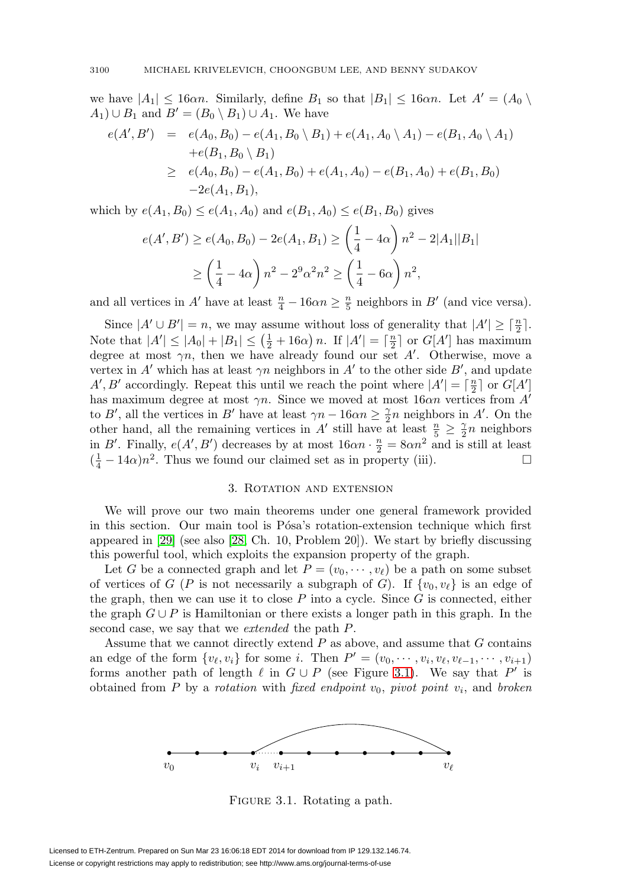we have  $|A_1| \leq 16\alpha n$ . Similarly, define  $B_1$  so that  $|B_1| \leq 16\alpha n$ . Let  $A' = (A_0 \setminus A_1)$  $(A_1) \cup B_1$  and  $B' = (B_0 \setminus B_1) \cup A_1$ . We have

$$
e(A', B') = e(A_0, B_0) - e(A_1, B_0 \setminus B_1) + e(A_1, A_0 \setminus A_1) - e(B_1, A_0 \setminus A_1)
$$
  
+
$$
e(B_1, B_0 \setminus B_1)
$$
  

$$
\ge e(A_0, B_0) - e(A_1, B_0) + e(A_1, A_0) - e(B_1, A_0) + e(B_1, B_0)
$$
  
-2 $e(A_1, B_1)$ ,

which by  $e(A_1, B_0) \le e(A_1, A_0)$  and  $e(B_1, A_0) \le e(B_1, B_0)$  gives

$$
e(A', B') \ge e(A_0, B_0) - 2e(A_1, B_1) \ge \left(\frac{1}{4} - 4\alpha\right) n^2 - 2|A_1||B_1|
$$
  
 
$$
\ge \left(\frac{1}{4} - 4\alpha\right) n^2 - 2^9 \alpha^2 n^2 \ge \left(\frac{1}{4} - 6\alpha\right) n^2,
$$

and all vertices in A' have at least  $\frac{n}{4} - 16\alpha n \ge \frac{n}{5}$  neighbors in B' (and vice versa).

Since  $|A' \cup B'| = n$ , we may assume without loss of generality that  $|A'| \geq \lceil \frac{n}{2} \rceil$ . Note that  $|A'| \leq |A_0| + |B_1| \leq (\frac{1}{2} + 16\alpha) n$ . If  $|A'| = \lceil \frac{n}{2} \rceil$  or  $G[A']$  has maximum degree at most  $\gamma n$ , then we have already found our set A'. Otherwise, move a vertex in A' which has at least  $\gamma n$  neighbors in A' to the other side B', and update A', B' accordingly. Repeat this until we reach the point where  $|A'| = \lceil \frac{n}{2} \rceil$  or  $G[A']$ has maximum degree at most  $\gamma n$ . Since we moved at most  $16\alpha n$  vertices from  $A'$ to B', all the vertices in B' have at least  $\gamma n - 16\alpha n \geq \frac{\gamma}{2}n$  neighbors in A'. On the other hand, all the remaining vertices in A' still have at least  $\frac{n}{5} \geq \frac{\gamma}{2}n$  neighbors in B'. Finally,  $e(A', B')$  decreases by at most  $16\alpha n \cdot \frac{n}{2} = 8\alpha n^2$  and is still at least  $(\frac{1}{4} - 14\alpha)n^2$ . Thus we found our claimed set as in property (iii).  $\Box$ 

### 3. Rotation and extension

We will prove our two main theorems under one general framework provided in this section. Our main tool is Pósa's rotation-extension technique which first appeared in [\[29\]](#page-35-3) (see also [\[28,](#page-35-6) Ch. 10, Problem 20]). We start by briefly discussing this powerful tool, which exploits the expansion property of the graph.

Let G be a connected graph and let  $P = (v_0, \dots, v_\ell)$  be a path on some subset of vertices of G (P is not necessarily a subgraph of G). If  $\{v_0, v_\ell\}$  is an edge of the graph, then we can use it to close  $P$  into a cycle. Since  $G$  is connected, either the graph  $G \cup P$  is Hamiltonian or there exists a longer path in this graph. In the second case, we say that we extended the path P.

Assume that we cannot directly extend  $P$  as above, and assume that  $G$  contains an edge of the form  $\{v_{\ell}, v_i\}$  for some *i*. Then  $P' = (v_0, \dots, v_i, v_{\ell}, v_{\ell-1}, \dots, v_{i+1})$ forms another path of length  $\ell$  in  $G \cup P$  (see Figure [3.1\)](#page-5-0). We say that P' is obtained from P by a rotation with fixed endpoint  $v_0$ , pivot point  $v_i$ , and broken



<span id="page-5-0"></span>FIGURE 3.1. Rotating a path.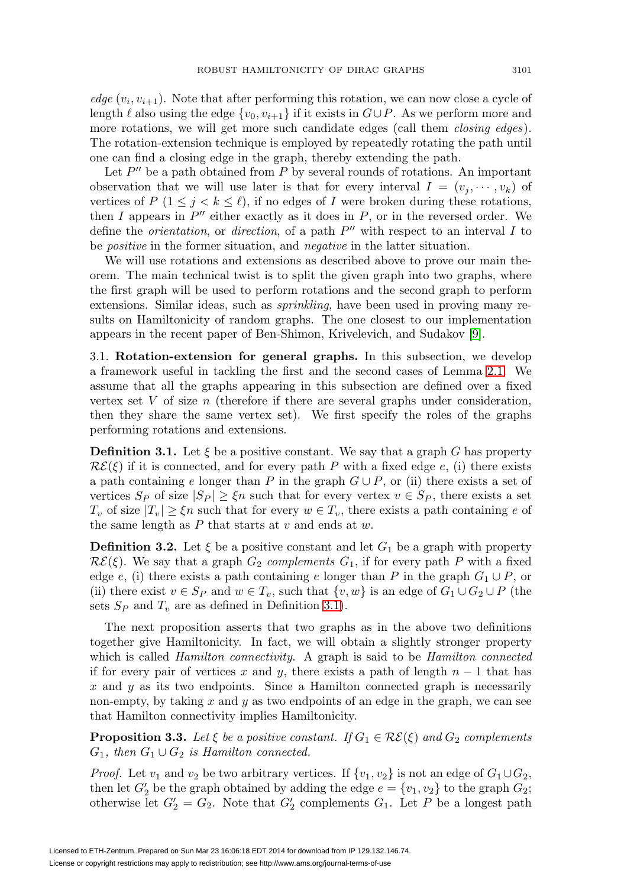edge  $(v_i, v_{i+1})$ . Note that after performing this rotation, we can now close a cycle of length  $\ell$  also using the edge  $\{v_0, v_{i+1}\}\$  if it exists in  $G \cup P$ . As we perform more and more rotations, we will get more such candidate edges (call them *closing edges*). The rotation-extension technique is employed by repeatedly rotating the path until one can find a closing edge in the graph, thereby extending the path.

Let  $P''$  be a path obtained from P by several rounds of rotations. An important observation that we will use later is that for every interval  $I = (v_i, \dots, v_k)$  of vertices of P ( $1 \leq j \leq k \leq \ell$ ), if no edges of I were broken during these rotations, then I appears in  $P''$  either exactly as it does in  $P$ , or in the reversed order. We define the *orientation*, or *direction*, of a path  $P''$  with respect to an interval I to be positive in the former situation, and negative in the latter situation.

We will use rotations and extensions as described above to prove our main theorem. The main technical twist is to split the given graph into two graphs, where the first graph will be used to perform rotations and the second graph to perform extensions. Similar ideas, such as sprinkling, have been used in proving many results on Hamiltonicity of random graphs. The one closest to our implementation appears in the recent paper of Ben-Shimon, Krivelevich, and Sudakov [\[9\]](#page-34-5).

3.1. **Rotation-extension for general graphs.** In this subsection, we develop a framework useful in tackling the first and the second cases of Lemma [2.1.](#page-3-0) We assume that all the graphs appearing in this subsection are defined over a fixed vertex set  $V$  of size  $n$  (therefore if there are several graphs under consideration, then they share the same vertex set). We first specify the roles of the graphs performing rotations and extensions.

<span id="page-6-0"></span>**Definition 3.1.** Let  $\xi$  be a positive constant. We say that a graph G has property  $\mathcal{RE}(\xi)$  if it is connected, and for every path P with a fixed edge e, (i) there exists a path containing e longer than P in the graph  $G \cup P$ , or (ii) there exists a set of vertices  $S_P$  of size  $|S_P| \geq \xi n$  such that for every vertex  $v \in S_P$ , there exists a set  $T_v$  of size  $|T_v| \geq \xi n$  such that for every  $w \in T_v$ , there exists a path containing e of the same length as  $P$  that starts at  $v$  and ends at  $w$ .

<span id="page-6-1"></span>**Definition 3.2.** Let  $\xi$  be a positive constant and let  $G_1$  be a graph with property  $\mathcal{RE}(\xi)$ . We say that a graph  $G_2$  complements  $G_1$ , if for every path P with a fixed edge e, (i) there exists a path containing e longer than P in the graph  $G_1 \cup P$ , or (ii) there exist  $v \in S_P$  and  $w \in T_v$ , such that  $\{v, w\}$  is an edge of  $G_1 \cup G_2 \cup P$  (the sets  $S_P$  and  $T_v$  are as defined in Definition [3.1\)](#page-6-0).

The next proposition asserts that two graphs as in the above two definitions together give Hamiltonicity. In fact, we will obtain a slightly stronger property which is called *Hamilton connectivity*. A graph is said to be *Hamilton connected* if for every pair of vertices x and y, there exists a path of length  $n-1$  that has  $x$  and  $y$  as its two endpoints. Since a Hamilton connected graph is necessarily non-empty, by taking  $x$  and  $y$  as two endpoints of an edge in the graph, we can see that Hamilton connectivity implies Hamiltonicity.

<span id="page-6-2"></span>**Proposition 3.3.** Let  $\xi$  be a positive constant. If  $G_1 \in \mathcal{RE}(\xi)$  and  $G_2$  complements  $G_1$ , then  $G_1 \cup G_2$  is Hamilton connected.

*Proof.* Let  $v_1$  and  $v_2$  be two arbitrary vertices. If  $\{v_1, v_2\}$  is not an edge of  $G_1 \cup G_2$ , then let  $G_2'$  be the graph obtained by adding the edge  $e = \{v_1, v_2\}$  to the graph  $G_2$ ; otherwise let  $G_2' = G_2$ . Note that  $G_2'$  complements  $G_1$ . Let P be a longest path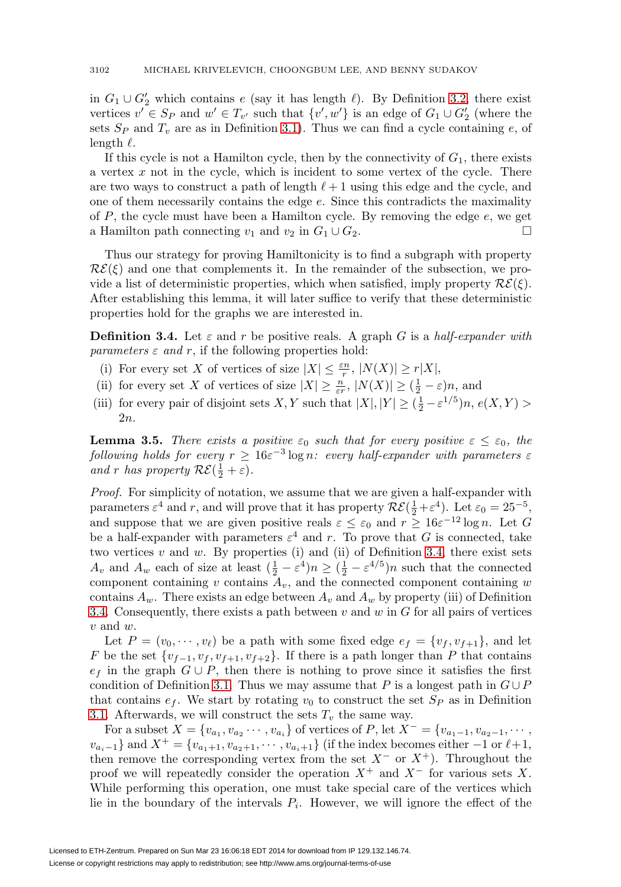in  $G_1 \cup G_2'$  which contains e (say it has length  $\ell$ ). By Definition [3.2,](#page-6-1) there exist vertices  $v' \in S_P$  and  $w' \in T_{v'}$  such that  $\{v', w'\}$  is an edge of  $G_1 \cup G'_2$  (where the sets  $S_P$  and  $T_v$  are as in Definition [3.1\)](#page-6-0). Thus we can find a cycle containing e, of length  $\ell$ .

If this cycle is not a Hamilton cycle, then by the connectivity of  $G_1$ , there exists a vertex  $x$  not in the cycle, which is incident to some vertex of the cycle. There are two ways to construct a path of length  $\ell + 1$  using this edge and the cycle, and one of them necessarily contains the edge e. Since this contradicts the maximality of  $P$ , the cycle must have been a Hamilton cycle. By removing the edge  $e$ , we get a Hamilton path connecting  $v_1$  and  $v_2$  in  $G_1 \cup G_2$ .  $\Box$ 

Thus our strategy for proving Hamiltonicity is to find a subgraph with property  $\mathcal{RE}(\xi)$  and one that complements it. In the remainder of the subsection, we provide a list of deterministic properties, which when satisfied, imply property  $\mathcal{RE}(\xi)$ . After establishing this lemma, it will later suffice to verify that these deterministic properties hold for the graphs we are interested in.

<span id="page-7-0"></span>**Definition 3.4.** Let  $\varepsilon$  and r be positive reals. A graph G is a half-expander with *parameters*  $\varepsilon$  *and*  $r$ , if the following properties hold:

- (i) For every set X of vertices of size  $|X| \leq \frac{\varepsilon n}{r}$ ,  $|N(X)| \geq r|X|$ ,
- (ii) for every set X of vertices of size  $|X| \geq \frac{n}{\varepsilon r}$ ,  $|N(X)| \geq (\frac{1}{2} \varepsilon)n$ , and
- (iii) for every pair of disjoint sets X, Y such that  $|X|, |Y| \geq (\frac{1}{2} \varepsilon^{1/5})n, e(X, Y) >$ 2n.

<span id="page-7-1"></span>**Lemma 3.5.** There exists a positive  $\varepsilon_0$  such that for every positive  $\varepsilon \leq \varepsilon_0$ , the following holds for every  $r \geq 16\varepsilon^{-3} \log n$ : every half-expander with parameters  $\varepsilon$ and r has property  $\mathcal{RE}(\frac{1}{2} + \varepsilon)$ .

Proof. For simplicity of notation, we assume that we are given a half-expander with parameters  $\varepsilon^4$  and r, and will prove that it has property  $\mathcal{RE}(\frac{1}{2} + \varepsilon^4)$ . Let  $\varepsilon_0 = 25^{-5}$ , and suppose that we are given positive reals  $\varepsilon \leq \varepsilon_0$  and  $r \geq 16\varepsilon^{-12} \log n$ . Let G be a half-expander with parameters  $\varepsilon^4$  and r. To prove that G is connected, take two vertices  $v$  and  $w$ . By properties (i) and (ii) of Definition [3.4,](#page-7-0) there exist sets  $A_v$  and  $A_w$  each of size at least  $(\frac{1}{2} - \varepsilon^4)n \geq (\frac{1}{2} - \varepsilon^{4/5})n$  such that the connected component containing v contains  $A_v$ , and the connected component containing w contains  $A_w$ . There exists an edge between  $A_v$  and  $A_w$  by property (iii) of Definition [3.4.](#page-7-0) Consequently, there exists a path between  $v$  and  $w$  in  $G$  for all pairs of vertices  $v$  and  $w$ .

Let  $P = (v_0, \dots, v_\ell)$  be a path with some fixed edge  $e_f = \{v_f, v_{f+1}\}\$ , and let F be the set  $\{v_{f-1}, v_f, v_{f+1}, v_{f+2}\}$ . If there is a path longer than P that contains  $e_f$  in the graph  $G \cup P$ , then there is nothing to prove since it satisfies the first condition of Definition [3.1.](#page-6-0) Thus we may assume that P is a longest path in  $G \cup P$ that contains  $e_f$ . We start by rotating  $v_0$  to construct the set  $S_P$  as in Definition [3.1.](#page-6-0) Afterwards, we will construct the sets  $T_v$  the same way.

For a subset  $X = \{v_{a_1}, v_{a_2} \cdots, v_{a_i}\}\$  of vertices of P, let  $X^- = \{v_{a_1-1}, v_{a_2-1}, \cdots, v_{a_i}\}\$  $v_{a_i-1}$ } and  $X^+ = \{v_{a_1+1}, v_{a_2+1}, \cdots, v_{a_i+1}\}$  (if the index becomes either  $-1$  or  $\ell+1$ , then remove the corresponding vertex from the set  $X^-$  or  $X^+$ ). Throughout the proof we will repeatedly consider the operation  $X^+$  and  $X^-$  for various sets X. While performing this operation, one must take special care of the vertices which lie in the boundary of the intervals  $P_i$ . However, we will ignore the effect of the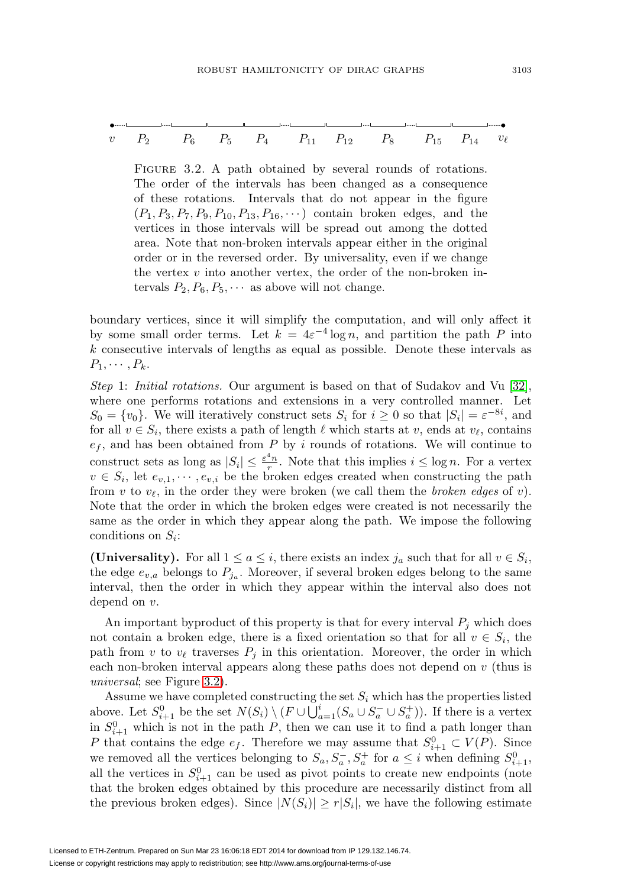$$
v \t P_2 \t P_6 \t P_5 \t P_4 \t P_{11} \t P_{12} \t P_8 \t P_{15} \t P_{14} v_{\ell}
$$

<span id="page-8-0"></span>FIGURE 3.2. A path obtained by several rounds of rotations. The order of the intervals has been changed as a consequence of these rotations. Intervals that do not appear in the figure  $(P_1, P_3, P_7, P_9, P_{10}, P_{13}, P_{16}, \cdots)$  contain broken edges, and the vertices in those intervals will be spread out among the dotted area. Note that non-broken intervals appear either in the original order or in the reversed order. By universality, even if we change the vertex  $v$  into another vertex, the order of the non-broken intervals  $P_2, P_6, P_5, \cdots$  as above will not change.

boundary vertices, since it will simplify the computation, and will only affect it by some small order terms. Let  $k = 4\varepsilon^{-4} \log n$ , and partition the path P into k consecutive intervals of lengths as equal as possible. Denote these intervals as  $P_1, \cdots, P_k$ .

Step 1: Initial rotations. Our argument is based on that of Sudakov and Vu [\[32\]](#page-35-1), where one performs rotations and extensions in a very controlled manner. Let  $S_0 = \{v_0\}$ . We will iteratively construct sets  $S_i$  for  $i \geq 0$  so that  $|S_i| = \varepsilon^{-8i}$ , and for all  $v \in S_i$ , there exists a path of length  $\ell$  which starts at v, ends at  $v_{\ell}$ , contains  $e_f$ , and has been obtained from P by i rounds of rotations. We will continue to construct sets as long as  $|S_i| \leq \frac{\varepsilon^4 n}{r}$ . Note that this implies  $i \leq \log n$ . For a vertex  $v \in S_i$ , let  $e_{v,1}, \dots, e_{v,i}$  be the broken edges created when constructing the path from v to  $v_{\ell}$ , in the order they were broken (we call them the *broken edges* of v). Note that the order in which the broken edges were created is not necessarily the same as the order in which they appear along the path. We impose the following conditions on  $S_i$ :

**(Universality).** For all  $1 \le a \le i$ , there exists an index  $j_a$  such that for all  $v \in S_i$ , the edge  $e_{v,a}$  belongs to  $P_{j_a}$ . Moreover, if several broken edges belong to the same interval, then the order in which they appear within the interval also does not depend on v.

An important byproduct of this property is that for every interval  $P_i$  which does not contain a broken edge, there is a fixed orientation so that for all  $v \in S_i$ , the path from v to  $v_{\ell}$  traverses  $P_i$  in this orientation. Moreover, the order in which each non-broken interval appears along these paths does not depend on v (thus is universal; see Figure [3.2\)](#page-8-0).

Assume we have completed constructing the set  $S_i$  which has the properties listed above. Let  $S_{i+1}^0$  be the set  $N(S_i) \setminus (F \cup \bigcup_{a=1}^i (S_a \cup S_a^- \cup S_a^+) )$ . If there is a vertex in  $S_{i+1}^0$  which is not in the path P, then we can use it to find a path longer than P that contains the edge  $e_f$ . Therefore we may assume that  $S_{i+1}^0 \subset V(P)$ . Since we removed all the vertices belonging to  $S_a, S_a^-, S_a^+$  for  $a \leq i$  when defining  $S_{i+1}^0$ , all the vertices in  $S^0_{i+1}$  can be used as pivot points to create new endpoints (note that the broken edges obtained by this procedure are necessarily distinct from all the previous broken edges). Since  $|N(S_i)| \ge r |S_i|$ , we have the following estimate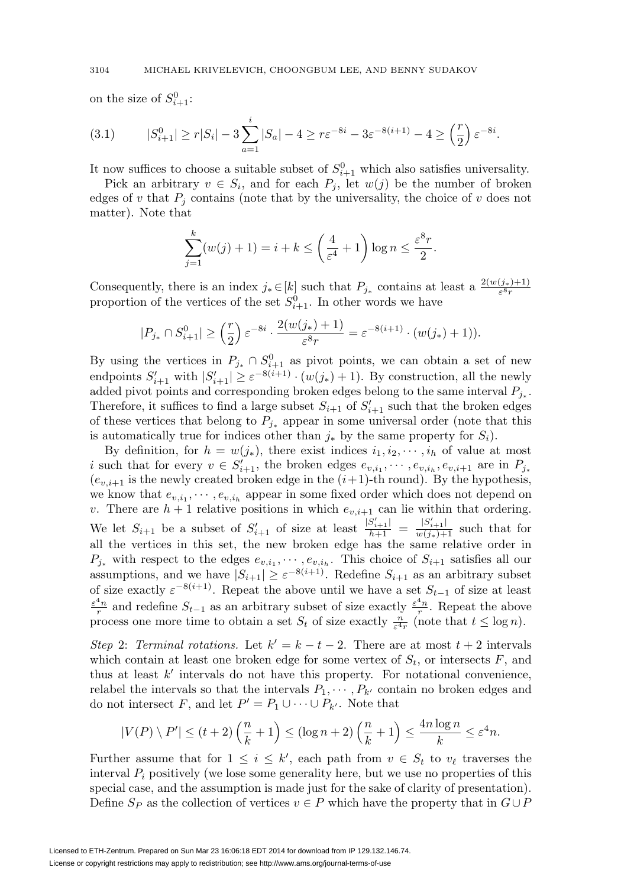on the size of  $S^0_{i+1}$ :

(3.1) 
$$
|S_{i+1}^0| \ge r|S_i| - 3\sum_{a=1}^i |S_a| - 4 \ge r\varepsilon^{-8i} - 3\varepsilon^{-8(i+1)} - 4 \ge \left(\frac{r}{2}\right)\varepsilon^{-8i}.
$$

It now suffices to choose a suitable subset of  $S^0_{i+1}$  which also satisfies universality.

Pick an arbitrary  $v \in S_i$ , and for each  $P_j$ , let  $w(j)$  be the number of broken edges of v that  $P_j$  contains (note that by the universality, the choice of v does not matter). Note that

$$
\sum_{j=1}^{k} (w(j) + 1) = i + k \le \left(\frac{4}{\varepsilon^4} + 1\right) \log n \le \frac{\varepsilon^8 r}{2}.
$$

Consequently, there is an index  $j_* \in [k]$  such that  $P_{j_*}$  contains at least a  $\frac{2(w(j_*)+1)}{\varepsilon^{8}r}$ proportion of the vertices of the set  $S^0_{i+1}$ . In other words we have

$$
|P_{j_*} \cap S^0_{i+1}| \geq \left(\frac{r}{2}\right) \varepsilon^{-8i} \cdot \frac{2(w(j_*)+1)}{\varepsilon^8 r} = \varepsilon^{-8(i+1)} \cdot (w(j_*)+1)).
$$

By using the vertices in  $P_{j_*} \cap S^0_{i+1}$  as pivot points, we can obtain a set of new endpoints  $S'_{i+1}$  with  $|S'_{i+1}| \geq \varepsilon^{-8(i+1)} \cdot (w(j_*)+1)$ . By construction, all the newly added pivot points and corresponding broken edges belong to the same interval  $P_{j_*}$ . Therefore, it suffices to find a large subset  $S_{i+1}$  of  $S'_{i+1}$  such that the broken edges of these vertices that belong to  $P_{j*}$  appear in some universal order (note that this is automatically true for indices other than  $j_*$  by the same property for  $S_i$ ).

By definition, for  $h = w(j_*)$ , there exist indices  $i_1, i_2, \dots, i_h$  of value at most i such that for every  $v \in S'_{i+1}$ , the broken edges  $e_{v,i_1}, \dots, e_{v,i_h}, e_{v,i+1}$  are in  $P_{j_*}$  $(e_{v,i+1}$  is the newly created broken edge in the  $(i+1)$ -th round). By the hypothesis, we know that  $e_{v,i_1}, \dots, e_{v,i_h}$  appear in some fixed order which does not depend on v. There are  $h + 1$  relative positions in which  $e_{v,i+1}$  can lie within that ordering. We let  $S_{i+1}$  be a subset of  $S'_{i+1}$  of size at least  $\frac{|S'_{i+1}|}{h+1} = \frac{|S'_{i+1}|}{w(j_*)+1}$  such that for all the vertices in this set, the new broken edge has the same relative order in  $P_{j_*}$  with respect to the edges  $e_{v,i_1}, \dots, e_{v,i_h}$ . This choice of  $S_{i+1}$  satisfies all our assumptions, and we have  $|S_{i+1}| \geq \varepsilon^{-8(i+1)}$ . Redefine  $S_{i+1}$  as an arbitrary subset of size exactly  $\varepsilon^{-8(i+1)}$ . Repeat the above until we have a set  $S_{t-1}$  of size at least  $\frac{4}{r}$  and redefine  $S_{t-1}$  as an arbitrary subset of size exactly  $\frac{\varepsilon^4 n}{r}$ . Repeat the above process one more time to obtain a set  $S_t$  of size exactly  $\frac{n}{\varepsilon^4 r}$  (note that  $t \leq \log n$ ).

Step 2: Terminal rotations. Let  $k' = k - t - 2$ . There are at most  $t + 2$  intervals which contain at least one broken edge for some vertex of  $S_t$ , or intersects F, and thus at least  $k'$  intervals do not have this property. For notational convenience, relabel the intervals so that the intervals  $P_1, \cdots, P_{k'}$  contain no broken edges and do not intersect F, and let  $P' = P_1 \cup \cdots \cup P_{k'}$ . Note that

$$
|V(P) \setminus P'| \le (t+2) \left(\frac{n}{k} + 1\right) \le (\log n + 2) \left(\frac{n}{k} + 1\right) \le \frac{4n \log n}{k} \le \varepsilon^4 n.
$$

Further assume that for  $1 \leq i \leq k'$ , each path from  $v \in S_t$  to  $v_\ell$  traverses the interval  $P_i$  positively (we lose some generality here, but we use no properties of this special case, and the assumption is made just for the sake of clarity of presentation). Define  $S_P$  as the collection of vertices  $v \in P$  which have the property that in  $G \cup P$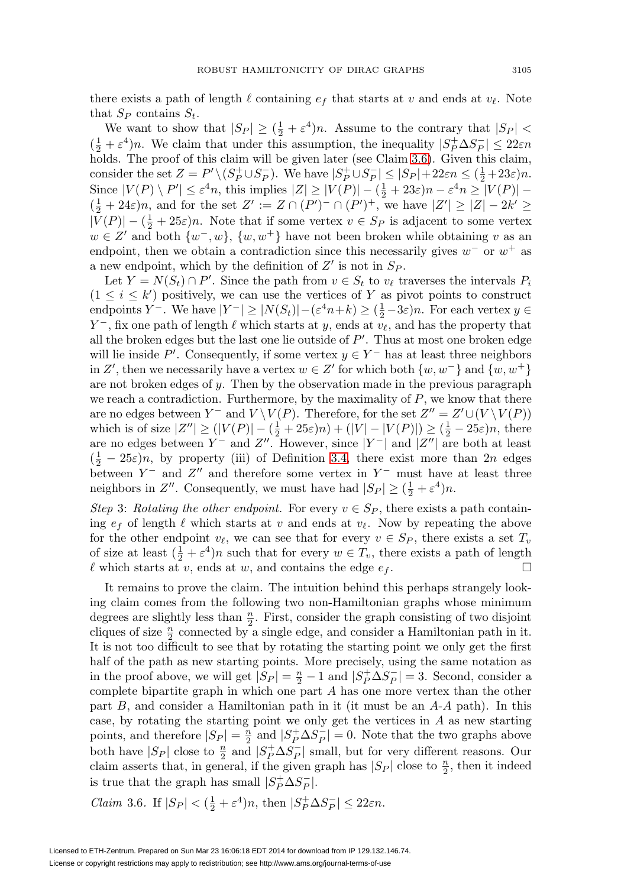there exists a path of length  $\ell$  containing  $e_f$  that starts at v and ends at  $v_{\ell}$ . Note that  $S_P$  contains  $S_t$ .

We want to show that  $|S_P| \geq (\frac{1}{2} + \varepsilon^4)n$ . Assume to the contrary that  $|S_P|$  <  $(\frac{1}{2} + \varepsilon^4)n$ . We claim that under this assumption, the inequality  $|S_P^+ \Delta S_P^-| \leq 22\varepsilon n$ holds. The proof of this claim will be given later (see Claim [3.6\)](#page-10-0). Given this claim, consider the set  $Z = P' \setminus (S_P^+ \cup S_P^-)$ . We have  $|S_P^+ \cup S_P^-| \leq |S_P| + 22\varepsilon n \leq (\frac{1}{2} + 23\varepsilon)n$ . Since  $|V(P) \setminus P'| \leq \varepsilon^4 n$ , this implies  $|Z| \geq |V(P)| - (\frac{1}{2} + 23\varepsilon)n - \varepsilon^4 n \geq |V(P)| (\frac{1}{2} + 24\varepsilon)n$ , and for the set  $Z' := Z \cap (P')^{-} \cap (P')^{+}$ , we have  $|Z'| \geq |Z| - 2k' \geq$  $|V(P)| - (\frac{1}{2} + 25\varepsilon)n$ . Note that if some vertex  $v \in S_P$  is adjacent to some vertex  $w \in Z'$  and both  $\{w^-, w\}, \{w, w^+\}\$  have not been broken while obtaining v as an endpoint, then we obtain a contradiction since this necessarily gives  $w^-$  or  $w^+$  as a new endpoint, which by the definition of  $Z'$  is not in  $S_P$ .

Let  $Y = N(S_t) \cap P'$ . Since the path from  $v \in S_t$  to  $v_\ell$  traverses the intervals  $P_i$  $(1 \leq i \leq k')$  positively, we can use the vertices of Y as pivot points to construct endpoints  $Y^-$ . We have  $|Y^-| \ge |N(S_t)| - (\varepsilon^4 n + k) \ge (\frac{1}{2} - 3\varepsilon)n$ . For each vertex  $y \in$  $Y^-$ , fix one path of length  $\ell$  which starts at y, ends at  $v_\ell$ , and has the property that all the broken edges but the last one lie outside of  $P'$ . Thus at most one broken edge will lie inside P'. Consequently, if some vertex  $y \in Y^-$  has at least three neighbors in Z', then we necessarily have a vertex  $w \in Z'$  for which both  $\{w, w^-\}$  and  $\{w, w^+\}$ are not broken edges of y. Then by the observation made in the previous paragraph we reach a contradiction. Furthermore, by the maximality of  $P$ , we know that there are no edges between  $Y^-$  and  $V \setminus V(P)$ . Therefore, for the set  $Z'' = Z' \cup (V \setminus V(P))$ which is of size  $|Z''| \ge (|V(P)| - (\frac{1}{2} + 25\varepsilon)n) + (|V| - |V(P)|) \ge (\frac{1}{2} - 25\varepsilon)n$ , there are no edges between  $Y^-$  and  $Z''$ . However, since  $|Y^-|$  and  $|Z''|$  are both at least  $(\frac{1}{2} - 25\varepsilon)n$ , by property (iii) of Definition [3.4,](#page-7-0) there exist more than 2n edges between  $Y^-$  and  $Z''$  and therefore some vertex in  $Y^-$  must have at least three neighbors in  $Z''$ . Consequently, we must have had  $|S_P| \geq (\frac{1}{2} + \varepsilon^4)n$ .

Step 3: Rotating the other endpoint. For every  $v \in S_P$ , there exists a path containing  $e_f$  of length  $\ell$  which starts at v and ends at  $v_{\ell}$ . Now by repeating the above for the other endpoint  $v_{\ell}$ , we can see that for every  $v \in S_P$ , there exists a set  $T_v$ of size at least  $(\frac{1}{2} + \varepsilon^4)n$  such that for every  $w \in T_v$ , there exists a path of length  $\ell$  which starts at v, ends at w, and contains the edge  $e_f$ .  $\Box$ 

It remains to prove the claim. The intuition behind this perhaps strangely looking claim comes from the following two non-Hamiltonian graphs whose minimum degrees are slightly less than  $\frac{n}{2}$ . First, consider the graph consisting of two disjoint cliques of size  $\frac{n}{2}$  connected by a single edge, and consider a Hamiltonian path in it. It is not too difficult to see that by rotating the starting point we only get the first half of the path as new starting points. More precisely, using the same notation as in the proof above, we will get  $|S_P| = \frac{n}{2} - 1$  and  $|S_P^+ \Delta S_P^-| = 3$ . Second, consider a complete bipartite graph in which one part A has one more vertex than the other part  $B$ , and consider a Hamiltonian path in it (it must be an  $A-A$  path). In this case, by rotating the starting point we only get the vertices in  $A$  as new starting points, and therefore  $|S_P| = \frac{n}{2}$  and  $|S_P^+ \Delta S_P^-| = 0$ . Note that the two graphs above both have  $|S_P|$  close to  $\frac{n}{2}$  and  $|S_P^+\Delta S_P^-|$  small, but for very different reasons. Our claim asserts that, in general, if the given graph has  $|S_P|$  close to  $\frac{n}{2}$ , then it indeed is true that the graph has small  $|S_P^+\Delta S_P^-|$ .

<span id="page-10-0"></span>Claim 3.6. If 
$$
|S_P| < (\frac{1}{2} + \varepsilon^4)n
$$
, then  $|S_P^+ \Delta S_P^-| \le 22\varepsilon n$ .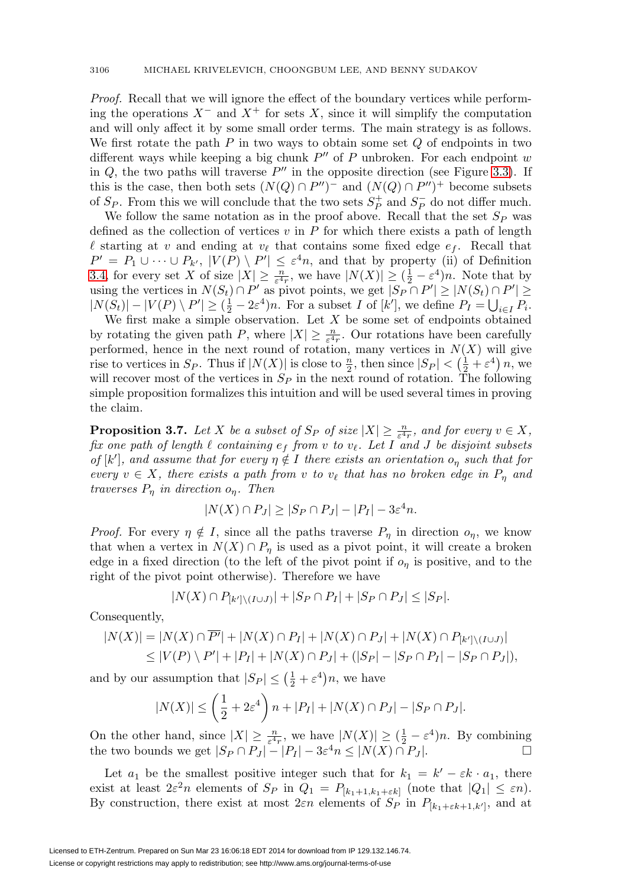Proof. Recall that we will ignore the effect of the boundary vertices while performing the operations  $X^-$  and  $X^+$  for sets X, since it will simplify the computation and will only affect it by some small order terms. The main strategy is as follows. We first rotate the path  $P$  in two ways to obtain some set  $Q$  of endpoints in two different ways while keeping a big chunk  $P''$  of P unbroken. For each endpoint w in  $Q$ , the two paths will traverse  $P''$  in the opposite direction (see Figure [3.3\)](#page-12-0). If this is the case, then both sets  $(N(Q) \cap P'')$ <sup>-</sup> and  $(N(Q) \cap P'')$ <sup>+</sup> become subsets of  $S_P$ . From this we will conclude that the two sets  $S_P^+$  and  $S_P^-$  do not differ much.

We follow the same notation as in the proof above. Recall that the set  $S_P$  was defined as the collection of vertices  $v$  in  $P$  for which there exists a path of length  $\ell$  starting at v and ending at  $v_{\ell}$  that contains some fixed edge  $e_f$ . Recall that  $P' = P_1 \cup \cdots \cup P_{k'}$ ,  $|V(P) \setminus P'| \leq \varepsilon^4 n$ , and that by property (ii) of Definition [3.4,](#page-7-0) for every set X of size  $|X| \geq \frac{n}{\varepsilon^4 r}$ , we have  $|N(X)| \geq (\frac{1}{2} - \varepsilon^4)n$ . Note that by using the vertices in  $N(S_t) \cap P'$  as pivot points, we get  $|S_P \cap P'| \ge |N(S_t) \cap P'| \ge$  $|N(S_t)| - |V(P) \setminus P'| \geq (\frac{1}{2} - 2\varepsilon^4)n$ . For a subset I of  $[k']$ , we define  $P_I = \bigcup_{i \in I} P_i$ .

We first make a simple observation. Let  $X$  be some set of endpoints obtained by rotating the given path P, where  $|X| \geq \frac{n}{\varepsilon^4 r}$ . Our rotations have been carefully performed, hence in the next round of rotation, many vertices in  $N(X)$  will give rise to vertices in  $S_P$ . Thus if  $|N(X)|$  is close to  $\frac{n}{2}$ , then since  $|S_P| < (\frac{1}{2} + \varepsilon^4) n$ , we will recover most of the vertices in  $S_P$  in the next round of rotation. The following simple proposition formalizes this intuition and will be used several times in proving the claim.

<span id="page-11-0"></span>**Proposition 3.7.** Let X be a subset of  $S_P$  of size  $|X| \geq \frac{n}{\varepsilon^4 r}$ , and for every  $v \in X$ , fix one path of length  $\ell$  containing  $e_f$  from v to  $v_{\ell}$ . Let I and J be disjoint subsets of  $[k']$ , and assume that for every  $\eta \notin I$  there exists an orientation  $o_{\eta}$  such that for every  $v \in X$ , there exists a path from v to  $v_{\ell}$  that has no broken edge in  $P_{\eta}$  and traverses  $P_{\eta}$  in direction  $o_{\eta}$ . Then

$$
|N(X) \cap P_J| \ge |S_P \cap P_J| - |P_I| - 3\varepsilon^4 n.
$$

*Proof.* For every  $\eta \notin I$ , since all the paths traverse  $P_{\eta}$  in direction  $o_{\eta}$ , we know that when a vertex in  $N(X) \cap P_{\eta}$  is used as a pivot point, it will create a broken edge in a fixed direction (to the left of the pivot point if  $o<sub>\eta</sub>$  is positive, and to the right of the pivot point otherwise). Therefore we have

$$
|N(X) \cap P_{[k'] \setminus (I \cup J)}| + |S_P \cap P_I| + |S_P \cap P_J| \le |S_P|.
$$

Consequently,

$$
|N(X)| = |N(X) \cap \overline{P'}| + |N(X) \cap P_I| + |N(X) \cap P_J| + |N(X) \cap P_{[k']\setminus (I \cup J)}|
$$
  
\$\leq |V(P) \setminus P'| + |P\_I| + |N(X) \cap P\_J| + (|S\_P| - |S\_P \cap P\_I| - |S\_P \cap P\_J|),

and by our assumption that  $|S_P| \leq (\frac{1}{2} + \varepsilon^4)n$ , we have

$$
|N(X)| \le \left(\frac{1}{2} + 2\varepsilon^4\right)n + |P_I| + |N(X) \cap P_J| - |S_P \cap P_J|.
$$

On the other hand, since  $|X| \geq \frac{n}{\varepsilon^4 r}$ , we have  $|N(X)| \geq (\frac{1}{2} - \varepsilon^4)n$ . By combining the two bounds we get  $|S_P \cap P_J| - |P_I| - 3\varepsilon^4 n \leq |N(X) \cap P_J|$ .

Let  $a_1$  be the smallest positive integer such that for  $k_1 = k' - \varepsilon k \cdot a_1$ , there exist at least  $2\varepsilon^2 n$  elements of  $S_P$  in  $Q_1 = P_{[k_1+1,k_1+\varepsilon k]}$  (note that  $|Q_1| \leq \varepsilon n$ ). By construction, there exist at most  $2\varepsilon n$  elements of  $S_P$  in  $P_{[k_1+\varepsilon k+1,k']}$ , and at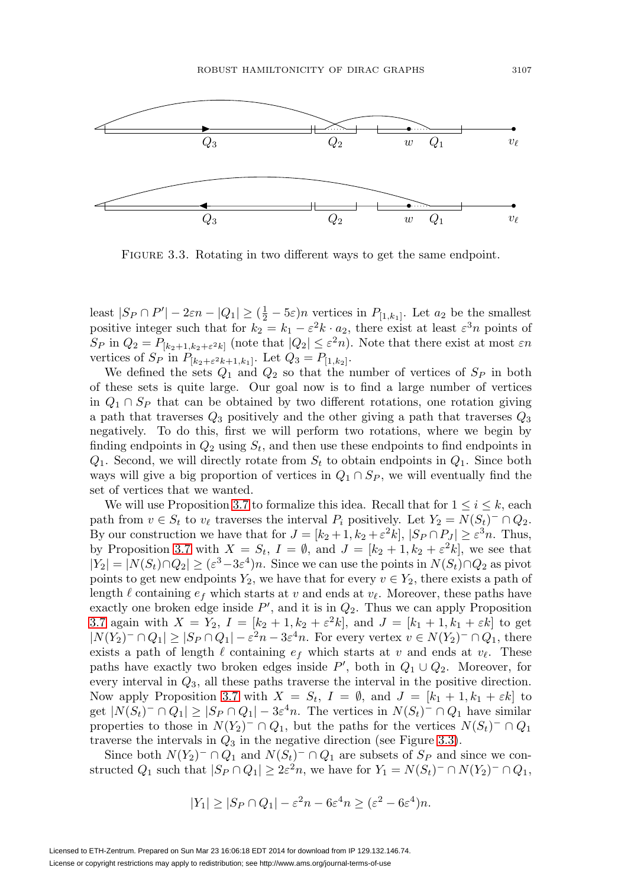

<span id="page-12-0"></span>FIGURE 3.3. Rotating in two different ways to get the same endpoint.

least  $|S_P \cap P'| - 2\varepsilon n - |Q_1| \ge (\frac{1}{2} - 5\varepsilon)n$  vertices in  $P_{[1,k_1]}$ . Let  $a_2$  be the smallest positive integer such that for  $k_2 = k_1 - \varepsilon^2 k \cdot a_2$ , there exist at least  $\varepsilon^3 n$  points of  $S_P$  in  $Q_2 = P_{[k_2+1,k_2+\varepsilon^2k]}$  (note that  $|Q_2| \leq \varepsilon^2 n$ ). Note that there exist at most  $\varepsilon n$ vertices of  $S_P$  in  $P_{[k_2+\varepsilon^2 k+1,k_1]}$ . Let  $Q_3 = P_{[1,k_2]}$ .

We defined the sets  $Q_1$  and  $Q_2$  so that the number of vertices of  $S_P$  in both of these sets is quite large. Our goal now is to find a large number of vertices in  $Q_1 \cap S_P$  that can be obtained by two different rotations, one rotation giving a path that traverses  $Q_3$  positively and the other giving a path that traverses  $Q_3$ negatively. To do this, first we will perform two rotations, where we begin by finding endpoints in  $Q_2$  using  $S_t$ , and then use these endpoints to find endpoints in  $Q_1$ . Second, we will directly rotate from  $S_t$  to obtain endpoints in  $Q_1$ . Since both ways will give a big proportion of vertices in  $Q_1 \cap S_P$ , we will eventually find the set of vertices that we wanted.

We will use Proposition [3.7](#page-11-0) to formalize this idea. Recall that for  $1 \leq i \leq k$ , each path from  $v \in S_t$  to  $v_\ell$  traverses the interval  $P_i$  positively. Let  $Y_2 = N(S_t)^- \cap Q_2$ . By our construction we have that for  $J = [k_2 + 1, k_2 + \varepsilon^2 k]$ ,  $|S_P \cap P_J| \ge \varepsilon^{3n}$ . Thus, by Proposition [3.7](#page-11-0) with  $X = S_t$ ,  $I = \emptyset$ , and  $J = [k_2 + 1, k_2 + \varepsilon^2 k]$ , we see that  $|Y_2| = |N(S_t) \cap Q_2| \geq (\varepsilon^3 - 3\varepsilon^4)n$ . Since we can use the points in  $N(S_t) \cap Q_2$  as pivot points to get new endpoints  $Y_2$ , we have that for every  $v \in Y_2$ , there exists a path of length  $\ell$  containing  $e_f$  which starts at v and ends at  $v_\ell$ . Moreover, these paths have exactly one broken edge inside  $P'$ , and it is in  $Q_2$ . Thus we can apply Proposition [3.7](#page-11-0) again with  $X = Y_2$ ,  $I = [k_2 + 1, k_2 + \varepsilon^2 k]$ , and  $J = [k_1 + 1, k_1 + \varepsilon k]$  to get  $|N(Y_2)^-\cap Q_1|\geq |S_P\cap Q_1|-\varepsilon^2n-3\varepsilon^4n$ . For every vertex  $v\in N(Y_2)^-\cap Q_1$ , there exists a path of length  $\ell$  containing  $e_f$  which starts at v and ends at  $v_{\ell}$ . These paths have exactly two broken edges inside  $P'$ , both in  $Q_1 \cup Q_2$ . Moreover, for every interval in  $Q_3$ , all these paths traverse the interval in the positive direction. Now apply Proposition [3.7](#page-11-0) with  $X = S_t$ ,  $I = \emptyset$ , and  $J = [k_1 + 1, k_1 + \varepsilon k]$  to get  $|N(S_t)^-\cap Q_1|\geq |S_P\cap Q_1|-3\varepsilon^4 n$ . The vertices in  $N(S_t)^-\cap Q_1$  have similar properties to those in  $N(Y_2)$ <sup>–</sup> ∩  $Q_1$ , but the paths for the vertices  $N(S_t)$ <sup>–</sup> ∩  $Q_1$ traverse the intervals in  $Q_3$  in the negative direction (see Figure [3.3\)](#page-12-0).

Since both  $N(Y_2)$ <sup>-</sup> ∩  $Q_1$  and  $N(S_t)$ <sup>-</sup> ∩  $Q_1$  are subsets of  $S_P$  and since we constructed  $Q_1$  such that  $|S_P \cap Q_1| \geq 2\varepsilon^2 n$ , we have for  $Y_1 = N(S_t)^- \cap N(Y_2)^- \cap Q_1$ ,

$$
|Y_1| \ge |S_P \cap Q_1| - \varepsilon^2 n - 6\varepsilon^4 n \ge (\varepsilon^2 - 6\varepsilon^4)n.
$$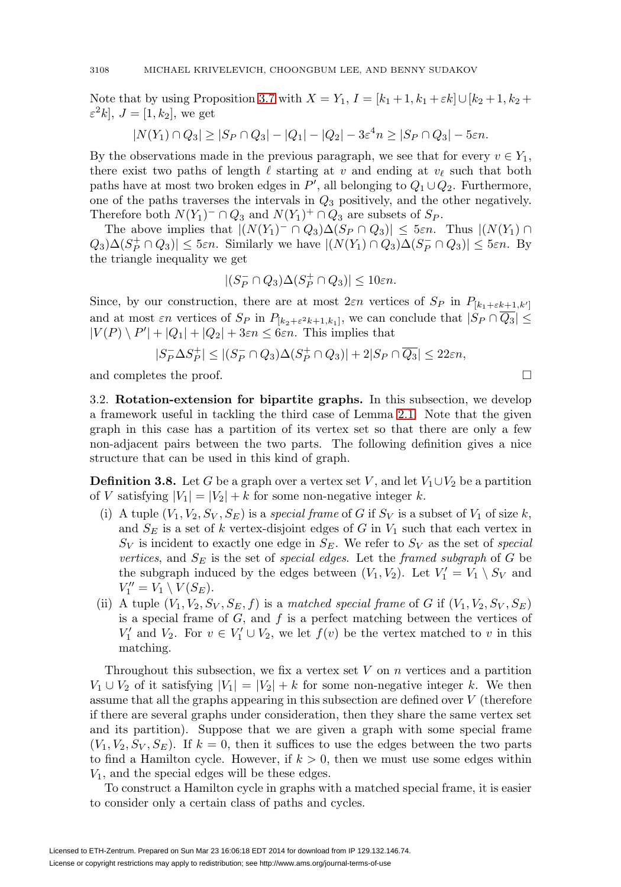Note that by using Proposition [3.7](#page-11-0) with  $X = Y_1$ ,  $I = [k_1 + 1, k_1 + \varepsilon k] \cup [k_2 + 1, k_2 +$  $\varepsilon^2 k$ ,  $J = [1, k_2]$ , we get

$$
|N(Y_1) \cap Q_3| \ge |S_P \cap Q_3| - |Q_1| - |Q_2| - 3\varepsilon^4 n \ge |S_P \cap Q_3| - 5\varepsilon n.
$$

By the observations made in the previous paragraph, we see that for every  $v \in Y_1$ , there exist two paths of length  $\ell$  starting at v and ending at  $v_{\ell}$  such that both paths have at most two broken edges in  $P'$ , all belonging to  $Q_1 \cup Q_2$ . Furthermore, one of the paths traverses the intervals in  $Q_3$  positively, and the other negatively. Therefore both  $N(Y_1)^- \cap Q_3$  and  $N(Y_1)^+ \cap Q_3$  are subsets of  $S_P$ .

The above implies that  $|(N(Y_1)^-\cap Q_3)\Delta(S_P\cap Q_3)|\leq 5\varepsilon n$ . Thus  $|(N(Y_1)\cap Q_3)|\leq 5\varepsilon n$ .  $Q_3\Delta(S_P^+\cap Q_3)|\leq 5\varepsilon n$ . Similarly we have  $|(N(Y_1)\cap Q_3)\Delta(S_P^-\cap Q_3)|\leq 5\varepsilon n$ . By the triangle inequality we get

$$
|(S_P^-\cap Q_3)\Delta(S_P^+\cap Q_3)|\leq 10\varepsilon n.
$$

Since, by our construction, there are at most  $2\varepsilon n$  vertices of  $S_P$  in  $P_{[k_1+\varepsilon k+1,k']}$ and at most  $\varepsilon n$  vertices of  $S_P$  in  $P_{[k_2+\varepsilon^2k+1,k_1]}$ , we can conclude that  $|S_P \cap \overline{Q_3}| \leq$  $|V(P) \setminus P'| + |Q_1| + |Q_2| + 3\varepsilon n \leq 6\varepsilon n$ . This implies that

$$
|S_P^- \Delta S_P^+| \le |(S_P^- \cap Q_3) \Delta (S_P^+ \cap Q_3)| + 2|S_P \cap \overline{Q_3}| \le 22\varepsilon n,
$$

 $\Box$ 

and completes the proof.

3.2. **Rotation-extension for bipartite graphs.** In this subsection, we develop a framework useful in tackling the third case of Lemma [2.1.](#page-3-0) Note that the given graph in this case has a partition of its vertex set so that there are only a few non-adjacent pairs between the two parts. The following definition gives a nice structure that can be used in this kind of graph.

<span id="page-13-0"></span>**Definition 3.8.** Let G be a graph over a vertex set V, and let  $V_1 \cup V_2$  be a partition of V satisfying  $|V_1| = |V_2| + k$  for some non-negative integer k.

- (i) A tuple  $(V_1, V_2, S_V, S_E)$  is a special frame of G if  $S_V$  is a subset of  $V_1$  of size k, and  $S_E$  is a set of k vertex-disjoint edges of G in  $V_1$  such that each vertex in  $S_V$  is incident to exactly one edge in  $S_E$ . We refer to  $S_V$  as the set of special vertices, and  $S_E$  is the set of special edges. Let the framed subgraph of G be the subgraph induced by the edges between  $(V_1, V_2)$ . Let  $V'_1 = V_1 \setminus S_V$  and  $V''_1 = V_1 \setminus V(S_E).$
- (ii) A tuple  $(V_1, V_2, S_V, S_E, f)$  is a matched special frame of G if  $(V_1, V_2, S_V, S_E)$ is a special frame of  $G$ , and  $f$  is a perfect matching between the vertices of  $V'_1$  and  $V_2$ . For  $v \in V'_1 \cup V_2$ , we let  $f(v)$  be the vertex matched to v in this matching.

Throughout this subsection, we fix a vertex set  $V$  on  $n$  vertices and a partition  $V_1 \cup V_2$  of it satisfying  $|V_1| = |V_2| + k$  for some non-negative integer k. We then assume that all the graphs appearing in this subsection are defined over V (therefore if there are several graphs under consideration, then they share the same vertex set and its partition). Suppose that we are given a graph with some special frame  $(V_1, V_2, S_V, S_E)$ . If  $k = 0$ , then it suffices to use the edges between the two parts to find a Hamilton cycle. However, if  $k > 0$ , then we must use some edges within  $V_1$ , and the special edges will be these edges.

To construct a Hamilton cycle in graphs with a matched special frame, it is easier to consider only a certain class of paths and cycles.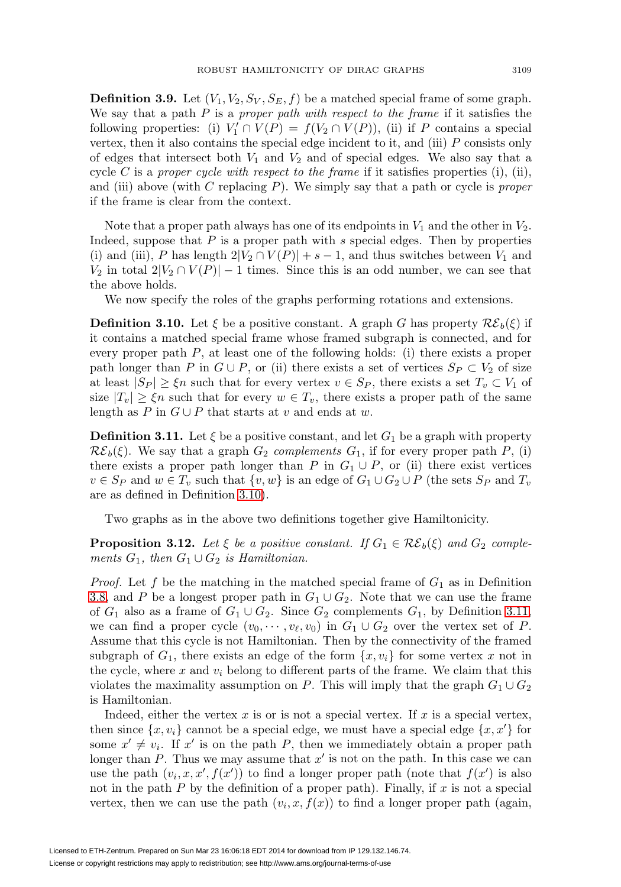**Definition 3.9.** Let  $(V_1, V_2, S_V, S_E, f)$  be a matched special frame of some graph. We say that a path  $P$  is a proper path with respect to the frame if it satisfies the following properties: (i)  $V'_1 \cap V(P) = f(V_2 \cap V(P))$ , (ii) if P contains a special vertex, then it also contains the special edge incident to it, and (iii)  $P$  consists only of edges that intersect both  $V_1$  and  $V_2$  and of special edges. We also say that a cycle C is a proper cycle with respect to the frame if it satisfies properties (i), (ii), and (iii) above (with  $C$  replacing  $P$ ). We simply say that a path or cycle is *proper* if the frame is clear from the context.

Note that a proper path always has one of its endpoints in  $V_1$  and the other in  $V_2$ . Indeed, suppose that  $P$  is a proper path with  $s$  special edges. Then by properties (i) and (iii), P has length  $2|V_2 \cap V(P)| + s - 1$ , and thus switches between  $V_1$  and  $V_2$  in total  $2|V_2 \cap V(P)| - 1$  times. Since this is an odd number, we can see that the above holds.

We now specify the roles of the graphs performing rotations and extensions.

<span id="page-14-0"></span>**Definition 3.10.** Let  $\xi$  be a positive constant. A graph G has property  $\mathcal{RE}_b(\xi)$  if it contains a matched special frame whose framed subgraph is connected, and for every proper path  $P$ , at least one of the following holds: (i) there exists a proper path longer than P in  $G \cup P$ , or (ii) there exists a set of vertices  $S_P \subset V_2$  of size at least  $|S_P| \geq \xi n$  such that for every vertex  $v \in S_P$ , there exists a set  $T_v \subset V_1$  of size  $|T_v| \geq \xi n$  such that for every  $w \in T_v$ , there exists a proper path of the same length as P in  $G \cup P$  that starts at v and ends at w.

<span id="page-14-1"></span>**Definition 3.11.** Let  $\xi$  be a positive constant, and let  $G_1$  be a graph with property  $\mathcal{RE}_b(\xi)$ . We say that a graph  $G_2$  complements  $G_1$ , if for every proper path P, (i) there exists a proper path longer than P in  $G_1 \cup P$ , or (ii) there exist vertices  $v \in S_P$  and  $w \in T_v$  such that  $\{v, w\}$  is an edge of  $G_1 \cup G_2 \cup P$  (the sets  $S_P$  and  $T_v$ are as defined in Definition [3.10\)](#page-14-0).

Two graphs as in the above two definitions together give Hamiltonicity.

<span id="page-14-2"></span>**Proposition 3.12.** Let  $\xi$  be a positive constant. If  $G_1 \in \mathcal{RE}_b(\xi)$  and  $G_2$  complements  $G_1$ , then  $G_1 \cup G_2$  is Hamiltonian.

*Proof.* Let f be the matching in the matched special frame of  $G_1$  as in Definition [3.8,](#page-13-0) and P be a longest proper path in  $G_1 \cup G_2$ . Note that we can use the frame of  $G_1$  also as a frame of  $G_1 \cup G_2$ . Since  $G_2$  complements  $G_1$ , by Definition [3.11,](#page-14-1) we can find a proper cycle  $(v_0, \dots, v_\ell, v_0)$  in  $G_1 \cup G_2$  over the vertex set of P. Assume that this cycle is not Hamiltonian. Then by the connectivity of the framed subgraph of  $G_1$ , there exists an edge of the form  $\{x, v_i\}$  for some vertex x not in the cycle, where x and  $v_i$  belong to different parts of the frame. We claim that this violates the maximality assumption on P. This will imply that the graph  $G_1 \cup G_2$ is Hamiltonian.

Indeed, either the vertex  $x$  is or is not a special vertex. If  $x$  is a special vertex, then since  $\{x, v_i\}$  cannot be a special edge, we must have a special edge  $\{x, x'\}$  for some  $x' \neq v_i$ . If x' is on the path P, then we immediately obtain a proper path longer than P. Thus we may assume that  $x'$  is not on the path. In this case we can use the path  $(v_i, x, x', f(x'))$  to find a longer proper path (note that  $f(x')$  is also not in the path  $P$  by the definition of a proper path). Finally, if  $x$  is not a special vertex, then we can use the path  $(v_i, x, f(x))$  to find a longer proper path (again,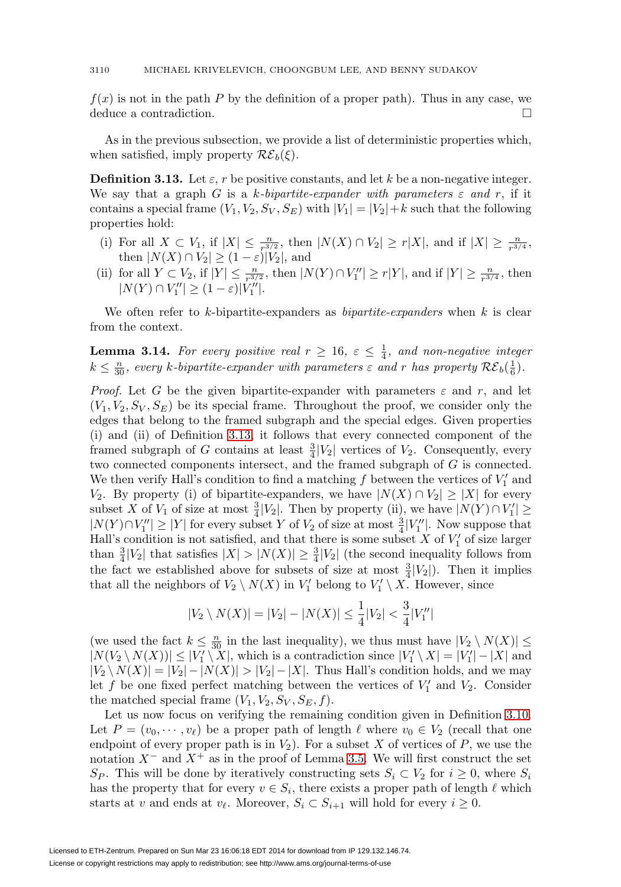$f(x)$  is not in the path P by the definition of a proper path). Thus in any case, we deduce a contradiction.  $\Box$ 

As in the previous subsection, we provide a list of deterministic properties which, when satisfied, imply property  $\mathcal{RE}_b(\xi)$ .

<span id="page-15-0"></span>**Definition 3.13.** Let  $\varepsilon$ , r be positive constants, and let k be a non-negative integer. We say that a graph G is a k-bipartite-expander with parameters  $\varepsilon$  and r, if it contains a special frame  $(V_1, V_2, S_V, S_E)$  with  $|V_1| = |V_2| + k$  such that the following properties hold:

- (i) For all  $X \subset V_1$ , if  $|X| \leq \frac{n}{r^{3/2}}$ , then  $|N(X) \cap V_2| \geq r|X|$ , and if  $|X| \geq \frac{n}{r^{3/4}}$ , then  $|N(X) \cap V_2| \ge (1 - \varepsilon)|V_2|$ , and
- (ii) for all  $Y \subset V_2$ , if  $|Y| \leq \frac{n}{r^{3/2}}$ , then  $|N(Y) \cap V''_1| \geq r|Y|$ , and if  $|Y| \geq \frac{n}{r^{3/4}}$ , then  $|N(Y) \cap V''_1| \geq (1 - \varepsilon)|V''_1|.$

We often refer to  $k$ -bipartite-expanders as *bipartite-expanders* when  $k$  is clear from the context.

<span id="page-15-1"></span>**Lemma 3.14.** For every positive real  $r \geq 16$ ,  $\varepsilon \leq \frac{1}{4}$ , and non-negative integer  $k \leq \frac{n}{30}$ , every k-bipartite-expander with parameters  $\varepsilon$  and r has property  $\mathcal{RE}_b(\frac{1}{6})$ .

*Proof.* Let G be the given bipartite-expander with parameters  $\varepsilon$  and  $r$ , and let  $(V_1, V_2, S_V, S_E)$  be its special frame. Throughout the proof, we consider only the edges that belong to the framed subgraph and the special edges. Given properties (i) and (ii) of Definition [3.13,](#page-15-0) it follows that every connected component of the framed subgraph of G contains at least  $\frac{3}{4}|V_2|$  vertices of  $V_2$ . Consequently, every two connected components intersect, and the framed subgraph of G is connected. We then verify Hall's condition to find a matching  $f$  between the vertices of  $V'_1$  and  $V_2$ . By property (i) of bipartite-expanders, we have  $|N(X) \cap V_2|$  ≥ |X| for every subset X of  $V_1$  of size at most  $\frac{3}{4}|V_2|$ . Then by property (ii), we have  $|N(Y) \cap V_1'| \ge$  $|N(Y) \cap V''_1| \geq |Y|$  for every subset Y of  $V_2$  of size at most  $\frac{3}{4}|V''_1|$ . Now suppose that Hall's condition is not satisfied, and that there is some subset  $X$  of  $V'_1$  of size larger than  $\frac{3}{4}|V_2|$  that satisfies  $|X| > |N(X)| \geq \frac{3}{4}|V_2|$  (the second inequality follows from the fact we established above for subsets of size at most  $\frac{3}{4}|V_2|$ . Then it implies that all the neighbors of  $V_2 \setminus N(X)$  in  $V'_1$  belong to  $V'_1 \setminus X$ . However, since

$$
|V_2 \setminus N(X)| = |V_2| - |N(X)| \le \frac{1}{4}|V_2| < \frac{3}{4}|V_1''|
$$

(we used the fact  $k \leq \frac{n}{30}$  in the last inequality), we thus must have  $|V_2 \setminus N(X)| \leq$  $|N(V_2 \setminus N(X))| \leq |V_1' \setminus X|$ , which is a contradiction since  $|V_1' \setminus X| = |V_1'| - |X|$  and  $|V_2 \setminus N(X)| = |V_2| - |N(X)| > |V_2| - |X|$ . Thus Hall's condition holds, and we may let f be one fixed perfect matching between the vertices of  $V'_1$  and  $V_2$ . Consider the matched special frame  $(V_1, V_2, S_V, S_E, f)$ .

Let us now focus on verifying the remaining condition given in Definition [3.10.](#page-14-0) Let  $P = (v_0, \dots, v_\ell)$  be a proper path of length  $\ell$  where  $v_0 \in V_2$  (recall that one endpoint of every proper path is in  $V_2$ ). For a subset X of vertices of P, we use the notation  $X^-$  and  $X^+$  as in the proof of Lemma [3.5.](#page-7-1) We will first construct the set  $S_P$ . This will be done by iteratively constructing sets  $S_i \subset V_2$  for  $i \geq 0$ , where  $S_i$ has the property that for every  $v \in S_i$ , there exists a proper path of length  $\ell$  which starts at v and ends at  $v_{\ell}$ . Moreover,  $S_i \subset S_{i+1}$  will hold for every  $i \geq 0$ .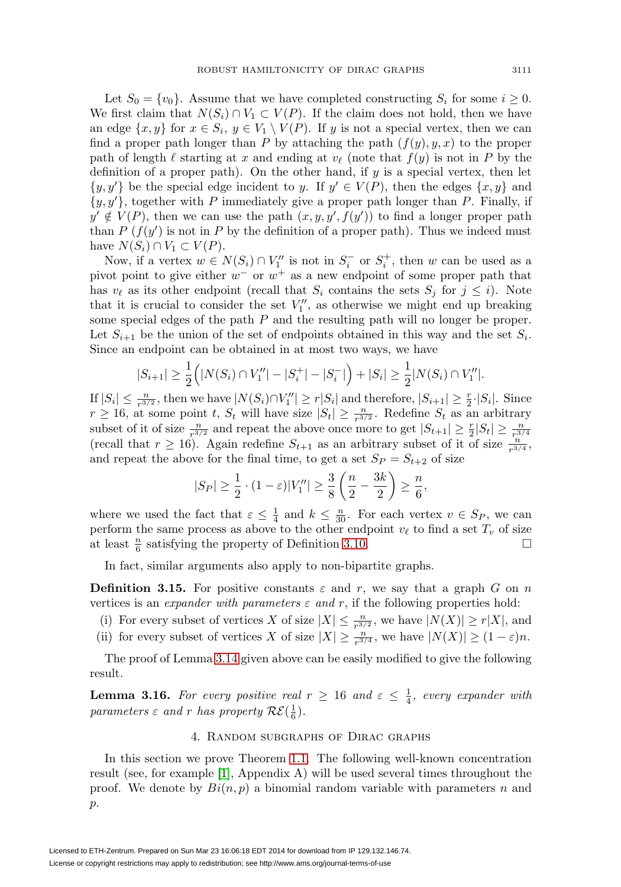Let  $S_0 = \{v_0\}$ . Assume that we have completed constructing  $S_i$  for some  $i \geq 0$ . We first claim that  $N(S_i) \cap V_1 \subset V(P)$ . If the claim does not hold, then we have an edge  $\{x, y\}$  for  $x \in S_i$ ,  $y \in V_1 \setminus V(P)$ . If y is not a special vertex, then we can find a proper path longer than P by attaching the path  $(f(y), y, x)$  to the proper path of length  $\ell$  starting at x and ending at  $v_{\ell}$  (note that  $f(y)$  is not in P by the definition of a proper path). On the other hand, if  $y$  is a special vertex, then let  $\{y, y'\}$  be the special edge incident to y. If  $y' \in V(P)$ , then the edges  $\{x, y\}$  and  $\{y, y'\}$ , together with P immediately give a proper path longer than P. Finally, if  $y' \notin V(P)$ , then we can use the path  $(x, y, y', f(y'))$  to find a longer proper path than P  $(f(y'))$  is not in P by the definition of a proper path). Thus we indeed must have  $N(S_i) \cap V_1 \subset V(P)$ .

Now, if a vertex  $w \in N(S_i) \cap V''_1$  is not in  $S_i^-$  or  $S_i^+$ , then w can be used as a pivot point to give either  $w^-$  or  $w^+$  as a new endpoint of some proper path that has  $v_{\ell}$  as its other endpoint (recall that  $S_i$  contains the sets  $S_j$  for  $j \leq i$ ). Note that it is crucial to consider the set  $V''_1$ , as otherwise we might end up breaking some special edges of the path  $P$  and the resulting path will no longer be proper. Let  $S_{i+1}$  be the union of the set of endpoints obtained in this way and the set  $S_i$ . Since an endpoint can be obtained in at most two ways, we have

$$
|S_{i+1}| \ge \frac{1}{2} (|N(S_i) \cap V''_1| - |S_i^+| - |S_i^-|) + |S_i| \ge \frac{1}{2}|N(S_i) \cap V''_1|.
$$

If  $|S_i| \leq \frac{n}{r^{3/2}}$ , then we have  $|N(S_i) \cap V''_1| \geq r|S_i|$  and therefore,  $|S_{i+1}| \geq \frac{r}{2} \cdot |S_i|$ . Since  $r \ge 16$ , at some point t,  $S_t$  will have size  $|S_t| \ge \frac{n}{r^{3/2}}$ . Redefine  $S_t$  as an arbitrary subset of it of size  $\frac{n}{r^{3/2}}$  and repeat the above once more to get  $|S_{t+1}| \geq \frac{r}{2}|S_t| \geq \frac{n}{r^{3/4}}$ (recall that  $r \ge 16$ ). Again redefine  $S_{t+1}$  as an arbitrary subset of it of size  $\frac{n}{r^{3/4}}$ , and repeat the above for the final time, to get a set  $S_P = S_{t+2}$  of size

$$
|S_P| \ge \frac{1}{2} \cdot (1 - \varepsilon)|V''_1| \ge \frac{3}{8} \left( \frac{n}{2} - \frac{3k}{2} \right) \ge \frac{n}{6},
$$

where we used the fact that  $\varepsilon \leq \frac{1}{4}$  and  $k \leq \frac{n}{30}$ . For each vertex  $v \in S_P$ , we can perform the same process as above to the other endpoint  $v_{\ell}$  to find a set  $T_v$  of size at least  $\frac{n}{6}$  satisfying the property of Definition [3.10.](#page-14-0)  $\Box$  $\Box$ 

In fact, similar arguments also apply to non-bipartite graphs.

<span id="page-16-1"></span>**Definition 3.15.** For positive constants  $\varepsilon$  and r, we say that a graph G on n vertices is an *expander with parameters*  $\varepsilon$  and r, if the following properties hold:

- (i) For every subset of vertices X of size  $|X| \leq \frac{n}{r^{3/2}}$ , we have  $|N(X)| \geq r|X|$ , and
- (ii) for every subset of vertices X of size  $|X| \geq \frac{n}{r^{3/4}}$ , we have  $|N(X)| \geq (1 \varepsilon)n$ .

The proof of Lemma [3.14](#page-15-1) given above can be easily modified to give the following result.

<span id="page-16-0"></span>**Lemma 3.16.** For every positive real  $r \geq 16$  and  $\varepsilon \leq \frac{1}{4}$ , every expander with parameters  $\varepsilon$  and r has property  $\mathcal{RE}(\frac{1}{6})$ .

## 4. Random subgraphs of Dirac graphs

In this section we prove Theorem [1.1.](#page-1-0) The following well-known concentration result (see, for example [\[1\]](#page-33-1), Appendix A) will be used several times throughout the proof. We denote by  $Bi(n, p)$  a binomial random variable with parameters n and p.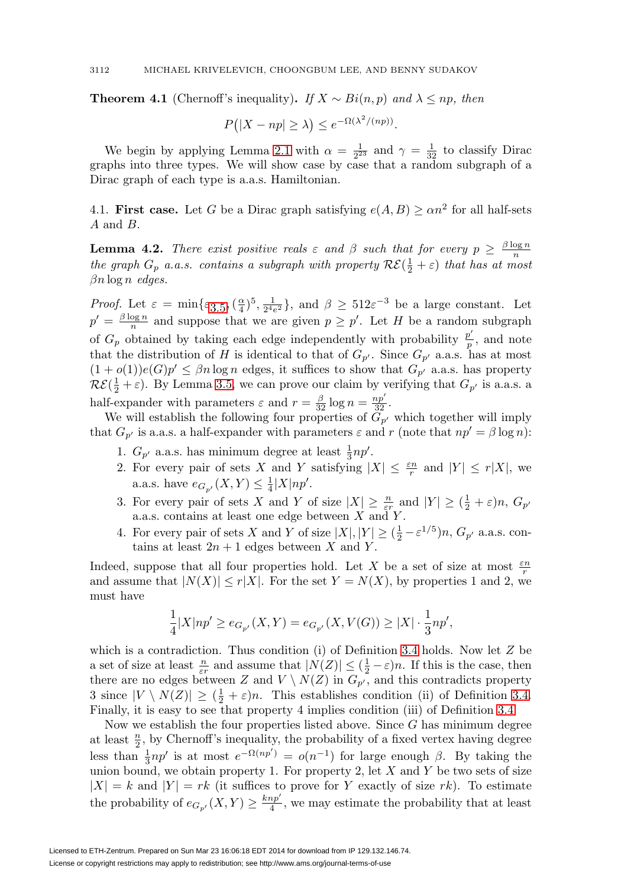**Theorem 4.1** (Chernoff's inequality). If  $X \sim Bi(n, p)$  and  $\lambda \leq np$ , then

$$
P(|X - np| \ge \lambda) \le e^{-\Omega(\lambda^2/(np))}.
$$

We begin by applying Lemma [2.1](#page-3-0) with  $\alpha = \frac{1}{2^{23}}$  and  $\gamma = \frac{1}{32}$  to classify Dirac graphs into three types. We will show case by case that a random subgraph of a Dirac graph of each type is a.a.s. Hamiltonian.

4.1. **First case.** Let G be a Dirac graph satisfying  $e(A, B) \ge \alpha n^2$  for all half-sets A and B.

<span id="page-17-0"></span>**Lemma 4.2.** There exist positive reals  $\varepsilon$  and  $\beta$  such that for every  $p \geq \frac{\beta \log n}{n}$ the graph  $G_p$  a.a.s. contains a subgraph with property  $\mathcal{RE}(\frac{1}{2} + \varepsilon)$  that has at most  $\beta n \log n$  edges.

*Proof.* Let  $\varepsilon = \min\{\varepsilon_{3.5}, (\frac{\alpha}{4})^5, \frac{1}{2^4 e^2}\}\$  $\varepsilon = \min\{\varepsilon_{3.5}, (\frac{\alpha}{4})^5, \frac{1}{2^4 e^2}\}\$  $\varepsilon = \min\{\varepsilon_{3.5}, (\frac{\alpha}{4})^5, \frac{1}{2^4 e^2}\}\$ , and  $\beta \geq 512\varepsilon^{-3}$  be a large constant. Let  $p' = \frac{\beta \log n}{n}$  and suppose that we are given  $p \geq p'$ . Let H be a random subgraph of  $G_p$  obtained by taking each edge independently with probability  $\frac{p'}{p}$ , and note that the distribution of H is identical to that of  $G_{p'}$ . Since  $G_{p'}$  a.a.s. has at most  $(1+o(1))e(G)p' \leq \beta n \log n$  edges, it suffices to show that  $G_{p'}$  a.a.s. has property  $\mathcal{RE}(\frac{1}{2} + \varepsilon)$ . By Lemma [3.5,](#page-7-1) we can prove our claim by verifying that  $G_{p'}$  is a.a.s. a half-expander with parameters  $\varepsilon$  and  $r = \frac{\beta}{32} \log n = \frac{np'}{32}$ .

We will establish the following four properties of  $G_{p'}$  which together will imply that  $G_{p'}$  is a.a.s. a half-expander with parameters  $\varepsilon$  and r (note that  $np' = \beta \log n$ ):

- 1.  $G_{p'}$  a.a.s. has minimum degree at least  $\frac{1}{3}np'$ .
- 2. For every pair of sets X and Y satisfying  $|X| \leq \frac{\varepsilon n}{r}$  and  $|Y| \leq r|X|$ , we a.a.s. have  $e_{G_{p'}}(X,Y) \leq \frac{1}{4}|X|np'.$
- 3. For every pair of sets X and Y of size  $|X| \geq \frac{n}{\varepsilon r}$  and  $|Y| \geq (\frac{1}{2} + \varepsilon)n$ ,  $G_{p'}$ a.a.s. contains at least one edge between  $X$  and  $Y$ .
- 4. For every pair of sets X and Y of size  $|X|, |Y| \ge (\frac{1}{2} \varepsilon^{1/5})n, G_{p'}$  a.a.s. contains at least  $2n + 1$  edges between X and Y.

Indeed, suppose that all four properties hold. Let X be a set of size at most  $\frac{\varepsilon n}{r}$ and assume that  $|N(X)| \le r|X|$ . For the set  $Y = N(X)$ , by properties 1 and 2, we must have

$$
\frac{1}{4}|X|np' \geq e_{G_{p'}}(X,Y) = e_{G_{p'}}(X,V(G)) \geq |X| \cdot \frac{1}{3}np',
$$

which is a contradiction. Thus condition (i) of Definition [3.4](#page-7-0) holds. Now let Z be a set of size at least  $\frac{n}{\varepsilon r}$  and assume that  $|N(Z)| \leq (\frac{1}{2} - \varepsilon)n$ . If this is the case, then there are no edges between Z and  $V \setminus N(Z)$  in  $G_{p'}$ , and this contradicts property 3 since  $|V \setminus N(Z)| \geq (\frac{1}{2} + \varepsilon)n$ . This establishes condition (ii) of Definition [3.4.](#page-7-0) Finally, it is easy to see that property 4 implies condition (iii) of Definition [3.4.](#page-7-0)

Now we establish the four properties listed above. Since  $G$  has minimum degree at least  $\frac{n}{2}$ , by Chernoff's inequality, the probability of a fixed vertex having degree less than  $\frac{1}{3}np'$  is at most  $e^{-\Omega(np')} = o(n^{-1})$  for large enough  $\beta$ . By taking the union bound, we obtain property 1. For property 2, let  $X$  and  $Y$  be two sets of size  $|X| = k$  and  $|Y| = rk$  (it suffices to prove for Y exactly of size rk). To estimate the probability of  $e_{G_{p'}}(X,Y) \geq \frac{knp'}{4}$ , we may estimate the probability that at least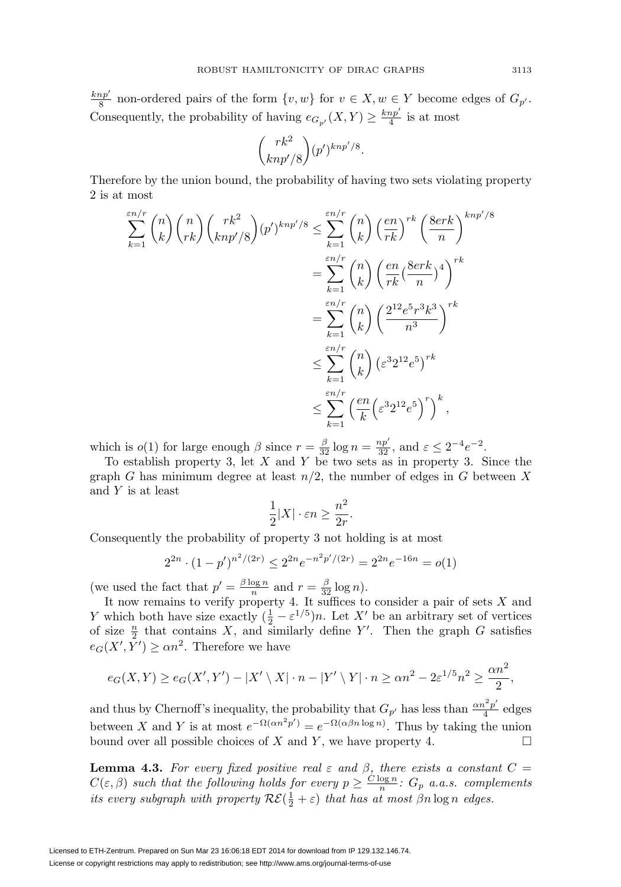$\frac{knp'}{8}$  non-ordered pairs of the form  $\{v, w\}$  for  $v \in X, w \in Y$  become edges of  $G_{p'}$ . Consequently, the probability of having  $e_{G_{p'}}(X,Y) \geq \frac{knp'}{4}$  is at most

$$
\binom{rk^2}{knp'/8} (p')^{knp'/8}.
$$

Therefore by the union bound, the probability of having two sets violating property 2 is at most

$$
\sum_{k=1}^{\varepsilon n/r} \binom{n}{k} \binom{n}{rk} \binom{rk^2}{knp'/8} (p')^{knp'/8} \le \sum_{k=1}^{\varepsilon n/r} \binom{n}{k} \left(\frac{en}{rk}\right)^{rk} \left(\frac{8erk}{n}\right)^{knp'/8}
$$

$$
= \sum_{k=1}^{\varepsilon n/r} \binom{n}{k} \left(\frac{en}{rk} \left(\frac{8erk}{n}\right)^4\right)^{rk}
$$

$$
= \sum_{k=1}^{\varepsilon n/r} \binom{n}{k} \left(\frac{2^{12}e^5r^3k^3}{n^3}\right)^{rk}
$$

$$
\le \sum_{k=1}^{\varepsilon n/r} \binom{n}{k} \left(\varepsilon^3 2^{12}e^5\right)^{rk}
$$

$$
\le \sum_{k=1}^{\varepsilon n/r} \left(\frac{en}{k} \left(\varepsilon^3 2^{12}e^5\right)^r\right)^k,
$$

which is  $o(1)$  for large enough  $\beta$  since  $r = \frac{\beta}{32} \log n = \frac{np'}{32}$ , and  $\varepsilon \leq 2^{-4} e^{-2}$ .

To establish property 3, let  $X$  and  $Y$  be two sets as in property 3. Since the graph G has minimum degree at least  $n/2$ , the number of edges in G between X and Y is at least

$$
\frac{1}{2}|X|\cdot \varepsilon n\geq \frac{n^2}{2r}
$$

.

Consequently the probability of property 3 not holding is at most

$$
2^{2n} \cdot (1 - p')^{n^2/(2r)} \le 2^{2n} e^{-n^2 p'/(2r)} = 2^{2n} e^{-16n} = o(1)
$$

(we used the fact that  $p' = \frac{\beta \log n}{n}$  and  $r = \frac{\beta}{32} \log n$ ).

It now remains to verify property 4. It suffices to consider a pair of sets  $X$  and Y which both have size exactly  $(\frac{1}{2} - \varepsilon^{1/5})n$ . Let X' be an arbitrary set of vertices of size  $\frac{n}{2}$  that contains X, and similarly define Y'. Then the graph G satisfies  $e_G(X', Y') \ge \alpha n^2$ . Therefore we have

$$
e_G(X,Y) \ge e_G(X',Y') - |X' \setminus X| \cdot n - |Y' \setminus Y| \cdot n \ge \alpha n^2 - 2\varepsilon^{1/5} n^2 \ge \frac{\alpha n^2}{2},
$$

and thus by Chernoff's inequality, the probability that  $G_{p'}$  has less than  $\frac{\alpha n^2 p'}{4}$  edges between X and Y is at most  $e^{-\Omega(\alpha n^2 p')} = e^{-\Omega(\alpha \beta n \log n)}$ . Thus by taking the union bound over all possible choices of X and Y, we have property 4.  $\Box$ 

<span id="page-18-0"></span>**Lemma 4.3.** For every fixed positive real  $\varepsilon$  and  $\beta$ , there exists a constant  $C =$  $C(\varepsilon,\beta)$  such that the following holds for every  $p \geq \frac{C \log n}{n}$ :  $G_p$  a.a.s. complements its every subgraph with property  $\mathcal{RE}(\frac{1}{2} + \varepsilon)$  that has at most  $\beta n \log n$  edges.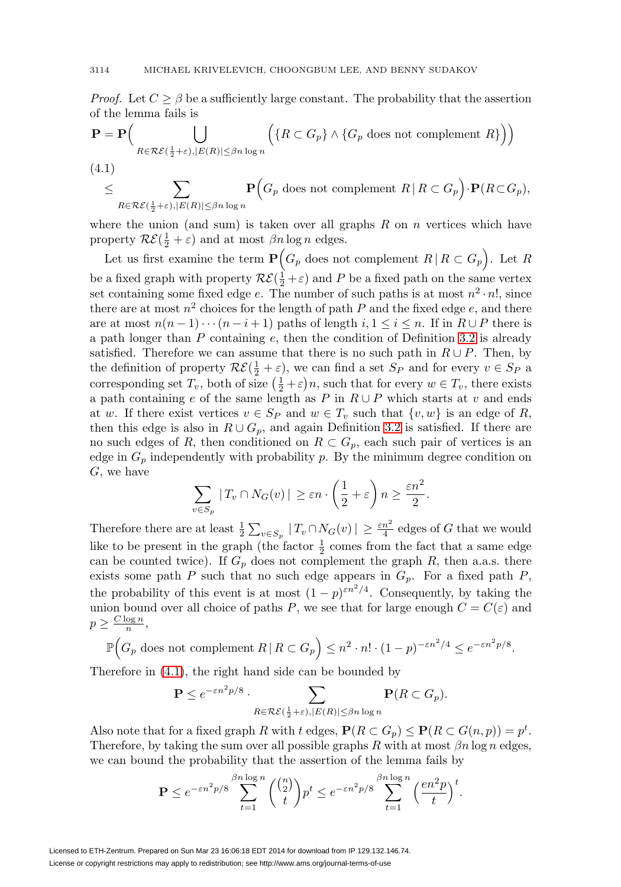*Proof.* Let  $C \geq \beta$  be a sufficiently large constant. The probability that the assertion of the lemma fails is

$$
\mathbf{P} = \mathbf{P} \Big( \bigcup_{R \in \mathcal{RE}(\frac{1}{2} + \varepsilon), |E(R)| \le \beta n \log n} \Big( \{ R \subset G_p \} \wedge \{ G_p \text{ does not complement } R \} \Big) \Big)
$$
\n
$$
\leq \sum \qquad \mathbf{P} \Big( G_p \text{ does not complement } R \mid R \subset G_p \Big) \cdot \mathbf{P} (R \subset G_p)
$$

<span id="page-19-0"></span>
$$
\leq \sum_{R \in \mathcal{RE}(\frac{1}{2}+\varepsilon), |E(R)| \leq \beta n \log n} \mathbf{P}\Big(G_p \text{ does not complement } R \,|\, R \subset G_p\Big) \cdot \mathbf{P}(R \subset G_p),
$$

where the union (and sum) is taken over all graphs  $R$  on  $n$  vertices which have property  $\mathcal{RE}(\frac{1}{2} + \varepsilon)$  and at most  $\beta n \log n$  edges.

Let us first examine the term  $P(G_p \text{ does not complement } R \mid R \subset G_p)$ . Let R be a fixed graph with property  $\mathcal{RE}(\frac{1}{2} + \varepsilon)$  and P be a fixed path on the same vertex set containing some fixed edge e. The number of such paths is at most  $n^2 \cdot n!$ , since there are at most  $n^2$  choices for the length of path P and the fixed edge e, and there are at most  $n(n-1)\cdots(n-i+1)$  paths of length  $i, 1 \leq i \leq n$ . If in  $R \cup P$  there is a path longer than  $P$  containing  $e$ , then the condition of Definition [3.2](#page-6-1) is already satisfied. Therefore we can assume that there is no such path in  $R \cup P$ . Then, by the definition of property  $\mathcal{RE}(\frac{1}{2} + \varepsilon)$ , we can find a set  $S_P$  and for every  $v \in S_P$  a corresponding set  $T_v$ , both of size  $(\frac{1}{2} + \varepsilon)n$ , such that for every  $w \in T_v$ , there exists a path containing e of the same length as P in  $R \cup P$  which starts at v and ends at w. If there exist vertices  $v \in S_P$  and  $w \in T_v$  such that  $\{v, w\}$  is an edge of R, then this edge is also in  $R \cup G_p$ , and again Definition [3.2](#page-6-1) is satisfied. If there are no such edges of R, then conditioned on  $R \subset G_p$ , each such pair of vertices is an edge in  $G_p$  independently with probability p. By the minimum degree condition on G, we have

$$
\sum_{v \in S_p} |T_v \cap N_G(v)| \geq \varepsilon n \cdot \left(\frac{1}{2} + \varepsilon\right) n \geq \frac{\varepsilon n^2}{2}.
$$

Therefore there are at least  $\frac{1}{2} \sum_{v \in S_p} |T_v \cap N_G(v)| \geq \frac{\varepsilon n^2}{4}$  edges of G that we would like to be present in the graph (the factor  $\frac{1}{2}$  comes from the fact that a same edge can be counted twice). If  $G_p$  does not complement the graph R, then a.a.s. there exists some path P such that no such edge appears in  $G_p$ . For a fixed path P, the probability of this event is at most  $(1-p)^{\epsilon n^2/4}$ . Consequently, by taking the union bound over all choice of paths P, we see that for large enough  $C = C(\varepsilon)$  and  $p \geq \frac{C \log n}{n},$ 

$$
\mathbb{P}\Big(G_p \text{ does not complement } R \,|\, R \subset G_p\Big) \le n^2 \cdot n! \cdot (1-p)^{-\varepsilon n^2/4} \le e^{-\varepsilon n^2 p/8}.
$$

Therefore in [\(4.1\)](#page-19-0), the right hand side can be bounded by

$$
\mathbf{P} \le e^{-\varepsilon n^2 p/8} \cdot \sum_{R \in \mathcal{R} \mathcal{E}(\frac{1}{2} + \varepsilon), |E(R)| \le \beta n \log n} \mathbf{P}(R \subset G_p).
$$

Also note that for a fixed graph R with t edges,  $P(R \subset G_p) \leq P(R \subset G(n, p)) = p^t$ . Therefore, by taking the sum over all possible graphs R with at most  $\beta n \log n$  edges, we can bound the probability that the assertion of the lemma fails by

$$
\mathbf{P} \le e^{-\varepsilon n^2 p/8} \sum_{t=1}^{\beta n \log n} \binom{\binom{n}{2}}{t} p^t \le e^{-\varepsilon n^2 p/8} \sum_{t=1}^{\beta n \log n} \left(\frac{en^2 p}{t}\right)^t.
$$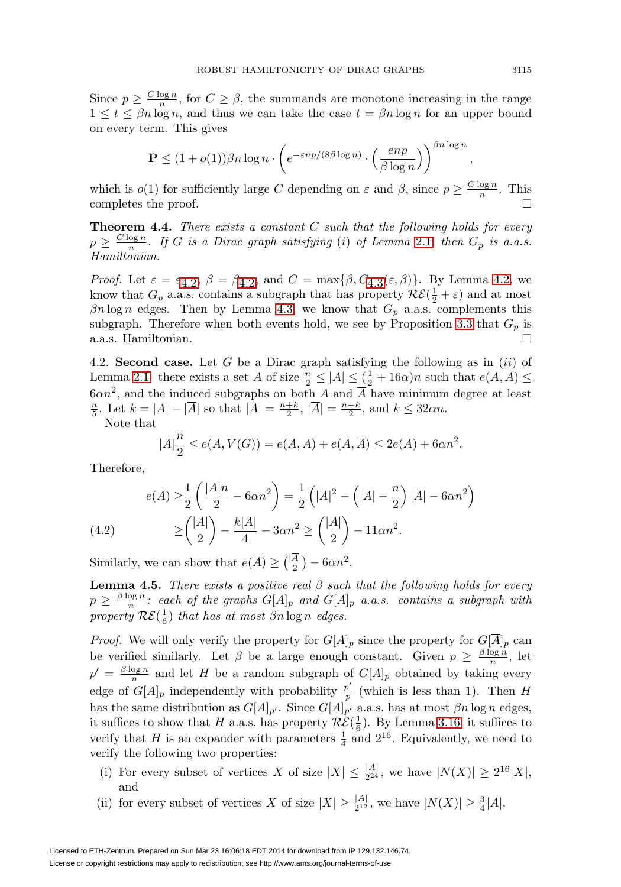Since  $p \geq \frac{C \log n}{n}$ , for  $C \geq \beta$ , the summands are monotone increasing in the range  $1 \leq t \leq \beta n \log n$ , and thus we can take the case  $t = \beta n \log n$  for an upper bound on every term. This gives

$$
\mathbf{P} \le (1+o(1)) \beta n \log n \cdot \left(e^{-\varepsilon n p/(8\beta \log n)} \cdot \left(\frac{e n p}{\beta \log n}\right)\right)^{\beta n \log n}
$$

which is  $o(1)$  for sufficiently large C depending on  $\varepsilon$  and  $\beta$ , since  $p \geq \frac{C \log n}{n}$ . This completes the proof.

**Theorem 4.4.** There exists a constant C such that the following holds for every  $p \geq \frac{C \log n}{n}$ . If G is a Dirac graph satisfying (i) of Lemma [2.1](#page-3-0), then  $G_p$  is a.a.s. Hamiltonian.

*Proof.* Let  $\varepsilon = \varepsilon_{4,2}$ ,  $\beta = \beta_{4,2}$ , and  $C = \max{\beta, C_{4,3}(\varepsilon, \beta)}$ . By Lemma [4.2](#page-17-0), we know that  $G_p$  a.a.s. contains a subgraph that has property  $\mathcal{RE}(\frac{1}{2} + \varepsilon)$  and at most  $\beta n \log n$  edges. Then by Lemma [4.3,](#page-18-0) we know that  $G_p$  a.a.s. complements this subgraph. Therefore when both events hold, we see by Proposition [3.3](#page-6-2) that  $G_p$  is a.a.s. Hamiltonian. -

4.2. **Second case.** Let G be a Dirac graph satisfying the following as in (ii) of Lemma [2.1:](#page-3-0) there exists a set A of size  $\frac{n}{2} \leq |A| \leq (\frac{1}{2} + 16\alpha)n$  such that  $e(A, \overline{A}) \leq$  $6\alpha n^2$ , and the induced subgraphs on both A and  $\overline{A}$  have minimum degree at least  $\frac{n}{5}$ . Let  $k = |A| - |\overline{A}|$  so that  $|A| = \frac{n+k}{2}$ ,  $|\overline{A}| = \frac{n-k}{2}$ , and  $k \leq 32\alpha n$ .

Note that

$$
|A|\frac{n}{2} \le e(A, V(G)) = e(A, A) + e(A, \overline{A}) \le 2e(A) + 6\alpha n^2.
$$

Therefore,

(4.2) 
$$
e(A) \ge \frac{1}{2} \left( \frac{|A|n}{2} - 6\alpha n^2 \right) = \frac{1}{2} \left( |A|^2 - \left( |A| - \frac{n}{2} \right) |A| - 6\alpha n^2 \right)
$$

$$
\ge \binom{|A|}{2} - \frac{k|A|}{4} - 3\alpha n^2 \ge \binom{|A|}{2} - 11\alpha n^2.
$$

<span id="page-20-0"></span>Similarly, we can show that  $e(\overline{A}) \geq {\binom{|A|}{2}} - 6\alpha n^2$ .

<span id="page-20-1"></span>**Lemma 4.5.** There exists a positive real  $\beta$  such that the following holds for every  $p \geq \frac{\beta \log n}{n}$ : each of the graphs  $G[A]_p$  and  $G[\overline{A}]_p$  a.a.s. contains a subgraph with property  $\mathcal{RE}(\frac{1}{6})$  that has at most  $\beta n \log n$  edges.

*Proof.* We will only verify the property for  $G[A]_p$  since the property for  $G[\overline{A}]_p$  can be verified similarly. Let  $\beta$  be a large enough constant. Given  $p \geq \frac{\beta \log n}{n}$ , let  $p' = \frac{\beta \log n}{n}$  and let H be a random subgraph of  $G[A]_p$  obtained by taking every edge of  $G[A]_p$  independently with probability  $\frac{p'}{p}$  (which is less than 1). Then H has the same distribution as  $G[A]_{p'}$ . Since  $G[A]_{p'}$  a.a.s. has at most  $\beta n \log n$  edges, it suffices to show that H a.a.s. has property  $\mathcal{RE}(\frac{1}{6})$ . By Lemma [3.16,](#page-16-0) it suffices to verify that H is an expander with parameters  $\frac{1}{4}$  and  $2^{16}$ . Equivalently, we need to verify the following two properties:

- (i) For every subset of vertices X of size  $|X| \leq \frac{|A|}{2^{24}}$ , we have  $|N(X)| \geq 2^{16}|X|$ , and
- (ii) for every subset of vertices X of size  $|X| \geq \frac{|A|}{2^{12}}$ , we have  $|N(X)| \geq \frac{3}{4}|A|$ .

,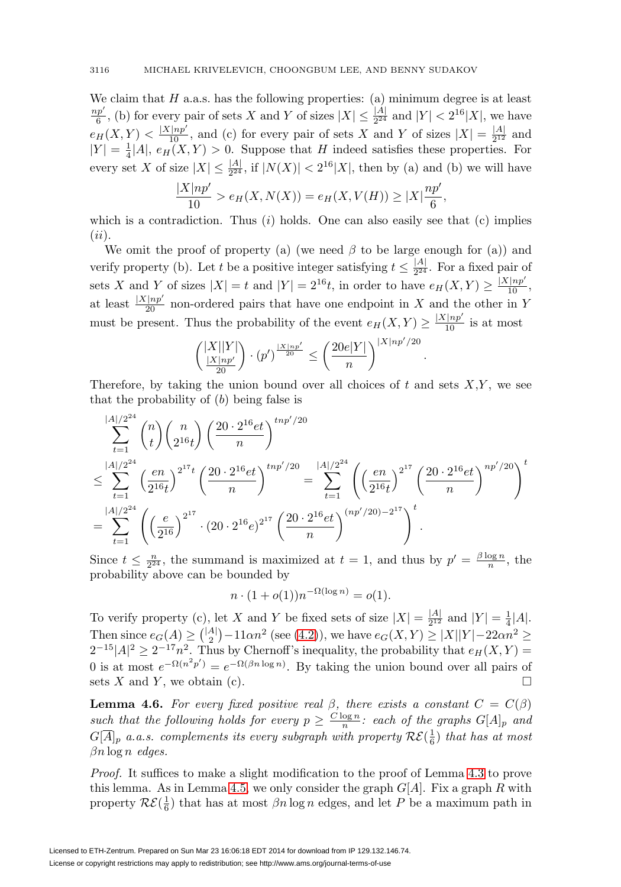We claim that  $H$  a.a.s. has the following properties: (a) minimum degree is at least  $\frac{np'}{6}$ , (b) for every pair of sets X and Y of sizes  $|X| \leq \frac{|A|}{2^{24}}$  and  $|Y| < 2^{16}|X|$ , we have  $e_H(X,Y) < \frac{|X|np'}{10}$ , and (c) for every pair of sets X and Y of sizes  $|X| = \frac{|A|}{2^{12}}$  and  $|Y| = \frac{1}{4}|A|, e_H(X, Y) > 0.$  Suppose that H indeed satisfies these properties. For every set X of size  $|X| \leq \frac{|A|}{2^{24}}$ , if  $|N(X)| < 2^{16}|X|$ , then by (a) and (b) we will have

$$
\frac{|X|np'}{10} > e_H(X, N(X)) = e_H(X, V(H)) \ge |X|\frac{np'}{6},
$$

which is a contradiction. Thus  $(i)$  holds. One can also easily see that  $(c)$  implies  $(ii).$ 

We omit the proof of property (a) (we need  $\beta$  to be large enough for (a)) and verify property (b). Let t be a positive integer satisfying  $t \leq \frac{|A|}{2^{24}}$ . For a fixed pair of sets X and Y of sizes  $|X| = t$  and  $|Y| = 2^{16}t$ , in order to have  $e_H(X, Y) \ge \frac{|X|^{np'}}{10}$ , at least  $\frac{|X|np'}{20}$  non-ordered pairs that have one endpoint in X and the other in Y must be present. Thus the probability of the event  $e_H(X,Y) \geq \frac{|X|np'}{10}$  is at most

$$
\binom{|X||Y|}{\frac{|X|np'}{20}} \cdot (p')^{\frac{|X|np'}{20}} \le \left(\frac{20e|Y|}{n}\right)^{|X|np'/20}
$$

.

Therefore, by taking the union bound over all choices of  $t$  and sets  $X, Y$ , we see that the probability of  $(b)$  being false is

$$
\sum_{t=1}^{|A|/2^{24}} \binom{n}{t} \binom{n}{2^{16}t} \left(\frac{20 \cdot 2^{16} e t}{n}\right)^{tnp'/20} \n\leq \sum_{t=1}^{|A|/2^{24}} \left(\frac{en}{2^{16}t}\right)^{2^{17}t} \left(\frac{20 \cdot 2^{16} e t}{n}\right)^{tnp'/20} = \sum_{t=1}^{|A|/2^{24}} \left(\left(\frac{en}{2^{16}t}\right)^{2^{17}} \left(\frac{20 \cdot 2^{16} e t}{n}\right)^{nrp'/20}\right)^t \n= \sum_{t=1}^{|A|/2^{24}} \left(\left(\frac{e}{2^{16}}\right)^{2^{17}} \cdot (20 \cdot 2^{16} e)^{2^{17}} \left(\frac{20 \cdot 2^{16} e t}{n}\right)^{(np'/20)-2^{17}}\right)^t.
$$

Since  $t \leq \frac{n}{2^{24}}$ , the summand is maximized at  $t = 1$ , and thus by  $p' = \frac{\beta \log n}{n}$ , the probability above can be bounded by

$$
n \cdot (1 + o(1))n^{-\Omega(\log n)} = o(1).
$$

To verify property (c), let X and Y be fixed sets of size  $|X| = \frac{|A|}{2^{12}}$  and  $|Y| = \frac{1}{4}|A|$ . Then since  $e_G(A) \geq {\binom{|A|}{2}} - 11 \alpha n^2$  (see [\(4.2\)](#page-20-0)), we have  $e_G(X, Y) \geq |X||Y| - 22 \alpha n^2 \geq$  $2^{-15}|A|^2 \geq 2^{-17}n^2$ . Thus by Chernoff's inequality, the probability that  $e_H(X, Y) =$ 0 is at most  $e^{-\Omega(n^2 p')} = e^{-\Omega(\beta n \log n)}$ . By taking the union bound over all pairs of sets X and Y, we obtain (c).  $\square$ 

<span id="page-21-0"></span>**Lemma 4.6.** For every fixed positive real  $\beta$ , there exists a constant  $C = C(\beta)$ such that the following holds for every  $p \geq \frac{C \log n}{n}$ : each of the graphs  $G[A]_p$  and  $G[\overline{A}]_p$  a.a.s. complements its every subgraph with property  $\mathcal{RE}(\frac{1}{6})$  that has at most  $\beta n \log n$  edges.

Proof. It suffices to make a slight modification to the proof of Lemma [4.3](#page-18-0) to prove this lemma. As in Lemma [4.5,](#page-20-1) we only consider the graph  $G[A]$ . Fix a graph R with property  $R\mathcal{E}(\frac{1}{6})$  that has at most  $\beta n \log n$  edges, and let P be a maximum path in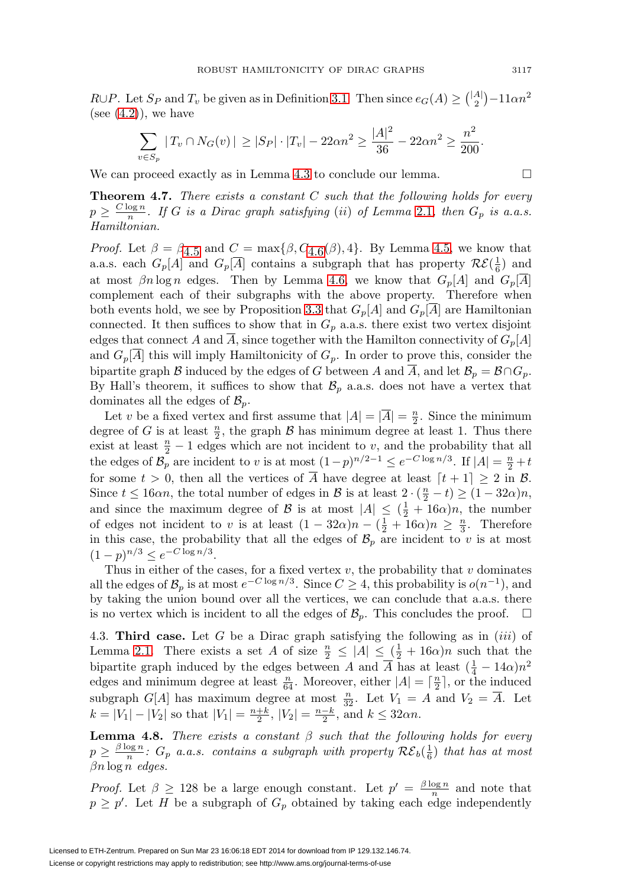$R \cup P$ . Let  $S_P$  and  $T_v$  be given as in Definition [3.1.](#page-6-0) Then since  $e_G(A) \geq {\binom{|A|}{2}} - 11 \alpha n^2$ (see  $(4.2)$ ), we have

$$
\sum_{v \in S_p} |T_v \cap N_G(v)| \ge |S_P| \cdot |T_v| - 22\alpha n^2 \ge \frac{|A|^2}{36} - 22\alpha n^2 \ge \frac{n^2}{200}.
$$

We can proceed exactly as in Lemma [4.3](#page-18-0) to conclude our lemma.  $\Box$ 

**Theorem 4.7.** There exists a constant C such that the following holds for every  $p \geq \frac{C \log n}{n}$ . If G is a Dirac graph satisfying (ii) of Lemma [2.1](#page-3-0), then  $G_p$  is a.a.s. Hamiltonian.

*Proof.* Let  $\beta = \beta_{4.5}$  $\beta = \beta_{4.5}$  $\beta = \beta_{4.5}$  and  $C = \max{\{\beta, C_{4.6}(\beta), 4\}}$  $C = \max{\{\beta, C_{4.6}(\beta), 4\}}$  $C = \max{\{\beta, C_{4.6}(\beta), 4\}}$ . By Lemma [4.5,](#page-20-1) we know that a.a.s. each  $G_p[A]$  and  $G_p[\overline{A}]$  contains a subgraph that has property  $\mathcal{RE}(\frac{1}{6})$  and at most  $\beta n \log n$  edges. Then by Lemma [4.6,](#page-21-0) we know that  $G_p[A]$  and  $G_p[A]$ complement each of their subgraphs with the above property. Therefore when both events hold, we see by Proposition [3.3](#page-6-2) that  $G_p[A]$  and  $G_p[A]$  are Hamiltonian connected. It then suffices to show that in  $G_p$  a.a.s. there exist two vertex disjoint edges that connect A and A, since together with the Hamilton connectivity of  $G_p[A]$ and  $G_p[\overline{A}]$  this will imply Hamiltonicity of  $G_p$ . In order to prove this, consider the bipartite graph B induced by the edges of G between A and  $\overline{A}$ , and let  $\mathcal{B}_p = \mathcal{B} \cap G_p$ . By Hall's theorem, it suffices to show that  $\mathcal{B}_p$  a.a.s. does not have a vertex that dominates all the edges of  $\mathcal{B}_p$ .

Let v be a fixed vertex and first assume that  $|A| = |\overline{A}| = \frac{n}{2}$ . Since the minimum degree of G is at least  $\frac{n}{2}$ , the graph B has minimum degree at least 1. Thus there exist at least  $\frac{n}{2} - 1$  edges which are not incident to v, and the probability that all the edges of  $\mathcal{B}_p$  are incident to v is at most  $(1-p)^{n/2-1} \le e^{-C \log n/3}$ . If  $|A| = \frac{n}{2} + t$ for some  $t > 0$ , then all the vertices of  $\overline{A}$  have degree at least  $[t + 1] \geq 2$  in  $\mathcal{B}$ . Since  $t \le 16\alpha n$ , the total number of edges in B is at least  $2 \cdot (\frac{n}{2} - t) \ge (1 - 32\alpha)n$ , and since the maximum degree of B is at most  $|A| \leq (\frac{1}{2} + 16\alpha)n$ , the number of edges not incident to v is at least  $(1 - 32\alpha)n - (\frac{1}{2} + 16\alpha)n \ge \frac{n}{3}$ . Therefore in this case, the probability that all the edges of  $\mathcal{B}_p$  are incident to v is at most  $(1-p)^{n/3} < e^{-C \log n/3}$ .

Thus in either of the cases, for a fixed vertex  $v$ , the probability that  $v$  dominates all the edges of  $\mathcal{B}_p$  is at most  $e^{-C \log n/3}$ . Since  $C \geq 4$ , this probability is  $o(n^{-1})$ , and by taking the union bound over all the vertices, we can conclude that a.a.s. there is no vertex which is incident to all the edges of  $\mathcal{B}_p$ . This concludes the proof.  $\Box$ 

4.3. **Third case.** Let  $G$  be a Dirac graph satisfying the following as in  $(iii)$  of Lemma [2.1.](#page-3-0) There exists a set A of size  $\frac{n}{2} \leq |A| \leq (\frac{1}{2} + 16\alpha)n$  such that the bipartite graph induced by the edges between A and  $\overline{A}$  has at least  $(\frac{1}{4} - 14\alpha)n^2$ edges and minimum degree at least  $\frac{n}{64}$ . Moreover, either  $|A| = \lceil \frac{n}{2} \rceil$ , or the induced subgraph  $G[A]$  has maximum degree at most  $\frac{n}{32}$ . Let  $V_1 = A$  and  $V_2 = \overline{A}$ . Let  $k = |V_1| - |V_2|$  so that  $|V_1| = \frac{n+k}{2}$ ,  $|V_2| = \frac{n-k}{2}$ , and  $k \le 32\alpha n$ .

<span id="page-22-0"></span>**Lemma 4.8.** There exists a constant  $\beta$  such that the following holds for every  $p \geq \frac{\beta \log n}{n}$ :  $G_p$  a.a.s. contains a subgraph with property  $\mathcal{RE}_b(\frac{1}{6})$  that has at most  $\beta n \log n$  edges.

*Proof.* Let  $\beta \geq 128$  be a large enough constant. Let  $p' = \frac{\beta \log n}{n}$  and note that  $p \geq p'$ . Let H be a subgraph of  $G_p$  obtained by taking each edge independently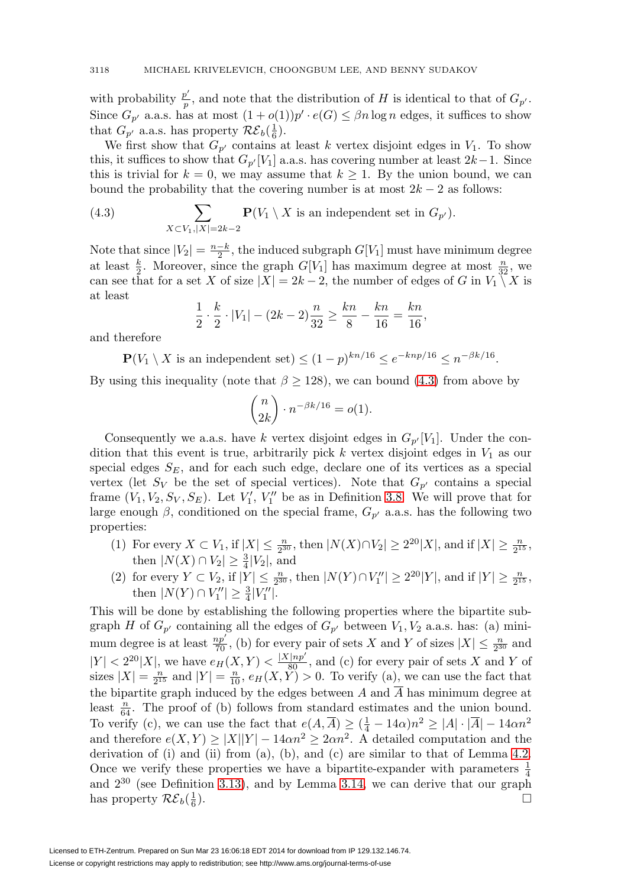with probability  $\frac{p'}{p}$ , and note that the distribution of H is identical to that of  $G_{p'}$ . Since  $G_{p'}$  a.a.s. has at most  $(1+o(1))p' \cdot e(G) \leq \beta n \log n$  edges, it suffices to show that  $G_{p'}$  a.a.s. has property  $\mathcal{RE}_b(\frac{1}{6})$ .

We first show that  $G_{p'}$  contains at least k vertex disjoint edges in  $V_1$ . To show this, it suffices to show that  $G_{p'}[V_1]$  a.a.s. has covering number at least  $2k-1$ . Since this is trivial for  $k = 0$ , we may assume that  $k \geq 1$ . By the union bound, we can bound the probability that the covering number is at most  $2k - 2$  as follows:

<span id="page-23-0"></span>(4.3) 
$$
\sum_{X \subset V_1, |X|=2k-2} \mathbf{P}(V_1 \setminus X \text{ is an independent set in } G_{p'}).
$$

Note that since  $|V_2| = \frac{n-k}{2}$ , the induced subgraph  $G[V_1]$  must have minimum degree at least  $\frac{k}{2}$ . Moreover, since the graph  $G[V_1]$  has maximum degree at most  $\frac{n}{32}$ , we can see that for a set X of size  $|X| = 2k - 2$ , the number of edges of G in  $V_1 \setminus X$  is at least

$$
\frac{1}{2} \cdot \frac{k}{2} \cdot |V_1| - (2k - 2) \frac{n}{32} \ge \frac{kn}{8} - \frac{kn}{16} = \frac{kn}{16},
$$

and therefore

 $\mathbf{P}(V_1 \setminus X \text{ is an independent set}) \leq (1-p)^{kn/16} \leq e^{-knp/16} \leq n^{-\beta k/16}.$ 

By using this inequality (note that  $\beta \geq 128$ ), we can bound [\(4.3\)](#page-23-0) from above by

$$
\binom{n}{2k} \cdot n^{-\beta k/16} = o(1).
$$

Consequently we a.a.s. have k vertex disjoint edges in  $G_{p'}[V_1]$ . Under the condition that this event is true, arbitrarily pick  $k$  vertex disjoint edges in  $V_1$  as our special edges  $S_E$ , and for each such edge, declare one of its vertices as a special vertex (let  $S_V$  be the set of special vertices). Note that  $G_{p'}$  contains a special frame  $(V_1, V_2, S_V, S_E)$ . Let  $V'_1, V''_1$  be as in Definition [3.8.](#page-13-0) We will prove that for large enough  $\beta$ , conditioned on the special frame,  $G_{p'}$  a.a.s. has the following two properties:

- (1) For every  $X \subset V_1$ , if  $|X| \leq \frac{n}{2^{30}}$ , then  $|N(X) \cap V_2| \geq 2^{20}|X|$ , and if  $|X| \geq \frac{n}{2^{15}}$ , then  $|N(X) \cap V_2| \geq \frac{3}{4}|V_2|$ , and
- (2) for every  $Y \subset V_2$ , if  $|Y| \leq \frac{n}{2^{30}}$ , then  $|N(Y) \cap V''_1| \geq 2^{20}|Y|$ , and if  $|Y| \geq \frac{n}{2^{15}}$ , then  $|N(Y) \cap V''_1| \geq \frac{3}{4}|V''_1|$ .

This will be done by establishing the following properties where the bipartite subgraph H of  $G_{p'}$  containing all the edges of  $G_{p'}$  between  $V_1, V_2$  a.a.s. has: (a) minimum degree is at least  $\frac{np'}{70}$ , (b) for every pair of sets X and Y of sizes  $|X| \leq \frac{n}{2^{30}}$  and  $|Y| < 2^{20}|X|$ , we have  $e_H(X,Y) < \frac{|X|np'}{80}$ , and (c) for every pair of sets X and Y of sizes  $|X| = \frac{n}{2^{15}}$  and  $|Y| = \frac{n}{10}$ ,  $e_H(X, \tilde{Y}) > 0$ . To verify (a), we can use the fact that the bipartite graph induced by the edges between A and  $\overline{A}$  has minimum degree at least  $\frac{n}{64}$ . The proof of (b) follows from standard estimates and the union bound. To verify (c), we can use the fact that  $e(A, \overline{A}) \geq (\frac{1}{4} - 14\alpha)n^2 \geq |A| \cdot |\overline{A}| - 14\alpha n^2$ and therefore  $e(X, Y) \ge |X||Y| - 14\alpha n^2 \ge 2\alpha n^2$ . A detailed computation and the derivation of (i) and (ii) from (a), (b), and (c) are similar to that of Lemma  $4.2$ . Once we verify these properties we have a bipartite-expander with parameters  $\frac{1}{4}$ and 2<sup>30</sup> (see Definition [3.13\)](#page-15-0), and by Lemma [3.14,](#page-15-1) we can derive that our graph has property  $\mathcal{RE}_b(\frac{1}{6})$ .  $\frac{1}{6}$ ).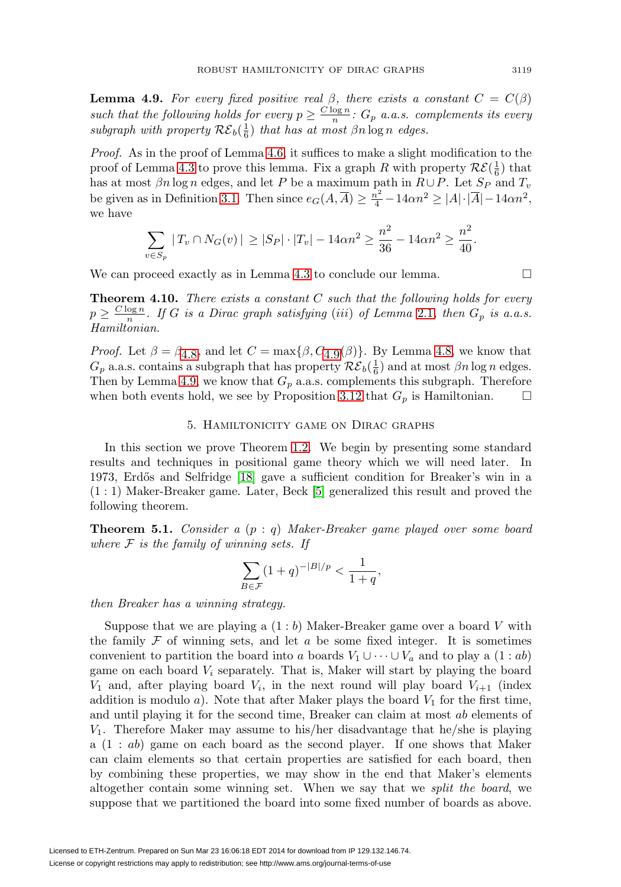<span id="page-24-0"></span>**Lemma 4.9.** For every fixed positive real  $\beta$ , there exists a constant  $C = C(\beta)$ such that the following holds for every  $p \geq \frac{C \log n}{n}$ :  $G_p$  a.a.s. complements its every subgraph with property  $\mathcal{RE}_b(\frac{1}{6})$  that has at most  $\beta n \log n$  edges.

Proof. As in the proof of Lemma [4.6,](#page-21-0) it suffices to make a slight modification to the proof of Lemma [4.3](#page-18-0) to prove this lemma. Fix a graph R with property  $\mathcal{RE}(\frac{1}{6})$  that has at most  $\beta n \log n$  edges, and let P be a maximum path in  $R \cup P$ . Let  $S_P$  and  $T_v$ be given as in Definition [3.1.](#page-6-0) Then since  $e_G(A, \overline{A}) \geq \frac{n^2}{4} - 14\alpha n^2 \geq |A| \cdot |\overline{A}| - 14\alpha n^2$ , we have

$$
\sum_{v \in S_p} |T_v \cap N_G(v)| \ge |S_P| \cdot |T_v| - 14\alpha n^2 \ge \frac{n^2}{36} - 14\alpha n^2 \ge \frac{n^2}{40}.
$$

We can proceed exactly as in Lemma [4.3](#page-18-0) to conclude our lemma.  $\Box$ 

**Theorem 4.10.** There exists a constant C such that the following holds for every  $p \geq \frac{C \log n}{n}$ . If G is a Dirac graph satisfying (iii) of Lemma [2.1](#page-3-0), then  $G_p$  is a.a.s. Hamiltonian.

*Proof.* Let  $\beta = \beta_{4,8}$ , and let  $C = \max{\{\beta, C_{4,9}(\beta)\}}$ . By Lemma [4.8](#page-22-0), we know that  $G_p$  a.a.s. contains a subgraph that has property  $\mathcal{RE}_b(\frac{1}{6})$  and at most  $\beta n \log n$  edges. Then by Lemma [4.9,](#page-24-0) we know that  $G_p$  a.a.s. complements this subgraph. Therefore when both events hold, we see by Proposition [3.12](#page-14-2) that  $G_p$  is Hamiltonian.  $\Box$ 

## 5. Hamiltonicity game on Dirac graphs

In this section we prove Theorem [1.2.](#page-2-0) We begin by presenting some standard results and techniques in positional game theory which we will need later. In 1973, Erdős and Selfridge [\[18\]](#page-34-20) gave a sufficient condition for Breaker's win in a (1 : 1) Maker-Breaker game. Later, Beck [\[5\]](#page-34-17) generalized this result and proved the following theorem.

<span id="page-24-1"></span>**Theorem 5.1.** Consider a  $(p: q)$  Maker-Breaker game played over some board where  $F$  is the family of winning sets. If

$$
\sum_{B \in \mathcal{F}} (1+q)^{-|B|/p} < \frac{1}{1+q},
$$

then Breaker has a winning strategy.

Suppose that we are playing a  $(1:b)$  Maker-Breaker game over a board V with the family  $\mathcal F$  of winning sets, and let  $a$  be some fixed integer. It is sometimes convenient to partition the board into a boards  $V_1 \cup \cdots \cup V_a$  and to play a  $(1 : ab)$ game on each board  $V_i$  separately. That is, Maker will start by playing the board  $V_1$  and, after playing board  $V_i$ , in the next round will play board  $V_{i+1}$  (index addition is modulo  $a$ ). Note that after Maker plays the board  $V_1$  for the first time, and until playing it for the second time, Breaker can claim at most ab elements of  $V_1$ . Therefore Maker may assume to his/her disadvantage that he/she is playing a (1 : ab) game on each board as the second player. If one shows that Maker can claim elements so that certain properties are satisfied for each board, then by combining these properties, we may show in the end that Maker's elements altogether contain some winning set. When we say that we split the board, we suppose that we partitioned the board into some fixed number of boards as above.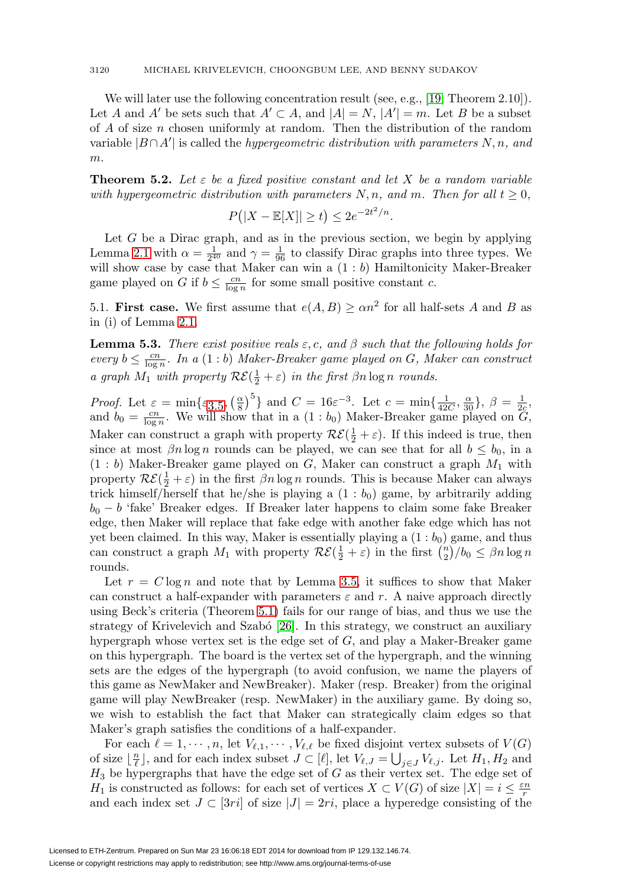We will later use the following concentration result (see, e.g., [\[19,](#page-34-21) Theorem 2.10]). Let A and A' be sets such that  $A' \subset A$ , and  $|A| = N$ ,  $|A'| = m$ . Let B be a subset of A of size n chosen uniformly at random. Then the distribution of the random variable  $|B \cap A'|$  is called the *hypergeometric distribution with parameters* N, n, and  $m$ .

**Theorem 5.2.** Let  $\varepsilon$  be a fixed positive constant and let X be a random variable with hypergeometric distribution with parameters  $N, n$ , and m. Then for all  $t \geq 0$ ,

$$
P(|X - \mathbb{E}[X]| \ge t) \le 2e^{-2t^2/n}.
$$

Let  $G$  be a Dirac graph, and as in the previous section, we begin by applying Lemma [2.1](#page-3-0) with  $\alpha = \frac{1}{2^{40}}$  and  $\gamma = \frac{1}{96}$  to classify Dirac graphs into three types. We will show case by case that Maker can win a  $(1:b)$  Hamiltonicity Maker-Breaker game played on G if  $b \leq \frac{cn}{\log n}$  for some small positive constant c.

5.1. **First case.** We first assume that  $e(A, B) \geq \alpha n^2$  for all half-sets A and B as in (i) of Lemma [2.1.](#page-3-0)

<span id="page-25-0"></span>**Lemma 5.3.** There exist positive reals  $\varepsilon$ , c, and  $\beta$  such that the following holds for every  $b \leq \frac{cn}{\log n}$ . In a  $(1:b)$  Maker-Breaker game played on G, Maker can construct a graph  $M_1$  with property  $\mathcal{RE}(\frac{1}{2} + \varepsilon)$  in the first  $\beta n \log n$  rounds.

*Proof.* Let  $\varepsilon = \min\{\varepsilon_{3.5}, \left(\frac{\alpha}{8}\right)^5\}$  $\varepsilon = \min\{\varepsilon_{3.5}, \left(\frac{\alpha}{8}\right)^5\}$  $\varepsilon = \min\{\varepsilon_{3.5}, \left(\frac{\alpha}{8}\right)^5\}$  and  $C = 16\varepsilon^{-3}$ . Let  $c = \min\{\frac{1}{42C}, \frac{\alpha}{30}\}, \ \beta = \frac{1}{2c}$ , and  $b_0 = \frac{cn}{\log n}$ . We will show that in a  $(1 : b_0)$  Maker-Breaker game played on  $\tilde{G}$ , Maker can construct a graph with property  $\mathcal{RE}(\frac{1}{2} + \varepsilon)$ . If this indeed is true, then since at most  $\beta n \log n$  rounds can be played, we can see that for all  $b \leq b_0$ , in a  $(1 : b)$  Maker-Breaker game played on G, Maker can construct a graph  $M_1$  with property  $\mathcal{RE}(\frac{1}{2} + \varepsilon)$  in the first  $\beta n \log n$  rounds. This is because Maker can always trick himself/herself that he/she is playing a  $(1:b_0)$  game, by arbitrarily adding  $b_0 - b$  'fake' Breaker edges. If Breaker later happens to claim some fake Breaker edge, then Maker will replace that fake edge with another fake edge which has not yet been claimed. In this way, Maker is essentially playing a  $(1:b_0)$  game, and thus can construct a graph  $M_1$  with property  $\mathcal{RE}(\frac{1}{2} + \varepsilon)$  in the first  $\binom{n}{2}/b_0 \le \beta n \log n$ rounds.

Let  $r = C \log n$  and note that by Lemma [3.5,](#page-7-1) it suffices to show that Maker can construct a half-expander with parameters  $\varepsilon$  and r. A naive approach directly using Beck's criteria (Theorem [5.1\)](#page-24-1) fails for our range of bias, and thus we use the strategy of Krivelevich and Szabó  $[26]$ . In this strategy, we construct an auxiliary hypergraph whose vertex set is the edge set of G, and play a Maker-Breaker game on this hypergraph. The board is the vertex set of the hypergraph, and the winning sets are the edges of the hypergraph (to avoid confusion, we name the players of this game as NewMaker and NewBreaker). Maker (resp. Breaker) from the original game will play NewBreaker (resp. NewMaker) in the auxiliary game. By doing so, we wish to establish the fact that Maker can strategically claim edges so that Maker's graph satisfies the conditions of a half-expander.

For each  $\ell = 1, \dots, n$ , let  $V_{\ell,1}, \dots, V_{\ell,\ell}$  be fixed disjoint vertex subsets of  $V(G)$ of size  $\lfloor \frac{n}{\ell} \rfloor$ , and for each index subset  $J \subset [\ell],$  let  $V_{\ell,J} = \bigcup_{j \in J} V_{\ell,j}$ . Let  $H_1, H_2$  and  $H_3$  be hypergraphs that have the edge set of G as their vertex set. The edge set of  $H_1$  is constructed as follows: for each set of vertices  $X \subset V(G)$  of size  $|X| = i \leq \frac{\varepsilon n}{r}$ and each index set  $J \subset [3ri]$  of size  $|J| = 2ri$ , place a hyperedge consisting of the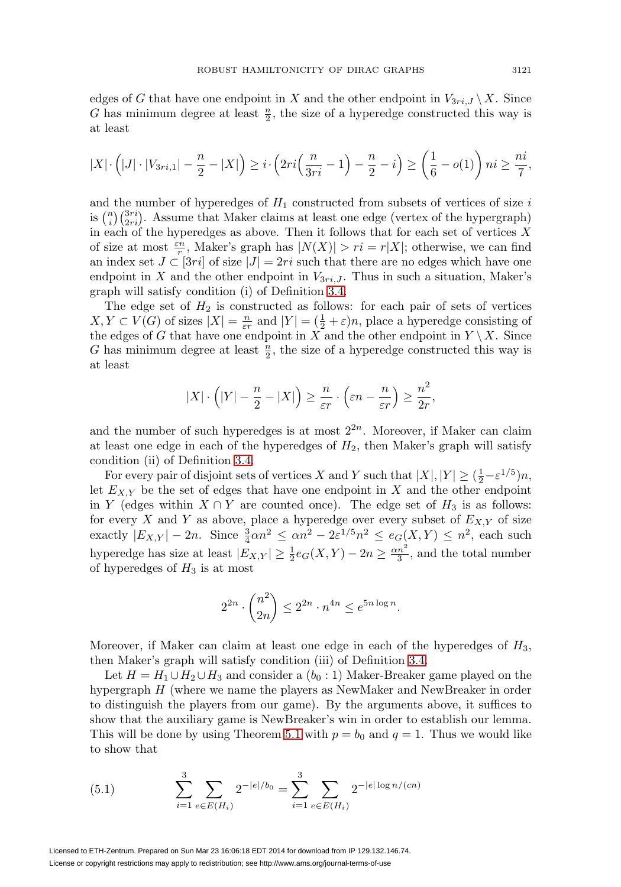edges of G that have one endpoint in X and the other endpoint in  $V_{3ri,J} \backslash X$ . Since G has minimum degree at least  $\frac{n}{2}$ , the size of a hyperedge constructed this way is at least

$$
|X| \cdot \left(|J| \cdot |V_{3ri,1}| - \frac{n}{2} - |X|\right) \geq i \cdot \left(2ri\left(\frac{n}{3ri} - 1\right) - \frac{n}{2} - i\right) \geq \left(\frac{1}{6} - o(1)\right)ni \geq \frac{ni}{7},
$$

and the number of hyperedges of  $H_1$  constructed from subsets of vertices of size i is  $\binom{n}{i}\binom{3ri}{2ri}$ . Assume that Maker claims at least one edge (vertex of the hypergraph) in each of the hyperedges as above. Then it follows that for each set of vertices  $X$ of size at most  $\frac{\varepsilon n}{r}$ , Maker's graph has  $|N(X)| > r i = r |X|$ ; otherwise, we can find an index set  $J \subset [3ri]$  of size  $|J| = 2ri$  such that there are no edges which have one endpoint in X and the other endpoint in  $V_{3ri,J}$ . Thus in such a situation, Maker's graph will satisfy condition (i) of Definition [3.4.](#page-7-0)

The edge set of  $H_2$  is constructed as follows: for each pair of sets of vertices  $X, Y \subset V(G)$  of sizes  $|X| = \frac{n}{\varepsilon r}$  and  $|Y| = (\frac{1}{2} + \varepsilon)n$ , place a hyperedge consisting of the edges of G that have one endpoint in X and the other endpoint in  $Y \setminus X$ . Since G has minimum degree at least  $\frac{n}{2}$ , the size of a hyperedge constructed this way is at least

$$
|X| \cdot \left( |Y| - \frac{n}{2} - |X| \right) \ge \frac{n}{\varepsilon r} \cdot \left( \varepsilon n - \frac{n}{\varepsilon r} \right) \ge \frac{n^2}{2r},
$$

and the number of such hyperedges is at most  $2^{2n}$ . Moreover, if Maker can claim at least one edge in each of the hyperedges of  $H_2$ , then Maker's graph will satisfy condition (ii) of Definition [3.4.](#page-7-0)

For every pair of disjoint sets of vertices X and Y such that  $|X|, |Y| \geq (\frac{1}{2} - \varepsilon^{1/5})n$ , let  $E_{X,Y}$  be the set of edges that have one endpoint in X and the other endpoint in Y (edges within  $X \cap Y$  are counted once). The edge set of  $H_3$  is as follows: for every X and Y as above, place a hyperedge over every subset of  $E_{X,Y}$  of size exactly  $|E_{X,Y}| - 2n$ . Since  $\frac{3}{4}\alpha n^2 \leq \alpha n^2 - 2\varepsilon^{1/5} n^2 \leq e_G(X,Y) \leq n^2$ , each such hyperedge has size at least  $|E_{X,Y}| \ge \frac{1}{2}e_G(X,Y) - 2n \ge \frac{\alpha n^2}{3}$ , and the total number of hyperedges of  $H_3$  is at most

$$
2^{2n} \cdot \binom{n^2}{2n} \le 2^{2n} \cdot n^{4n} \le e^{5n \log n}.
$$

Moreover, if Maker can claim at least one edge in each of the hyperedges of  $H_3$ , then Maker's graph will satisfy condition (iii) of Definition [3.4.](#page-7-0)

Let  $H = H_1 \cup H_2 \cup H_3$  and consider a  $(b_0 : 1)$  Maker-Breaker game played on the hypergraph H (where we name the players as NewMaker and NewBreaker in order to distinguish the players from our game). By the arguments above, it suffices to show that the auxiliary game is NewBreaker's win in order to establish our lemma. This will be done by using Theorem [5.1](#page-24-1) with  $p = b_0$  and  $q = 1$ . Thus we would like to show that

<span id="page-26-0"></span>(5.1) 
$$
\sum_{i=1}^{3} \sum_{e \in E(H_i)} 2^{-|e|/b_0} = \sum_{i=1}^{3} \sum_{e \in E(H_i)} 2^{-|e| \log n/(cn)}
$$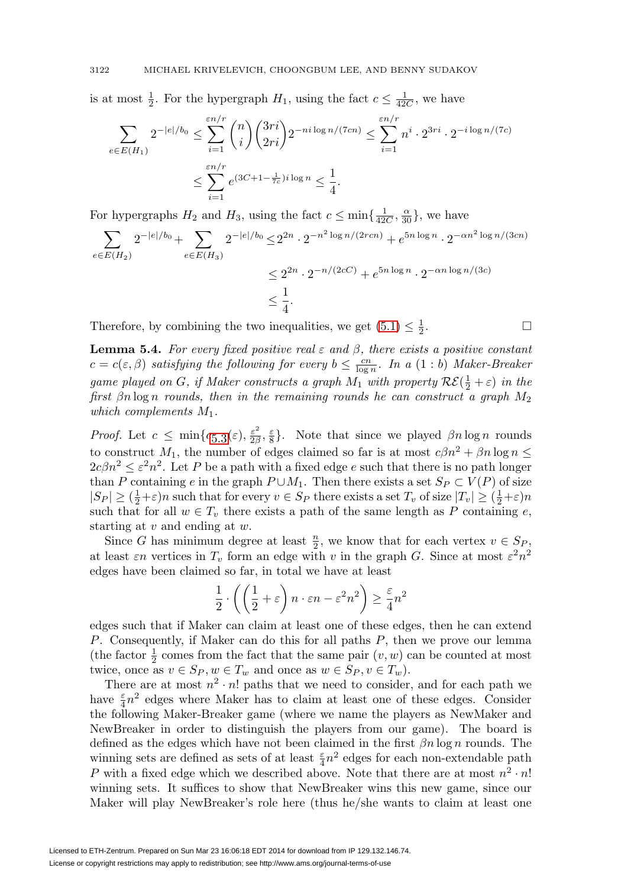is at most  $\frac{1}{2}$ . For the hypergraph  $H_1$ , using the fact  $c \leq \frac{1}{42C}$ , we have

$$
\sum_{e \in E(H_1)} 2^{-|e|/b_0} \le \sum_{i=1}^{\varepsilon n/r} \binom{n}{i} \binom{3ri}{2ri} 2^{-ni \log n/(7cn)} \le \sum_{i=1}^{\varepsilon n/r} n^i \cdot 2^{3ri} \cdot 2^{-i \log n/(7c)}
$$

$$
\le \sum_{i=1}^{\varepsilon n/r} e^{(3C+1-\frac{1}{7c})i \log n} \le \frac{1}{4}.
$$

For hypergraphs  $H_2$  and  $H_3$ , using the fact  $c \le \min\{\frac{1}{42C}, \frac{\alpha}{30}\}\,$ , we have

$$
\sum_{e \in E(H_2)} 2^{-|e|/b_0} + \sum_{e \in E(H_3)} 2^{-|e|/b_0} \le 2^{2n} \cdot 2^{-n^2 \log n/(2rcn)} + e^{5n \log n} \cdot 2^{-\alpha n^2 \log n/(3cn)}
$$
  

$$
\le 2^{2n} \cdot 2^{-n/(2cC)} + e^{5n \log n} \cdot 2^{-\alpha n \log n/(3c)}
$$
  

$$
\le \frac{1}{4}.
$$

Therefore, by combining the two inequalities, we get  $(5.1) \leq \frac{1}{2}$  $(5.1) \leq \frac{1}{2}$ .  $\frac{1}{2}$ .

<span id="page-27-0"></span>**Lemma 5.4.** For every fixed positive real  $\varepsilon$  and  $\beta$ , there exists a positive constant  $c = c(\varepsilon, \beta)$  satisfying the following for every  $b \leq \frac{cn}{\log n}$ . In a  $(1 : b)$  Maker-Breaker game played on G, if Maker constructs a graph  $M_1$  with property  $\mathcal{RE}(\frac{1}{2} + \varepsilon)$  in the first  $\beta n \log n$  rounds, then in the remaining rounds he can construct a graph  $M_2$ which complements  $M_1$ .

 $\Box$ 

*Proof.* Let  $c \le \min\{c_{5,3}(\varepsilon), \frac{\varepsilon^2}{2\beta}, \frac{\varepsilon}{8}\}\.$  Note that since we played  $\beta n \log n$  rounds to construct  $M_1$ , the number of edges claimed so far is at most  $c\beta n^2 + \beta n \log n \leq$  $2c\beta n^2 \leq \varepsilon^2 n^2$ . Let P be a path with a fixed edge e such that there is no path longer than P containing e in the graph  $P \cup M_1$ . Then there exists a set  $S_P \subset V(P)$  of size  $|S_P| \ge (\frac{1}{2} + \varepsilon)n$  such that for every  $v \in S_P$  there exists a set  $T_v$  of size  $|T_v| \ge (\frac{1}{2} + \varepsilon)n$ such that for all  $w \in T_v$  there exists a path of the same length as P containing e, starting at  $v$  and ending at  $w$ .

Since G has minimum degree at least  $\frac{n}{2}$ , we know that for each vertex  $v \in S_P$ , at least  $\varepsilon n$  vertices in  $T_v$  form an edge with v in the graph G. Since at most  $\varepsilon^2 n^2$ edges have been claimed so far, in total we have at least

$$
\frac{1}{2} \cdot \left( \left( \frac{1}{2} + \varepsilon \right) n \cdot \varepsilon n - \varepsilon^2 n^2 \right) \ge \frac{\varepsilon}{4} n^2
$$

edges such that if Maker can claim at least one of these edges, then he can extend P. Consequently, if Maker can do this for all paths P, then we prove our lemma (the factor  $\frac{1}{2}$  comes from the fact that the same pair  $(v, w)$  can be counted at most twice, once as  $v \in S_P, w \in T_w$  and once as  $w \in S_P, v \in T_w$ ).

There are at most  $n^2 \cdot n!$  paths that we need to consider, and for each path we have  $\frac{\varepsilon}{4}n^2$  edges where Maker has to claim at least one of these edges. Consider the following Maker-Breaker game (where we name the players as NewMaker and NewBreaker in order to distinguish the players from our game). The board is defined as the edges which have not been claimed in the first  $\beta n \log n$  rounds. The winning sets are defined as sets of at least  $\frac{\varepsilon}{4}n^2$  edges for each non-extendable path P with a fixed edge which we described above. Note that there are at most  $n^2 \cdot n!$ winning sets. It suffices to show that NewBreaker wins this new game, since our Maker will play NewBreaker's role here (thus he/she wants to claim at least one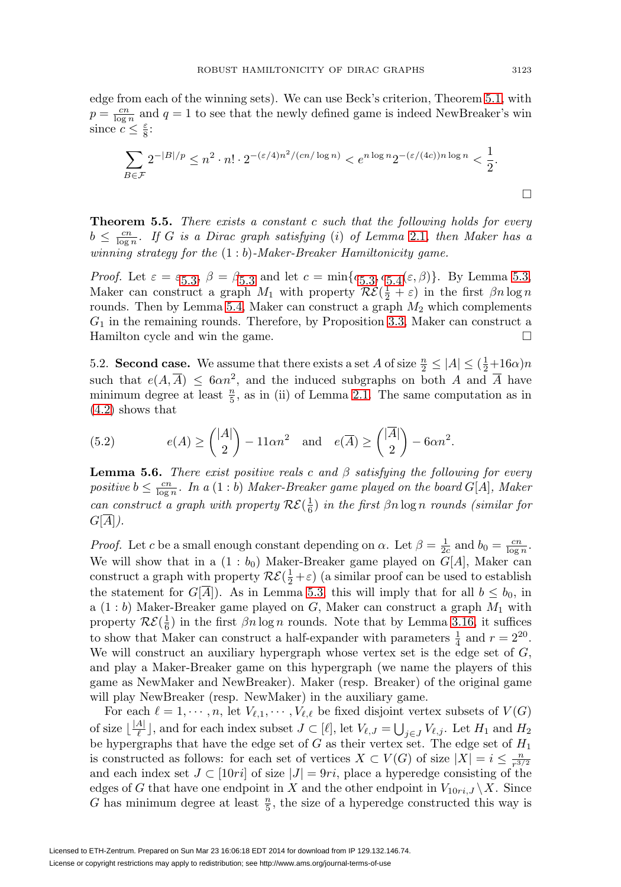edge from each of the winning sets). We can use Beck's criterion, Theorem [5.1,](#page-24-1) with  $p = \frac{cn}{\log n}$  and  $q = 1$  to see that the newly defined game is indeed NewBreaker's win since  $c \leq \frac{\varepsilon}{8}$ :

$$
\sum_{B \in \mathcal{F}} 2^{-|B|/p} \le n^2 \cdot n! \cdot 2^{-(\varepsilon/4)n^2/(cn/\log n)} < e^{n \log n} 2^{-(\varepsilon/(4c))n \log n} < \frac{1}{2}.
$$

**Theorem 5.5.** There exists a constant c such that the following holds for every  $b \leq \frac{cn}{\log n}$ . If G is a Dirac graph satisfying (i) of Lemma [2.1](#page-3-0), then Maker has a winning strategy for the  $(1:b)$ -Maker-Breaker Hamiltonicity game.

*Proof.* Let  $\varepsilon = \varepsilon_{5,3}$ ,  $\beta = \beta_{5,3}$  and let  $c = \min\{c_{5,3}, c_{5,4}(\varepsilon, \beta)\}\)$ . By Lemma [5.3](#page-25-0), Maker can construct a graph  $M_1$  with property  $\mathcal{RE}(\frac{1}{2} + \varepsilon)$  in the first  $\beta n \log n$ rounds. Then by Lemma [5.4,](#page-27-0) Maker can construct a graph  $M_2$  which complements  $G_1$  in the remaining rounds. Therefore, by Proposition [3.3,](#page-6-2) Maker can construct a Hamilton cycle and win the game.  $\Box$ 

5.2. **Second case.** We assume that there exists a set A of size  $\frac{n}{2} \leq |A| \leq (\frac{1}{2} + 16\alpha)n$ such that  $e(A, \overline{A}) \leq 6\alpha n^2$ , and the induced subgraphs on both A and  $\overline{A}$  have minimum degree at least  $\frac{n}{5}$ , as in (ii) of Lemma [2.1.](#page-3-0) The same computation as in [\(4.2\)](#page-20-0) shows that

<span id="page-28-0"></span>(5.2) 
$$
e(A) \ge \binom{|A|}{2} - 11\alpha n^2 \quad \text{and} \quad e(\overline{A}) \ge \binom{|\overline{A}|}{2} - 6\alpha n^2.
$$

<span id="page-28-1"></span>**Lemma 5.6.** There exist positive reals c and  $\beta$  satisfying the following for every positive  $b \leq \frac{cn}{\log n}$ . In a  $(1 : b)$  Maker-Breaker game played on the board  $G[A]$ , Maker can construct a graph with property  $\mathcal{RE}(\frac{1}{6})$  in the first  $\beta n \log n$  rounds (similar for  $G[A]$ ).

*Proof.* Let c be a small enough constant depending on  $\alpha$ . Let  $\beta = \frac{1}{2c}$  and  $b_0 = \frac{cn}{\log n}$ . We will show that in a  $(1 : b_0)$  Maker-Breaker game played on  $G[A]$ , Maker can construct a graph with property  $\mathcal{RE}(\frac{1}{2} + \varepsilon)$  (a similar proof can be used to establish the statement for  $G[A]$ . As in Lemma [5.3,](#page-25-0) this will imply that for all  $b \leq b_0$ , in a  $(1:b)$  Maker-Breaker game played on  $G$ , Maker can construct a graph  $M_1$  with property  $\mathcal{RE}(\frac{1}{6})$  in the first  $\beta n \log n$  rounds. Note that by Lemma [3.16,](#page-16-0) it suffices to show that Maker can construct a half-expander with parameters  $\frac{1}{4}$  and  $r = 2^{20}$ . We will construct an auxiliary hypergraph whose vertex set is the edge set of  $G$ , and play a Maker-Breaker game on this hypergraph (we name the players of this game as NewMaker and NewBreaker). Maker (resp. Breaker) of the original game will play NewBreaker (resp. NewMaker) in the auxiliary game.

For each  $\ell = 1, \dots, n$ , let  $V_{\ell,1}, \dots, V_{\ell,\ell}$  be fixed disjoint vertex subsets of  $V(G)$ of size  $\lfloor \frac{|A|}{\ell} \rfloor$ , and for each index subset  $J \subset [\ell],$  let  $V_{\ell,J} = \bigcup_{j \in J} V_{\ell,j}$ . Let  $H_1$  and  $H_2$ be hypergraphs that have the edge set of  $G$  as their vertex set. The edge set of  $H_1$ is constructed as follows: for each set of vertices  $X \subset V(G)$  of size  $|X| = i \leq \frac{n}{r^{3/2}}$ and each index set  $J \subset [10ri]$  of size  $|J| = 9ri$ , place a hyperedge consisting of the edges of G that have one endpoint in X and the other endpoint in  $V_{10ri,J} \backslash X$ . Since G has minimum degree at least  $\frac{n}{5}$ , the size of a hyperedge constructed this way is

 $\Box$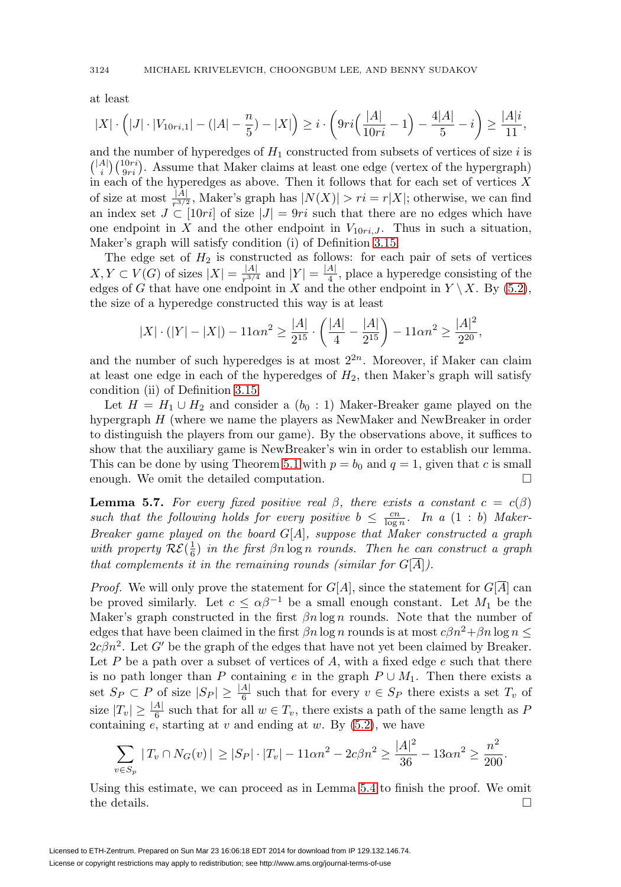at least

$$
|X| \cdot \left(|J| \cdot |V_{10ri,1}| - (|A| - \frac{n}{5}) - |X|\right) \geq i \cdot \left(9ri\left(\frac{|A|}{10ri} - 1\right) - \frac{4|A|}{5} - i\right) \geq \frac{|A|i}{11},
$$

and the number of hyperedges of  $H_1$  constructed from subsets of vertices of size i is  $\binom{|A|}{i}\binom{10ri}{9ri}$ . Assume that Maker claims at least one edge (vertex of the hypergraph) in each of the hyperedges as above. Then it follows that for each set of vertices  $\overline{X}$ of size at most  $\frac{|A|}{r^{3/2}}$ , Maker's graph has  $|N(X)| > r_i = r|X|$ ; otherwise, we can find an index set  $J \subset [10ri]$  of size  $|J| = 9ri$  such that there are no edges which have one endpoint in X and the other endpoint in  $V_{10ri,J}$ . Thus in such a situation, Maker's graph will satisfy condition (i) of Definition [3.15.](#page-16-1)

The edge set of  $H_2$  is constructed as follows: for each pair of sets of vertices  $X, Y \subset V(G)$  of sizes  $|X| = \frac{|A|}{r^{3/4}}$  and  $|Y| = \frac{|A|}{4}$ , place a hyperedge consisting of the edges of G that have one endpoint in X and the other endpoint in  $Y \setminus X$ . By [\(5.2\)](#page-28-0), the size of a hyperedge constructed this way is at least

$$
|X| \cdot (|Y| - |X|) - 11\alpha n^2 \ge \frac{|A|}{2^{15}} \cdot \left(\frac{|A|}{4} - \frac{|A|}{2^{15}}\right) - 11\alpha n^2 \ge \frac{|A|^2}{2^{20}},
$$

and the number of such hyperedges is at most  $2^{2n}$ . Moreover, if Maker can claim at least one edge in each of the hyperedges of  $H_2$ , then Maker's graph will satisfy condition (ii) of Definition [3.15.](#page-16-1)

Let  $H = H_1 \cup H_2$  and consider a  $(b_0 : 1)$  Maker-Breaker game played on the hypergraph H (where we name the players as NewMaker and NewBreaker in order to distinguish the players from our game). By the observations above, it suffices to show that the auxiliary game is NewBreaker's win in order to establish our lemma. This can be done by using Theorem [5.1](#page-24-1) with  $p = b_0$  and  $q = 1$ , given that c is small enough. We omit the detailed computation.  $\Box$ 

<span id="page-29-0"></span>**Lemma 5.7.** For every fixed positive real  $\beta$ , there exists a constant  $c = c(\beta)$ such that the following holds for every positive  $b \leq \frac{cn}{\log n}$ . In a  $(1 : b)$  Maker-Breaker game played on the board  $G[A]$ , suppose that Maker constructed a graph with property  $\mathcal{RE}(\frac{1}{6})$  in the first  $\beta n \log n$  rounds. Then he can construct a graph that complements it in the remaining rounds (similar for  $G[\overline{A}]$ ).

*Proof.* We will only prove the statement for  $G[A]$ , since the statement for  $G[\overline{A}]$  can be proved similarly. Let  $c \leq \alpha \beta^{-1}$  be a small enough constant. Let  $M_1$  be the Maker's graph constructed in the first  $\beta n \log n$  rounds. Note that the number of edges that have been claimed in the first  $\beta n \log n$  rounds is at most  $c\beta n^2 + \beta n \log n \leq$  $2c\beta n^2$ . Let G' be the graph of the edges that have not yet been claimed by Breaker. Let P be a path over a subset of vertices of A, with a fixed edge  $e$  such that there is no path longer than P containing e in the graph  $P \cup M_1$ . Then there exists a set  $S_P \subset P$  of size  $|S_P| \geq \frac{|A|}{6}$  such that for every  $v \in S_P$  there exists a set  $T_v$  of size  $|T_v| \geq \frac{|A|}{6}$  such that for all  $w \in T_v$ , there exists a path of the same length as P containing  $e$ , starting at  $v$  and ending at  $w$ . By  $(5.2)$ , we have

$$
\sum_{v \in S_p} |T_v \cap N_G(v)| \ge |S_P| \cdot |T_v| - 11\alpha n^2 - 2c\beta n^2 \ge \frac{|A|^2}{36} - 13\alpha n^2 \ge \frac{n^2}{200}.
$$

Using this estimate, we can proceed as in Lemma [5.4](#page-27-0) to finish the proof. We omit the details.  $\Box$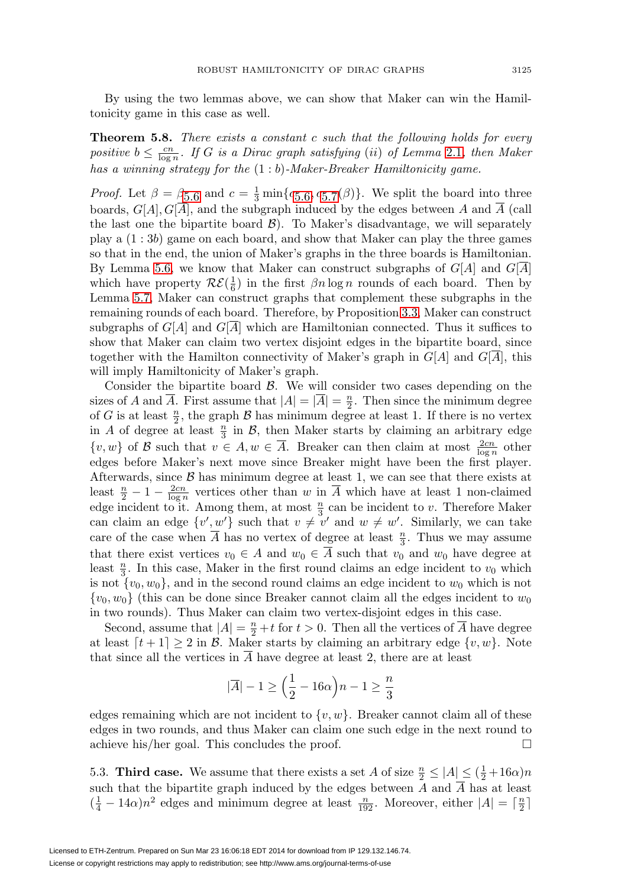By using the two lemmas above, we can show that Maker can win the Hamiltonicity game in this case as well.

**Theorem 5.8.** There exists a constant c such that the following holds for every positive  $b \leq \frac{cn}{\log n}$ . If G is a Dirac graph satisfying (ii) of Lemma [2.1](#page-3-0), then Maker has a winning strategy for the  $(1:b)$ -Maker-Breaker Hamiltonicity game.

*Proof.* Let  $\beta = \beta_{5.6}$  $\beta = \beta_{5.6}$  $\beta = \beta_{5.6}$  and  $c = \frac{1}{3} \min\{c_{5.6}, c_{5.7}(\beta)\}\.$  $c = \frac{1}{3} \min\{c_{5.6}, c_{5.7}(\beta)\}\.$  $c = \frac{1}{3} \min\{c_{5.6}, c_{5.7}(\beta)\}\.$  We split the board into three boards,  $G[A], G[\overline{A}]$ , and the subgraph induced by the edges between A and  $\overline{A}$  (call the last one the bipartite board  $\mathcal{B}$ ). To Maker's disadvantage, we will separately play a (1 : 3b) game on each board, and show that Maker can play the three games so that in the end, the union of Maker's graphs in the three boards is Hamiltonian. By Lemma [5.6,](#page-28-1) we know that Maker can construct subgraphs of  $G[A]$  and  $G[\overline{A}]$ which have property  $\mathcal{RE}(\frac{1}{6})$  in the first  $\beta n \log n$  rounds of each board. Then by Lemma [5.7,](#page-29-0) Maker can construct graphs that complement these subgraphs in the remaining rounds of each board. Therefore, by Proposition [3.3,](#page-6-2) Maker can construct subgraphs of  $G[A]$  and  $G[A]$  which are Hamiltonian connected. Thus it suffices to show that Maker can claim two vertex disjoint edges in the bipartite board, since together with the Hamilton connectivity of Maker's graph in  $G[A]$  and  $G[\overline{A}]$ , this will imply Hamiltonicity of Maker's graph.

Consider the bipartite board  $\beta$ . We will consider two cases depending on the sizes of A and  $\overline{A}$ . First assume that  $|A| = |\overline{A}| = \frac{n}{2}$ . Then since the minimum degree of G is at least  $\frac{n}{2}$ , the graph B has minimum degree at least 1. If there is no vertex in A of degree at least  $\frac{n}{3}$  in B, then Maker starts by claiming an arbitrary edge  $\{v, w\}$  of B such that  $v \in A, w \in \overline{A}$ . Breaker can then claim at most  $\frac{2cn}{\log n}$  other edges before Maker's next move since Breaker might have been the first player. Afterwards, since  $\beta$  has minimum degree at least 1, we can see that there exists at least  $\frac{n}{2} - 1 - \frac{2cn}{\log n}$  vertices other than w in  $\overline{A}$  which have at least 1 non-claimed edge incident to it. Among them, at most  $\frac{n}{3}$  can be incident to v. Therefore Maker can claim an edge  $\{v', w'\}$  such that  $v \neq v'$  and  $w \neq w'$ . Similarly, we can take care of the case when  $\overline{A}$  has no vertex of degree at least  $\frac{n}{3}$ . Thus we may assume that there exist vertices  $v_0 \in A$  and  $w_0 \in A$  such that  $v_0$  and  $w_0$  have degree at least  $\frac{n}{3}$ . In this case, Maker in the first round claims an edge incident to  $v_0$  which is not  $\{v_0, w_0\}$ , and in the second round claims an edge incident to  $w_0$  which is not  $\{v_0, w_0\}$  (this can be done since Breaker cannot claim all the edges incident to  $w_0$ in two rounds). Thus Maker can claim two vertex-disjoint edges in this case.

Second, assume that  $|A| = \frac{n}{2} + t$  for  $t > 0$ . Then all the vertices of  $\overline{A}$  have degree at least  $[t+1] \geq 2$  in B. Maker starts by claiming an arbitrary edge  $\{v, w\}$ . Note that since all the vertices in  $\overline{A}$  have degree at least 2, there are at least

$$
|\overline{A}| - 1 \ge \Big(\frac{1}{2} - 16\alpha\Big)n - 1 \ge \frac{n}{3}
$$

edges remaining which are not incident to  $\{v, w\}$ . Breaker cannot claim all of these edges in two rounds, and thus Maker can claim one such edge in the next round to achieve his/her goal. This concludes the proof. -

5.3. **Third case.** We assume that there exists a set A of size  $\frac{n}{2} \le |A| \le (\frac{1}{2} + 16\alpha)n$ such that the bipartite graph induced by the edges between  $A$  and  $A$  has at least  $(\frac{1}{4} - 14\alpha)n^2$  edges and minimum degree at least  $\frac{n}{192}$ . Moreover, either  $|A| = \lceil \frac{n}{2} \rceil$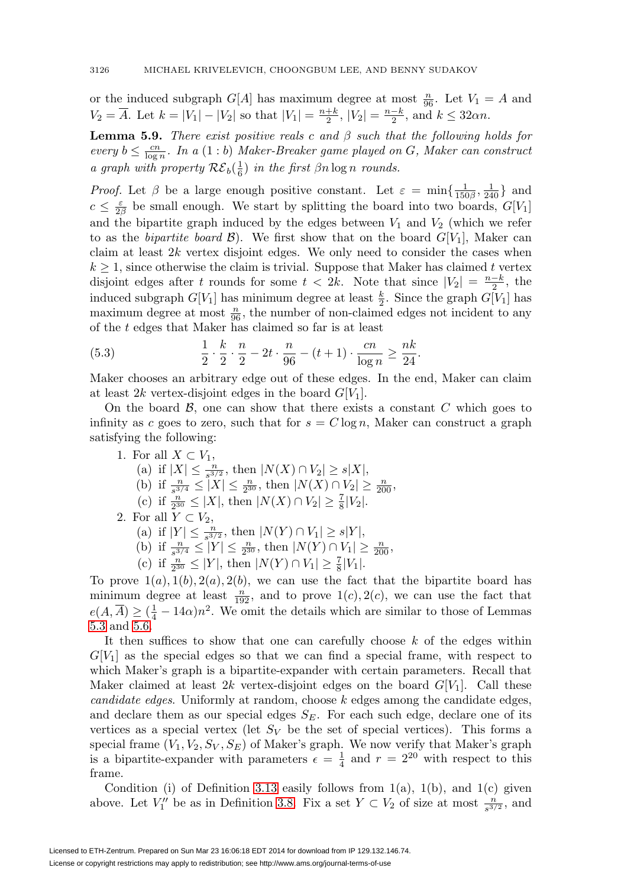or the induced subgraph  $G[A]$  has maximum degree at most  $\frac{n}{96}$ . Let  $V_1 = A$  and  $V_2 = \overline{A}$ . Let  $k = |V_1| - |V_2|$  so that  $|V_1| = \frac{n+k}{2}$ ,  $|V_2| = \frac{n-k}{2}$ , and  $k \le 32\alpha n$ .

<span id="page-31-0"></span>**Lemma 5.9.** There exist positive reals c and  $\beta$  such that the following holds for every  $b \leq \frac{cn}{\log n}$ . In a  $(1:b)$  Maker-Breaker game played on G, Maker can construct a graph with property  $\mathcal{RE}_b(\frac{1}{6})$  in the first  $\beta n \log n$  rounds.

*Proof.* Let  $\beta$  be a large enough positive constant. Let  $\varepsilon = \min\{\frac{1}{150\beta}, \frac{1}{240}\}\$  and  $c \leq \frac{\varepsilon}{2\beta}$  be small enough. We start by splitting the board into two boards,  $G[V_1]$ and the bipartite graph induced by the edges between  $V_1$  and  $V_2$  (which we refer to as the bipartite board  $\mathcal{B}$ ). We first show that on the board  $G[V_1]$ , Maker can claim at least  $2k$  vertex disjoint edges. We only need to consider the cases when  $k \geq 1$ , since otherwise the claim is trivial. Suppose that Maker has claimed t vertex disjoint edges after t rounds for some  $t < 2k$ . Note that since  $|V_2| = \frac{n-k}{2}$ , the induced subgraph  $G[V_1]$  has minimum degree at least  $\frac{k}{2}$ . Since the graph  $G[V_1]$  has maximum degree at most  $\frac{n}{96}$ , the number of non-claimed edges not incident to any of the t edges that Maker has claimed so far is at least

(5.3) 
$$
\frac{1}{2} \cdot \frac{k}{2} \cdot \frac{n}{2} - 2t \cdot \frac{n}{96} - (t+1) \cdot \frac{cn}{\log n} \ge \frac{nk}{24}.
$$

Maker chooses an arbitrary edge out of these edges. In the end, Maker can claim at least 2k vertex-disjoint edges in the board  $G[V_1]$ .

On the board  $\mathcal{B}$ , one can show that there exists a constant  $C$  which goes to infinity as c goes to zero, such that for  $s = C \log n$ , Maker can construct a graph satisfying the following:

- 1. For all  $X \subset V_1$ , (a) if  $|X| \le \frac{n}{s^{3/2}}$ , then  $|N(X) \cap V_2| \ge s|X|$ , (b) if  $\frac{n}{s^{3/4}} \leq |X| \leq \frac{n}{2^{30}}$ , then  $|N(X) \cap V_2| \geq \frac{n}{200}$ , (c) if  $\frac{n}{2^{30}} \leq |X|$ , then  $|N(X) \cap V_2| \geq \frac{7}{8}|V_2|$ . 2. For all  $Y \subset V_2$ , (a) if  $|Y| \le \frac{n}{s^{3/2}}$ , then  $|N(Y) \cap V_1| \ge s|Y|$ , (b) if  $\frac{n}{s^{3/4}} \leq |Y| \leq \frac{n}{2^{30}}$ , then  $|N(Y) \cap V_1| \geq \frac{n}{200}$ ,
	- (c) if  $\frac{n}{2^{30}} \leq |Y|$ , then  $|N(Y) \cap V_1| \geq \frac{7}{8}|V_1|$ .

To prove  $1(a)$ ,  $1(b)$ ,  $2(a)$ ,  $2(b)$ , we can use the fact that the bipartite board has minimum degree at least  $\frac{n}{192}$ , and to prove  $1(c)$ ,  $2(c)$ , we can use the fact that  $e(A, \overline{A}) \geq (\frac{1}{4} - 14\alpha)n^2$ . We omit the details which are similar to those of Lemmas [5.3](#page-25-0) and [5.6.](#page-28-1)

It then suffices to show that one can carefully choose  $k$  of the edges within  $G[V_1]$  as the special edges so that we can find a special frame, with respect to which Maker's graph is a bipartite-expander with certain parameters. Recall that Maker claimed at least 2k vertex-disjoint edges on the board  $G[V_1]$ . Call these candidate edges. Uniformly at random, choose k edges among the candidate edges, and declare them as our special edges  $S_E$ . For each such edge, declare one of its vertices as a special vertex (let  $S_V$  be the set of special vertices). This forms a special frame  $(V_1, V_2, S_V, S_E)$  of Maker's graph. We now verify that Maker's graph is a bipartite-expander with parameters  $\epsilon = \frac{1}{4}$  and  $r = 2^{20}$  with respect to this frame.

Condition (i) of Definition [3.13](#page-15-0) easily follows from  $1(a)$ ,  $1(b)$ , and  $1(c)$  given above. Let  $V''_1$  be as in Definition [3.8.](#page-13-0) Fix a set  $Y \subset V_2$  of size at most  $\frac{n}{s^{3/2}}$ , and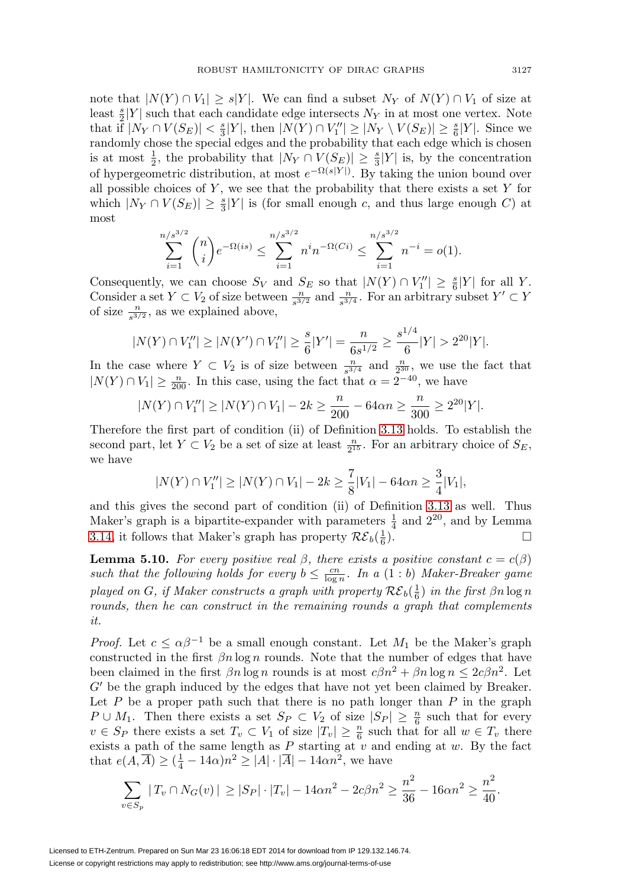note that  $|N(Y) \cap V_1| \ge s|Y|$ . We can find a subset  $N_Y$  of  $N(Y) \cap V_1$  of size at least  $\frac{s}{2}|Y|$  such that each candidate edge intersects  $N_Y$  in at most one vertex. Note that if  $|N_Y \cap V(S_E)| < \frac{s}{3}|Y|$ , then  $|N(Y) \cap V''_1| \ge |N_Y \setminus V(S_E)| \ge \frac{s}{6}|Y|$ . Since we randomly chose the special edges and the probability that each edge which is chosen is at most  $\frac{1}{2}$ , the probability that  $|N_Y \cap V(S_E)| \geq \frac{s}{3}|Y|$  is, by the concentration of hypergeometric distribution, at most  $e^{-\Omega(s|Y|)}$ . By taking the union bound over all possible choices of  $Y$ , we see that the probability that there exists a set  $Y$  for which  $|N_Y \cap V(S_E)| \geq \frac{s}{3}|Y|$  is (for small enough c, and thus large enough C) at most

$$
\sum_{i=1}^{n/s^{3/2}} \binom{n}{i} e^{-\Omega(is)} \le \sum_{i=1}^{n/s^{3/2}} n^i n^{-\Omega(Ci)} \le \sum_{i=1}^{n/s^{3/2}} n^{-i} = o(1).
$$

Consequently, we can choose  $S_V$  and  $S_E$  so that  $|N(Y) \cap V''_1| \geq \frac{s}{6}|Y|$  for all Y. Consider a set  $Y \subset V_2$  of size between  $\frac{n}{s^{3/2}}$  and  $\frac{n}{s^{3/4}}$ . For an arbitrary subset  $Y' \subset Y$ of size  $\frac{n}{s^{3/2}}$ , as we explained above,

$$
|N(Y) \cap V_1''| \ge |N(Y') \cap V_1''| \ge \frac{s}{6}|Y'| = \frac{n}{6s^{1/2}} \ge \frac{s^{1/4}}{6}|Y| > 2^{20}|Y|.
$$

In the case where  $Y \subset V_2$  is of size between  $\frac{n}{s^{3/4}}$  and  $\frac{n}{2^{30}}$ , we use the fact that  $|N(Y) \cap V_1| \geq \frac{n}{200}$ . In this case, using the fact that  $\alpha = 2^{-40}$ , we have

$$
|N(Y) \cap V_1''| \ge |N(Y) \cap V_1| - 2k \ge \frac{n}{200} - 64\alpha n \ge \frac{n}{300} \ge 2^{20}|Y|.
$$

Therefore the first part of condition (ii) of Definition [3.13](#page-15-0) holds. To establish the second part, let  $Y \subset V_2$  be a set of size at least  $\frac{n}{2^{15}}$ . For an arbitrary choice of  $S_E$ , we have

$$
|N(Y) \cap V_1''| \ge |N(Y) \cap V_1| - 2k \ge \frac{7}{8}|V_1| - 64\alpha n \ge \frac{3}{4}|V_1|,
$$

and this gives the second part of condition (ii) of Definition [3.13](#page-15-0) as well. Thus Maker's graph is a bipartite-expander with parameters  $\frac{1}{4}$  and  $2^{20}$ , and by Lemma [3.14,](#page-15-1) it follows that Maker's graph has property  $\mathcal{RE}_b(\frac{1}{6})$ .  $\frac{1}{6}$ ).

<span id="page-32-0"></span>**Lemma 5.10.** For every positive real  $\beta$ , there exists a positive constant  $c = c(\beta)$ such that the following holds for every  $b \leq \frac{cn}{\log n}$ . In a  $(1 : b)$  Maker-Breaker game played on G, if Maker constructs a graph with property  $\mathcal{RE}_b(\frac{1}{6})$  in the first  $\beta n \log n$ rounds, then he can construct in the remaining rounds a graph that complements it.

*Proof.* Let  $c \leq \alpha \beta^{-1}$  be a small enough constant. Let  $M_1$  be the Maker's graph constructed in the first  $\beta n \log n$  rounds. Note that the number of edges that have been claimed in the first  $\beta n \log n$  rounds is at most  $c\beta n^2 + \beta n \log n \leq 2c\beta n^2$ . Let  $G'$  be the graph induced by the edges that have not yet been claimed by Breaker. Let  $P$  be a proper path such that there is no path longer than  $P$  in the graph  $P \cup M_1$ . Then there exists a set  $S_P \subset V_2$  of size  $|S_P| \geq \frac{n}{6}$  such that for every  $v \in S_P$  there exists a set  $T_v \subset V_1$  of size  $|T_v| \geq \frac{n}{6}$  such that for all  $w \in T_v$  there exists a path of the same length as  $P$  starting at  $v$  and ending at  $w$ . By the fact that  $e(A, \overline{A}) \geq (\frac{1}{4} - 14\alpha)n^2 \geq |A| \cdot |\overline{A}| - 14\alpha n^2$ , we have

$$
\sum_{v \in S_p} |T_v \cap N_G(v)| \ge |S_P| \cdot |T_v| - 14\alpha n^2 - 2c\beta n^2 \ge \frac{n^2}{36} - 16\alpha n^2 \ge \frac{n^2}{40}.
$$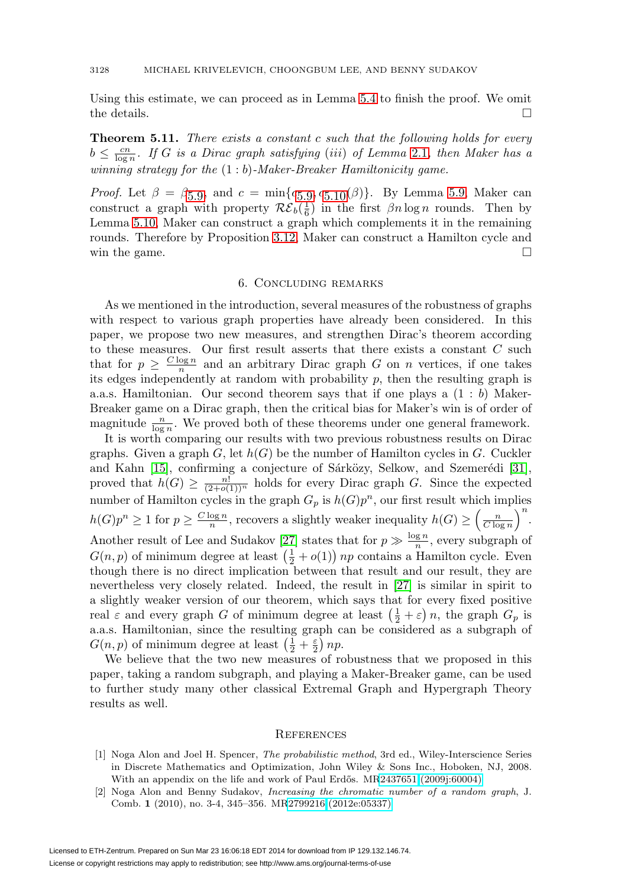Using this estimate, we can proceed as in Lemma [5.4](#page-27-0) to finish the proof. We omit the details.  $\Box$ 

**Theorem 5.11.** There exists a constant c such that the following holds for every  $b \leq \frac{cn}{\log n}$ . If G is a Dirac graph satisfying (iii) of Lemma [2.1](#page-3-0), then Maker has a winning strategy for the  $(1:b)$ -Maker-Breaker Hamiltonicity game.

*Proof.* Let  $\beta = \beta_{5.9}$  $\beta = \beta_{5.9}$  $\beta = \beta_{5.9}$ , and  $c = \min\{c_{5.9}, c_{5.10}(\beta)\}\$ . By Lemma [5.9,](#page-31-0) Maker can construct a graph with property  $\mathcal{RE}_b(\frac{1}{6})$  in the first  $\beta n \log n$  rounds. Then by Lemma [5.10,](#page-32-0) Maker can construct a graph which complements it in the remaining rounds. Therefore by Proposition [3.12,](#page-14-2) Maker can construct a Hamilton cycle and win the game.  $\Box$ 

## 6. Concluding remarks

As we mentioned in the introduction, several measures of the robustness of graphs with respect to various graph properties have already been considered. In this paper, we propose two new measures, and strengthen Dirac's theorem according to these measures. Our first result asserts that there exists a constant  $C$  such that for  $p \geq \frac{C \log n}{n}$  and an arbitrary Dirac graph G on n vertices, if one takes its edges independently at random with probability  $p$ , then the resulting graph is a.a.s. Hamiltonian. Our second theorem says that if one plays a  $(1 : b)$  Maker-Breaker game on a Dirac graph, then the critical bias for Maker's win is of order of magnitude  $\frac{n}{\log n}$ . We proved both of these theorems under one general framework.

It is worth comparing our results with two previous robustness results on Dirac graphs. Given a graph  $G$ , let  $h(G)$  be the number of Hamilton cycles in G. Cuckler and Kahn [\[15\]](#page-34-3), confirming a conjecture of Sárközy, Selkow, and Szemerédi [\[31\]](#page-35-0), proved that  $h(G) \geq \frac{n!}{(2+o(1))^n}$  holds for every Dirac graph G. Since the expected number of Hamilton cycles in the graph  $G_p$  is  $h(G)p^n$ , our first result which implies  $h(G)p^{n} \geq 1$  for  $p \geq \frac{C \log n}{n}$ , recovers a slightly weaker inequality  $h(G) \geq \left(\frac{n}{C \log n}\right)^{n}$ . Another result of Lee and Sudakov [\[27\]](#page-35-7) states that for  $p \gg \frac{\log n}{n}$ , every subgraph of  $G(n, p)$  of minimum degree at least  $\left(\frac{1}{2} + o(1)\right)$  *np* contains a Hamilton cycle. Even though there is no direct implication between that result and our result, they are nevertheless very closely related. Indeed, the result in [\[27\]](#page-35-7) is similar in spirit to a slightly weaker version of our theorem, which says that for every fixed positive real  $\varepsilon$  and every graph G of minimum degree at least  $(\frac{1}{2} + \varepsilon) n$ , the graph  $G_p$  is a.a.s. Hamiltonian, since the resulting graph can be considered as a subgraph of  $G(n, p)$  of minimum degree at least  $\left(\frac{1}{2} + \frac{\varepsilon}{2}\right) np$ .

We believe that the two new measures of robustness that we proposed in this paper, taking a random subgraph, and playing a Maker-Breaker game, can be used to further study many other classical Extremal Graph and Hypergraph Theory results as well.

#### **REFERENCES**

- <span id="page-33-1"></span>[1] Noga Alon and Joel H. Spencer, The probabilistic method, 3rd ed., Wiley-Interscience Series in Discrete Mathematics and Optimization, John Wiley & Sons Inc., Hoboken, NJ, 2008. With an appendix on the life and work of Paul Erdős. M[R2437651 \(2009j:60004\)](http://www.ams.org/mathscinet-getitem?mr=2437651)
- <span id="page-33-0"></span>[2] Noga Alon and Benny Sudakov, Increasing the chromatic number of a random graph, J. Comb. **1** (2010), no. 3-4, 345–356. M[R2799216 \(2012e:05337\)](http://www.ams.org/mathscinet-getitem?mr=2799216)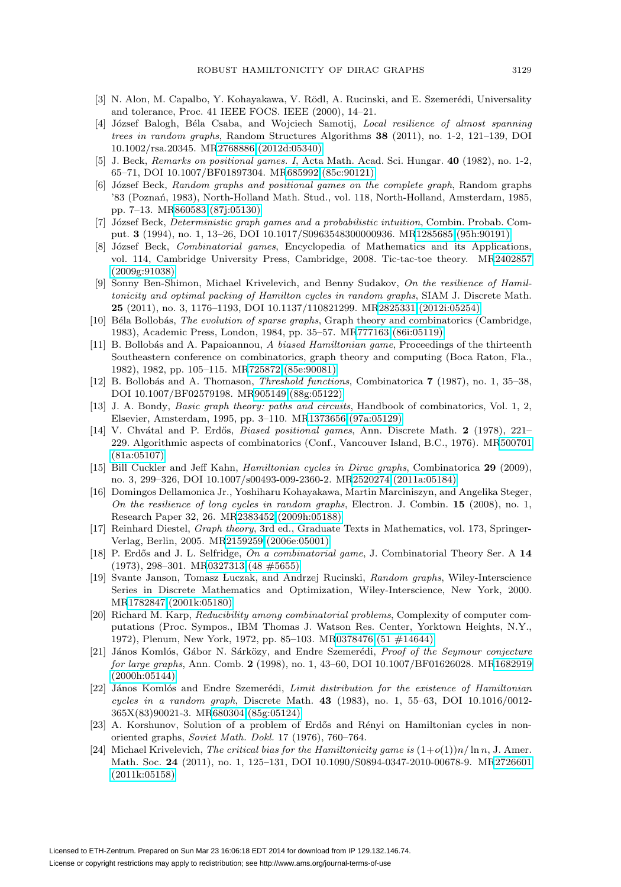- <span id="page-34-7"></span>[3] N. Alon, M. Capalbo, Y. Kohayakawa, V. Rödl, A. Rucinski, and E. Szemerédi, Universality and tolerance, Proc. 41 IEEE FOCS. IEEE (2000), 14–21.
- <span id="page-34-4"></span>[4] József Balogh, Béla Csaba, and Wojciech Samotij, Local resilience of almost spanning trees in random graphs, Random Structures Algorithms **38** (2011), no. 1-2, 121–139, DOI 10.1002/rsa.20345. M[R2768886 \(2012d:05340\)](http://www.ams.org/mathscinet-getitem?mr=2768886)
- <span id="page-34-17"></span>[5] J. Beck, Remarks on positional games. I, Acta Math. Acad. Sci. Hungar. **40** (1982), no. 1-2, 65–71, DOI 10.1007/BF01897304. M[R685992 \(85c:90121\)](http://www.ams.org/mathscinet-getitem?mr=685992)
- <span id="page-34-14"></span>[6] József Beck, Random graphs and positional games on the complete graph, Random graphs '83 (Poznań, 1983), North-Holland Math. Stud., vol. 118, North-Holland, Amsterdam, 1985, pp. 7–13. M[R860583 \(87j:05130\)](http://www.ams.org/mathscinet-getitem?mr=860583)
- <span id="page-34-18"></span>[7] József Beck, *Deterministic graph games and a probabilistic intuition*, Combin. Probab. Comput. **3** (1994), no. 1, 13–26, DOI 10.1017/S0963548300000936. M[R1285685 \(95h:90191\)](http://www.ams.org/mathscinet-getitem?mr=1285685)
- <span id="page-34-16"></span>[8] József Beck, Combinatorial games, Encyclopedia of Mathematics and its Applications, vol. 114, Cambridge University Press, Cambridge, 2008. Tic-tac-toe theory. M[R2402857](http://www.ams.org/mathscinet-getitem?mr=2402857) [\(2009g:91038\)](http://www.ams.org/mathscinet-getitem?mr=2402857)
- <span id="page-34-5"></span>[9] Sonny Ben-Shimon, Michael Krivelevich, and Benny Sudakov, On the resilience of Hamiltonicity and optimal packing of Hamilton cycles in random graphs, SIAM J. Discrete Math. **25** (2011), no. 3, 1176–1193, DOI 10.1137/110821299. M[R2825331 \(2012i:05254\)](http://www.ams.org/mathscinet-getitem?mr=2825331)
- <span id="page-34-9"></span>[10] Béla Bollobás, The evolution of sparse graphs, Graph theory and combinatorics (Cambridge, 1983), Academic Press, London, 1984, pp. 35–57. M[R777163 \(86i:05119\)](http://www.ams.org/mathscinet-getitem?mr=777163)
- <span id="page-34-13"></span>[11] B. Bollobás and A. Papaioannou, A biased Hamiltonian game, Proceedings of the thirteenth Southeastern conference on combinatorics, graph theory and computing (Boca Raton, Fla., 1982), 1982, pp. 105–115. M[R725872 \(85e:90081\)](http://www.ams.org/mathscinet-getitem?mr=725872)
- <span id="page-34-11"></span>[12] B. Bollob´as and A. Thomason, Threshold functions, Combinatorica **7** (1987), no. 1, 35–38, DOI 10.1007/BF02579198. M[R905149 \(88g:05122\)](http://www.ams.org/mathscinet-getitem?mr=905149)
- <span id="page-34-2"></span>[13] J. A. Bondy, *Basic graph theory: paths and circuits*, Handbook of combinatorics, Vol. 1, 2, Elsevier, Amsterdam, 1995, pp. 3–110. M[R1373656 \(97a:05129\)](http://www.ams.org/mathscinet-getitem?mr=1373656)
- <span id="page-34-12"></span>[14] V. Chvátal and P. Erdős, *Biased positional games*, Ann. Discrete Math. **2** (1978), 221– 229. Algorithmic aspects of combinatorics (Conf., Vancouver Island, B.C., 1976). M[R500701](http://www.ams.org/mathscinet-getitem?mr=500701) [\(81a:05107\)](http://www.ams.org/mathscinet-getitem?mr=500701)
- <span id="page-34-3"></span>[15] Bill Cuckler and Jeff Kahn, Hamiltonian cycles in Dirac graphs, Combinatorica **29** (2009), no. 3, 299–326, DOI 10.1007/s00493-009-2360-2. M[R2520274 \(2011a:05184\)](http://www.ams.org/mathscinet-getitem?mr=2520274)
- <span id="page-34-6"></span>[16] Domingos Dellamonica Jr., Yoshiharu Kohayakawa, Martin Marciniszyn, and Angelika Steger, On the resilience of long cycles in random graphs, Electron. J. Combin. **15** (2008), no. 1, Research Paper 32, 26. M[R2383452 \(2009h:05188\)](http://www.ams.org/mathscinet-getitem?mr=2383452)
- <span id="page-34-1"></span>[17] Reinhard Diestel, *Graph theory*, 3rd ed., Graduate Texts in Mathematics, vol. 173, Springer-Verlag, Berlin, 2005. M[R2159259 \(2006e:05001\)](http://www.ams.org/mathscinet-getitem?mr=2159259)
- <span id="page-34-20"></span>[18] P. Erdős and J. L. Selfridge, On a combinatorial game, J. Combinatorial Theory Ser. A 14 (1973), 298–301. M[R0327313 \(48 #5655\)](http://www.ams.org/mathscinet-getitem?mr=0327313)
- <span id="page-34-21"></span>[19] Svante Janson, Tomasz Luczak, and Andrzej Rucinski, Random graphs, Wiley-Interscience Series in Discrete Mathematics and Optimization, Wiley-Interscience, New York, 2000. M[R1782847 \(2001k:05180\)](http://www.ams.org/mathscinet-getitem?mr=1782847)
- <span id="page-34-0"></span>[20] Richard M. Karp, Reducibility among combinatorial problems, Complexity of computer computations (Proc. Sympos., IBM Thomas J. Watson Res. Center, Yorktown Heights, N.Y., 1972), Plenum, New York, 1972, pp. 85–103. M[R0378476 \(51 #14644\)](http://www.ams.org/mathscinet-getitem?mr=0378476)
- <span id="page-34-19"></span>[21] János Komlós, Gábor N. Sárközy, and Endre Szemerédi, Proof of the Seymour conjecture for large graphs, Ann. Comb. **2** (1998), no. 1, 43–60, DOI 10.1007/BF01626028. M[R1682919](http://www.ams.org/mathscinet-getitem?mr=1682919) [\(2000h:05144\)](http://www.ams.org/mathscinet-getitem?mr=1682919)
- <span id="page-34-10"></span>[22] János Komlós and Endre Szemerédi, Limit distribution for the existence of Hamiltonian cycles in a random graph, Discrete Math. **43** (1983), no. 1, 55–63, DOI 10.1016/0012- 365X(83)90021-3. M[R680304 \(85g:05124\)](http://www.ams.org/mathscinet-getitem?mr=680304)
- <span id="page-34-8"></span>[23] A. Korshunov, Solution of a problem of Erdős and Rényi on Hamiltonian cycles in nonoriented graphs, Soviet Math. Dokl. 17 (1976), 760–764.
- <span id="page-34-15"></span>[24] Michael Krivelevich, The critical bias for the Hamiltonicity game is  $(1+o(1))n/\ln n$ , J. Amer. Math. Soc. **24** (2011), no. 1, 125–131, DOI 10.1090/S0894-0347-2010-00678-9. M[R2726601](http://www.ams.org/mathscinet-getitem?mr=2726601) [\(2011k:05158\)](http://www.ams.org/mathscinet-getitem?mr=2726601)